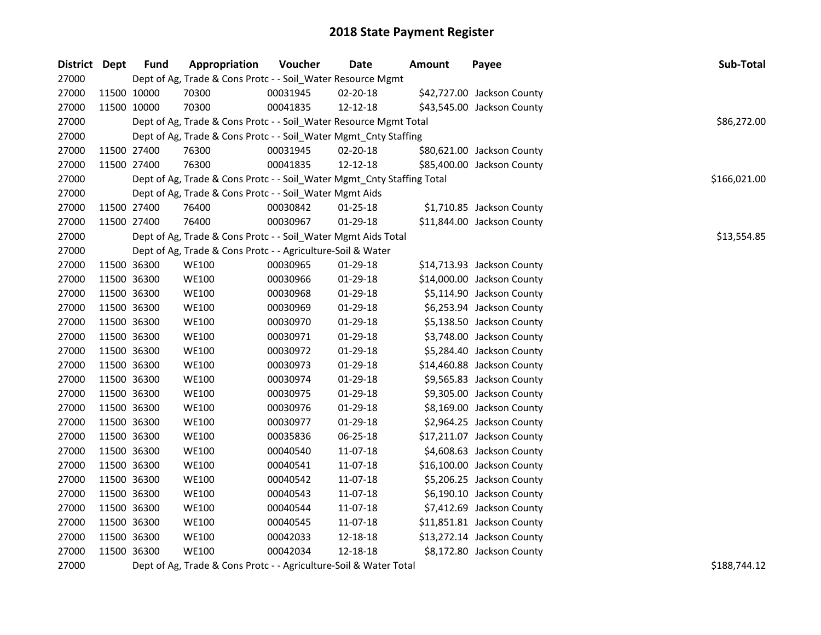| District Dept | <b>Fund</b> | Appropriation                                                          | <b>Voucher</b> | <b>Date</b>    | <b>Amount</b> | Payee                      | Sub-Total    |  |
|---------------|-------------|------------------------------------------------------------------------|----------------|----------------|---------------|----------------------------|--------------|--|
| 27000         |             | Dept of Ag, Trade & Cons Protc - - Soil_Water Resource Mgmt            |                |                |               |                            |              |  |
| 27000         | 11500 10000 | 70300                                                                  | 00031945       | 02-20-18       |               | \$42,727.00 Jackson County |              |  |
| 27000         | 11500 10000 | 70300                                                                  | 00041835       | 12-12-18       |               | \$43,545.00 Jackson County |              |  |
| 27000         |             | Dept of Ag, Trade & Cons Protc - - Soil_Water Resource Mgmt Total      |                |                |               |                            | \$86,272.00  |  |
| 27000         |             | Dept of Ag, Trade & Cons Protc - - Soil_Water Mgmt_Cnty Staffing       |                |                |               |                            |              |  |
| 27000         | 11500 27400 | 76300                                                                  | 00031945       | 02-20-18       |               | \$80,621.00 Jackson County |              |  |
| 27000         | 11500 27400 | 76300                                                                  | 00041835       | 12-12-18       |               | \$85,400.00 Jackson County |              |  |
| 27000         |             | Dept of Ag, Trade & Cons Protc - - Soil_Water Mgmt_Cnty Staffing Total |                |                |               |                            | \$166,021.00 |  |
| 27000         |             | Dept of Ag, Trade & Cons Protc - - Soil_Water Mgmt Aids                |                |                |               |                            |              |  |
| 27000         | 11500 27400 | 76400                                                                  | 00030842       | $01 - 25 - 18$ |               | \$1,710.85 Jackson County  |              |  |
| 27000         | 11500 27400 | 76400                                                                  | 00030967       | 01-29-18       |               | \$11,844.00 Jackson County |              |  |
| 27000         |             | Dept of Ag, Trade & Cons Protc - - Soil_Water Mgmt Aids Total          |                |                |               |                            | \$13,554.85  |  |
| 27000         |             | Dept of Ag, Trade & Cons Protc - - Agriculture-Soil & Water            |                |                |               |                            |              |  |
| 27000         | 11500 36300 | <b>WE100</b>                                                           | 00030965       | $01-29-18$     |               | \$14,713.93 Jackson County |              |  |
| 27000         | 11500 36300 | <b>WE100</b>                                                           | 00030966       | 01-29-18       |               | \$14,000.00 Jackson County |              |  |
| 27000         | 11500 36300 | <b>WE100</b>                                                           | 00030968       | 01-29-18       |               | \$5,114.90 Jackson County  |              |  |
| 27000         | 11500 36300 | <b>WE100</b>                                                           | 00030969       | 01-29-18       |               | \$6,253.94 Jackson County  |              |  |
| 27000         | 11500 36300 | <b>WE100</b>                                                           | 00030970       | 01-29-18       |               | \$5,138.50 Jackson County  |              |  |
| 27000         | 11500 36300 | <b>WE100</b>                                                           | 00030971       | 01-29-18       |               | \$3,748.00 Jackson County  |              |  |
| 27000         | 11500 36300 | <b>WE100</b>                                                           | 00030972       | 01-29-18       |               | \$5,284.40 Jackson County  |              |  |
| 27000         | 11500 36300 | <b>WE100</b>                                                           | 00030973       | 01-29-18       |               | \$14,460.88 Jackson County |              |  |
| 27000         | 11500 36300 | <b>WE100</b>                                                           | 00030974       | 01-29-18       |               | \$9,565.83 Jackson County  |              |  |
| 27000         | 11500 36300 | <b>WE100</b>                                                           | 00030975       | 01-29-18       |               | \$9,305.00 Jackson County  |              |  |
| 27000         | 11500 36300 | <b>WE100</b>                                                           | 00030976       | 01-29-18       |               | \$8,169.00 Jackson County  |              |  |
| 27000         | 11500 36300 | <b>WE100</b>                                                           | 00030977       | 01-29-18       |               | \$2,964.25 Jackson County  |              |  |
| 27000         | 11500 36300 | <b>WE100</b>                                                           | 00035836       | 06-25-18       |               | \$17,211.07 Jackson County |              |  |
| 27000         | 11500 36300 | <b>WE100</b>                                                           | 00040540       | 11-07-18       |               | \$4,608.63 Jackson County  |              |  |
| 27000         | 11500 36300 | <b>WE100</b>                                                           | 00040541       | 11-07-18       |               | \$16,100.00 Jackson County |              |  |
| 27000         | 11500 36300 | <b>WE100</b>                                                           | 00040542       | 11-07-18       |               | \$5,206.25 Jackson County  |              |  |
| 27000         | 11500 36300 | <b>WE100</b>                                                           | 00040543       | 11-07-18       |               | \$6,190.10 Jackson County  |              |  |
| 27000         | 11500 36300 | <b>WE100</b>                                                           | 00040544       | 11-07-18       |               | \$7,412.69 Jackson County  |              |  |
| 27000         | 11500 36300 | <b>WE100</b>                                                           | 00040545       | 11-07-18       |               | \$11,851.81 Jackson County |              |  |
| 27000         | 11500 36300 | <b>WE100</b>                                                           | 00042033       | 12-18-18       |               | \$13,272.14 Jackson County |              |  |
| 27000         | 11500 36300 | <b>WE100</b>                                                           | 00042034       | 12-18-18       |               | \$8,172.80 Jackson County  |              |  |

27000 Dept of Ag, Trade & Cons Protc - - Agriculture-Soil & Water Total \$188,744.12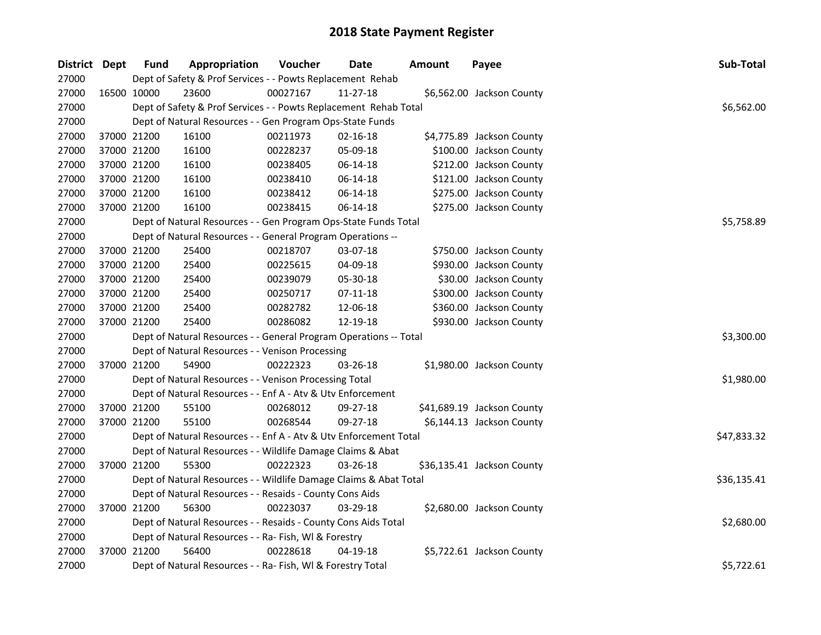| District Dept | <b>Fund</b> | Appropriation                                                     | Voucher  | <b>Date</b>    | <b>Amount</b> | Payee                      | Sub-Total   |
|---------------|-------------|-------------------------------------------------------------------|----------|----------------|---------------|----------------------------|-------------|
| 27000         |             | Dept of Safety & Prof Services - - Powts Replacement Rehab        |          |                |               |                            |             |
| 27000         | 16500 10000 | 23600                                                             | 00027167 | 11-27-18       |               | \$6,562.00 Jackson County  |             |
| 27000         |             | Dept of Safety & Prof Services - - Powts Replacement Rehab Total  |          |                |               |                            | \$6,562.00  |
| 27000         |             | Dept of Natural Resources - - Gen Program Ops-State Funds         |          |                |               |                            |             |
| 27000         | 37000 21200 | 16100                                                             | 00211973 | $02 - 16 - 18$ |               | \$4,775.89 Jackson County  |             |
| 27000         | 37000 21200 | 16100                                                             | 00228237 | 05-09-18       |               | \$100.00 Jackson County    |             |
| 27000         | 37000 21200 | 16100                                                             | 00238405 | 06-14-18       |               | \$212.00 Jackson County    |             |
| 27000         | 37000 21200 | 16100                                                             | 00238410 | 06-14-18       |               | \$121.00 Jackson County    |             |
| 27000         | 37000 21200 | 16100                                                             | 00238412 | 06-14-18       |               | \$275.00 Jackson County    |             |
| 27000         | 37000 21200 | 16100                                                             | 00238415 | 06-14-18       |               | \$275.00 Jackson County    |             |
| 27000         |             | Dept of Natural Resources - - Gen Program Ops-State Funds Total   |          |                |               |                            | \$5,758.89  |
| 27000         |             | Dept of Natural Resources - - General Program Operations --       |          |                |               |                            |             |
| 27000         | 37000 21200 | 25400                                                             | 00218707 | 03-07-18       |               | \$750.00 Jackson County    |             |
| 27000         | 37000 21200 | 25400                                                             | 00225615 | 04-09-18       |               | \$930.00 Jackson County    |             |
| 27000         | 37000 21200 | 25400                                                             | 00239079 | 05-30-18       |               | \$30.00 Jackson County     |             |
| 27000         | 37000 21200 | 25400                                                             | 00250717 | $07-11-18$     |               | \$300.00 Jackson County    |             |
| 27000         | 37000 21200 | 25400                                                             | 00282782 | 12-06-18       |               | \$360.00 Jackson County    |             |
| 27000         | 37000 21200 | 25400                                                             | 00286082 | 12-19-18       |               | \$930.00 Jackson County    |             |
| 27000         |             | Dept of Natural Resources - - General Program Operations -- Total |          |                |               |                            | \$3,300.00  |
| 27000         |             | Dept of Natural Resources - - Venison Processing                  |          |                |               |                            |             |
| 27000         | 37000 21200 | 54900                                                             | 00222323 | 03-26-18       |               | \$1,980.00 Jackson County  |             |
| 27000         |             | Dept of Natural Resources - - Venison Processing Total            |          |                |               |                            | \$1,980.00  |
| 27000         |             | Dept of Natural Resources - - Enf A - Atv & Utv Enforcement       |          |                |               |                            |             |
| 27000         | 37000 21200 | 55100                                                             | 00268012 | 09-27-18       |               | \$41,689.19 Jackson County |             |
| 27000         | 37000 21200 | 55100                                                             | 00268544 | 09-27-18       |               | \$6,144.13 Jackson County  |             |
| 27000         |             | Dept of Natural Resources - - Enf A - Atv & Utv Enforcement Total |          |                |               |                            | \$47,833.32 |
| 27000         |             | Dept of Natural Resources - - Wildlife Damage Claims & Abat       |          |                |               |                            |             |
| 27000         | 37000 21200 | 55300                                                             | 00222323 | 03-26-18       |               | \$36,135.41 Jackson County |             |
| 27000         |             | Dept of Natural Resources - - Wildlife Damage Claims & Abat Total |          |                |               |                            | \$36,135.41 |
| 27000         |             | Dept of Natural Resources - - Resaids - County Cons Aids          |          |                |               |                            |             |
| 27000         | 37000 21200 | 56300                                                             | 00223037 | $03 - 29 - 18$ |               | \$2,680.00 Jackson County  |             |
| 27000         |             | Dept of Natural Resources - - Resaids - County Cons Aids Total    |          |                |               |                            | \$2,680.00  |
| 27000         |             | Dept of Natural Resources - - Ra- Fish, WI & Forestry             |          |                |               |                            |             |
| 27000         | 37000 21200 | 56400                                                             | 00228618 | $04 - 19 - 18$ |               | \$5,722.61 Jackson County  |             |
| 27000         |             | Dept of Natural Resources - - Ra- Fish, WI & Forestry Total       |          |                |               |                            | \$5,722.61  |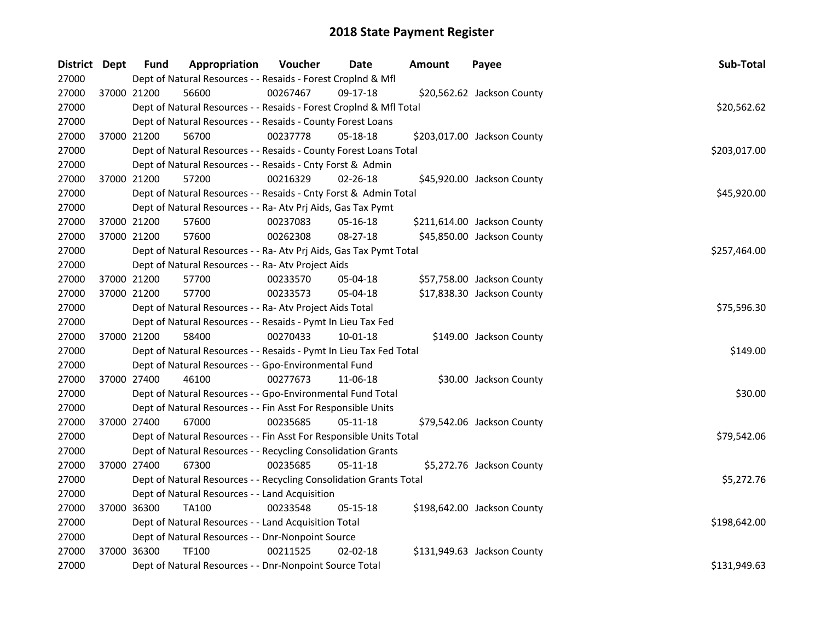| District Dept |             | Appropriation<br><b>Fund</b>                                       | Voucher  | Date           | Amount | Payee                       | Sub-Total    |
|---------------|-------------|--------------------------------------------------------------------|----------|----------------|--------|-----------------------------|--------------|
| 27000         |             | Dept of Natural Resources - - Resaids - Forest Croplnd & Mfl       |          |                |        |                             |              |
| 27000         | 37000 21200 | 56600                                                              | 00267467 | 09-17-18       |        | \$20,562.62 Jackson County  |              |
| 27000         |             | Dept of Natural Resources - - Resaids - Forest CropInd & Mfl Total |          |                |        |                             | \$20,562.62  |
| 27000         |             | Dept of Natural Resources - - Resaids - County Forest Loans        |          |                |        |                             |              |
| 27000         | 37000 21200 | 56700                                                              | 00237778 | 05-18-18       |        | \$203,017.00 Jackson County |              |
| 27000         |             | Dept of Natural Resources - - Resaids - County Forest Loans Total  |          |                |        |                             | \$203,017.00 |
| 27000         |             | Dept of Natural Resources - - Resaids - Cnty Forst & Admin         |          |                |        |                             |              |
| 27000         | 37000 21200 | 57200                                                              | 00216329 | 02-26-18       |        | \$45,920.00 Jackson County  |              |
| 27000         |             | Dept of Natural Resources - - Resaids - Cnty Forst & Admin Total   |          |                |        |                             | \$45,920.00  |
| 27000         |             | Dept of Natural Resources - - Ra- Atv Prj Aids, Gas Tax Pymt       |          |                |        |                             |              |
| 27000         | 37000 21200 | 57600                                                              | 00237083 | 05-16-18       |        | \$211,614.00 Jackson County |              |
| 27000         | 37000 21200 | 57600                                                              | 00262308 | 08-27-18       |        | \$45,850.00 Jackson County  |              |
| 27000         |             | Dept of Natural Resources - - Ra- Atv Prj Aids, Gas Tax Pymt Total |          |                |        |                             | \$257,464.00 |
| 27000         |             | Dept of Natural Resources - - Ra- Atv Project Aids                 |          |                |        |                             |              |
| 27000         | 37000 21200 | 57700                                                              | 00233570 | 05-04-18       |        | \$57,758.00 Jackson County  |              |
| 27000         | 37000 21200 | 57700                                                              | 00233573 | $05 - 04 - 18$ |        | \$17,838.30 Jackson County  |              |
| 27000         |             | Dept of Natural Resources - - Ra- Atv Project Aids Total           |          |                |        |                             | \$75,596.30  |
| 27000         |             | Dept of Natural Resources - - Resaids - Pymt In Lieu Tax Fed       |          |                |        |                             |              |
| 27000         | 37000 21200 | 58400                                                              | 00270433 | $10 - 01 - 18$ |        | \$149.00 Jackson County     |              |
| 27000         |             | Dept of Natural Resources - - Resaids - Pymt In Lieu Tax Fed Total |          |                |        |                             | \$149.00     |
| 27000         |             | Dept of Natural Resources - - Gpo-Environmental Fund               |          |                |        |                             |              |
| 27000         | 37000 27400 | 46100                                                              | 00277673 | 11-06-18       |        | \$30.00 Jackson County      |              |
| 27000         |             | Dept of Natural Resources - - Gpo-Environmental Fund Total         |          |                |        |                             | \$30.00      |
| 27000         |             | Dept of Natural Resources - - Fin Asst For Responsible Units       |          |                |        |                             |              |
| 27000         | 37000 27400 | 67000                                                              | 00235685 | 05-11-18       |        | \$79,542.06 Jackson County  |              |
| 27000         |             | Dept of Natural Resources - - Fin Asst For Responsible Units Total |          |                |        |                             | \$79,542.06  |
| 27000         |             | Dept of Natural Resources - - Recycling Consolidation Grants       |          |                |        |                             |              |
| 27000         | 37000 27400 | 67300                                                              | 00235685 | 05-11-18       |        | \$5,272.76 Jackson County   |              |
| 27000         |             | Dept of Natural Resources - - Recycling Consolidation Grants Total |          |                |        |                             | \$5,272.76   |
| 27000         |             | Dept of Natural Resources - - Land Acquisition                     |          |                |        |                             |              |
| 27000         | 37000 36300 | <b>TA100</b>                                                       | 00233548 | $05 - 15 - 18$ |        | \$198,642.00 Jackson County |              |
| 27000         |             | Dept of Natural Resources - - Land Acquisition Total               |          |                |        |                             | \$198,642.00 |
| 27000         |             | Dept of Natural Resources - - Dnr-Nonpoint Source                  |          |                |        |                             |              |
| 27000         | 37000 36300 | TF100                                                              | 00211525 | $02 - 02 - 18$ |        | \$131,949.63 Jackson County |              |
| 27000         |             | Dept of Natural Resources - - Dnr-Nonpoint Source Total            |          |                |        |                             | \$131,949.63 |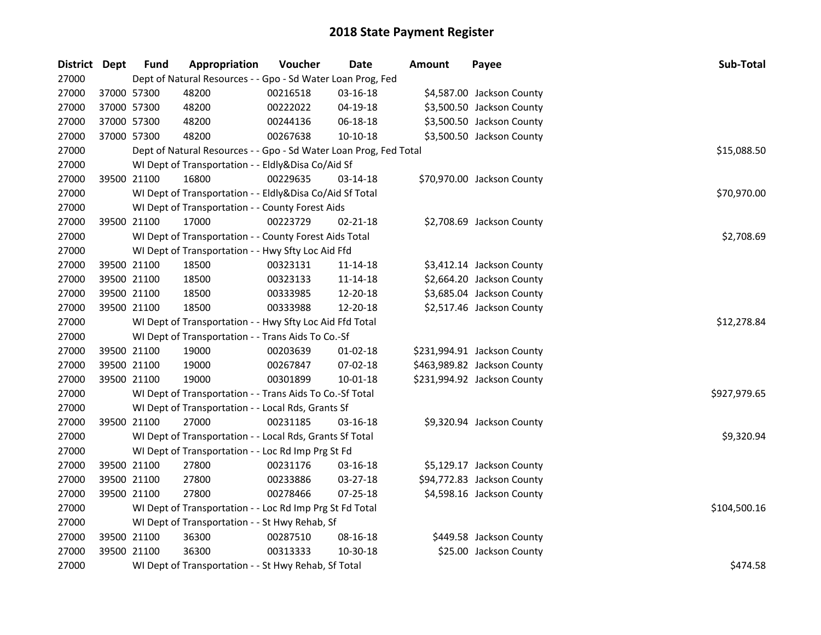| District Dept |             | <b>Fund</b> | Appropriation                                                     | Voucher  | <b>Date</b>    | <b>Amount</b> | Payee                       | <b>Sub-Total</b> |
|---------------|-------------|-------------|-------------------------------------------------------------------|----------|----------------|---------------|-----------------------------|------------------|
| 27000         |             |             | Dept of Natural Resources - - Gpo - Sd Water Loan Prog, Fed       |          |                |               |                             |                  |
| 27000         | 37000 57300 |             | 48200                                                             | 00216518 | 03-16-18       |               | \$4,587.00 Jackson County   |                  |
| 27000         | 37000 57300 |             | 48200                                                             | 00222022 | 04-19-18       |               | \$3,500.50 Jackson County   |                  |
| 27000         | 37000 57300 |             | 48200                                                             | 00244136 | 06-18-18       |               | \$3,500.50 Jackson County   |                  |
| 27000         | 37000 57300 |             | 48200                                                             | 00267638 | 10-10-18       |               | \$3,500.50 Jackson County   |                  |
| 27000         |             |             | Dept of Natural Resources - - Gpo - Sd Water Loan Prog, Fed Total |          |                |               |                             | \$15,088.50      |
| 27000         |             |             | WI Dept of Transportation - - Eldly&Disa Co/Aid Sf                |          |                |               |                             |                  |
| 27000         |             | 39500 21100 | 16800                                                             | 00229635 | 03-14-18       |               | \$70,970.00 Jackson County  |                  |
| 27000         |             |             | WI Dept of Transportation - - Eldly&Disa Co/Aid Sf Total          |          |                |               |                             | \$70,970.00      |
| 27000         |             |             | WI Dept of Transportation - - County Forest Aids                  |          |                |               |                             |                  |
| 27000         |             | 39500 21100 | 17000                                                             | 00223729 | $02 - 21 - 18$ |               | \$2,708.69 Jackson County   |                  |
| 27000         |             |             | WI Dept of Transportation - - County Forest Aids Total            |          |                |               |                             | \$2,708.69       |
| 27000         |             |             | WI Dept of Transportation - - Hwy Sfty Loc Aid Ffd                |          |                |               |                             |                  |
| 27000         |             | 39500 21100 | 18500                                                             | 00323131 | 11-14-18       |               | \$3,412.14 Jackson County   |                  |
| 27000         | 39500 21100 |             | 18500                                                             | 00323133 | 11-14-18       |               | \$2,664.20 Jackson County   |                  |
| 27000         | 39500 21100 |             | 18500                                                             | 00333985 | 12-20-18       |               | \$3,685.04 Jackson County   |                  |
| 27000         |             | 39500 21100 | 18500                                                             | 00333988 | 12-20-18       |               | \$2,517.46 Jackson County   |                  |
| 27000         |             |             | WI Dept of Transportation - - Hwy Sfty Loc Aid Ffd Total          |          |                |               |                             | \$12,278.84      |
| 27000         |             |             | WI Dept of Transportation - - Trans Aids To Co.-Sf                |          |                |               |                             |                  |
| 27000         |             | 39500 21100 | 19000                                                             | 00203639 | $01-02-18$     |               | \$231,994.91 Jackson County |                  |
| 27000         | 39500 21100 |             | 19000                                                             | 00267847 | 07-02-18       |               | \$463,989.82 Jackson County |                  |
| 27000         | 39500 21100 |             | 19000                                                             | 00301899 | $10 - 01 - 18$ |               | \$231,994.92 Jackson County |                  |
| 27000         |             |             | WI Dept of Transportation - - Trans Aids To Co.-Sf Total          |          |                |               |                             | \$927,979.65     |
| 27000         |             |             | WI Dept of Transportation - - Local Rds, Grants Sf                |          |                |               |                             |                  |
| 27000         | 39500 21100 |             | 27000                                                             | 00231185 | 03-16-18       |               | \$9,320.94 Jackson County   |                  |
| 27000         |             |             | WI Dept of Transportation - - Local Rds, Grants Sf Total          |          |                |               |                             | \$9,320.94       |
| 27000         |             |             | WI Dept of Transportation - - Loc Rd Imp Prg St Fd                |          |                |               |                             |                  |
| 27000         | 39500 21100 |             | 27800                                                             | 00231176 | 03-16-18       |               | \$5,129.17 Jackson County   |                  |
| 27000         | 39500 21100 |             | 27800                                                             | 00233886 | 03-27-18       |               | \$94,772.83 Jackson County  |                  |
| 27000         |             | 39500 21100 | 27800                                                             | 00278466 | 07-25-18       |               | \$4,598.16 Jackson County   |                  |
| 27000         |             |             | WI Dept of Transportation - - Loc Rd Imp Prg St Fd Total          |          |                |               |                             | \$104,500.16     |
| 27000         |             |             | WI Dept of Transportation - - St Hwy Rehab, Sf                    |          |                |               |                             |                  |
| 27000         | 39500 21100 |             | 36300                                                             | 00287510 | 08-16-18       |               | \$449.58 Jackson County     |                  |
| 27000         | 39500 21100 |             | 36300                                                             | 00313333 | 10-30-18       |               | \$25.00 Jackson County      |                  |
| 27000         |             |             | WI Dept of Transportation - - St Hwy Rehab, Sf Total              |          |                |               |                             | \$474.58         |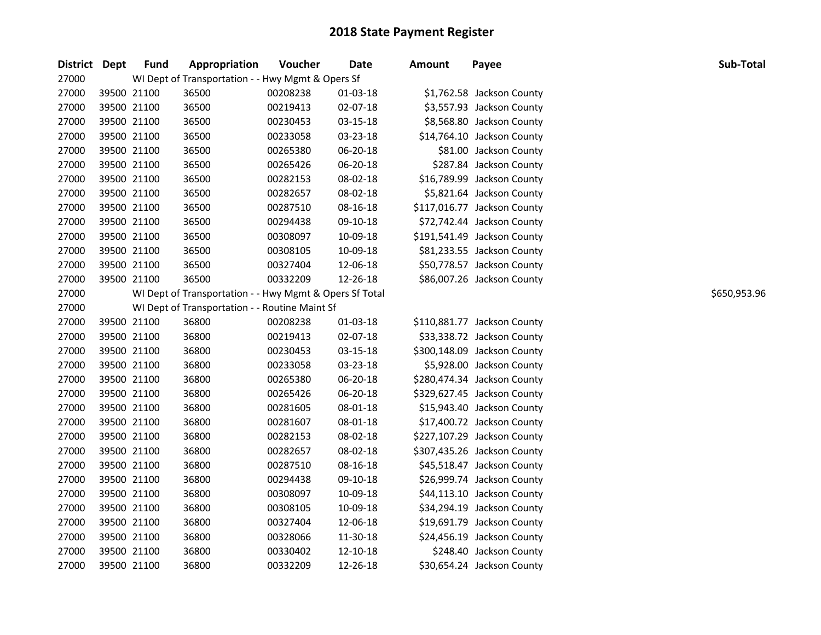| District Dept |             | <b>Fund</b> | Appropriation                                           | Voucher  | Date     | Amount | Payee                       | Sub-Total    |
|---------------|-------------|-------------|---------------------------------------------------------|----------|----------|--------|-----------------------------|--------------|
| 27000         |             |             | WI Dept of Transportation - - Hwy Mgmt & Opers Sf       |          |          |        |                             |              |
| 27000         | 39500 21100 |             | 36500                                                   | 00208238 | 01-03-18 |        | \$1,762.58 Jackson County   |              |
| 27000         | 39500 21100 |             | 36500                                                   | 00219413 | 02-07-18 |        | \$3,557.93 Jackson County   |              |
| 27000         | 39500 21100 |             | 36500                                                   | 00230453 | 03-15-18 |        | \$8,568.80 Jackson County   |              |
| 27000         | 39500 21100 |             | 36500                                                   | 00233058 | 03-23-18 |        | \$14,764.10 Jackson County  |              |
| 27000         | 39500 21100 |             | 36500                                                   | 00265380 | 06-20-18 |        | \$81.00 Jackson County      |              |
| 27000         | 39500 21100 |             | 36500                                                   | 00265426 | 06-20-18 |        | \$287.84 Jackson County     |              |
| 27000         | 39500 21100 |             | 36500                                                   | 00282153 | 08-02-18 |        | \$16,789.99 Jackson County  |              |
| 27000         | 39500 21100 |             | 36500                                                   | 00282657 | 08-02-18 |        | \$5,821.64 Jackson County   |              |
| 27000         | 39500 21100 |             | 36500                                                   | 00287510 | 08-16-18 |        | \$117,016.77 Jackson County |              |
| 27000         | 39500 21100 |             | 36500                                                   | 00294438 | 09-10-18 |        | \$72,742.44 Jackson County  |              |
| 27000         | 39500 21100 |             | 36500                                                   | 00308097 | 10-09-18 |        | \$191,541.49 Jackson County |              |
| 27000         | 39500 21100 |             | 36500                                                   | 00308105 | 10-09-18 |        | \$81,233.55 Jackson County  |              |
| 27000         |             | 39500 21100 | 36500                                                   | 00327404 | 12-06-18 |        | \$50,778.57 Jackson County  |              |
| 27000         |             | 39500 21100 | 36500                                                   | 00332209 | 12-26-18 |        | \$86,007.26 Jackson County  |              |
| 27000         |             |             | WI Dept of Transportation - - Hwy Mgmt & Opers Sf Total |          |          |        |                             | \$650,953.96 |
| 27000         |             |             | WI Dept of Transportation - - Routine Maint Sf          |          |          |        |                             |              |
| 27000         | 39500 21100 |             | 36800                                                   | 00208238 | 01-03-18 |        | \$110,881.77 Jackson County |              |
| 27000         | 39500 21100 |             | 36800                                                   | 00219413 | 02-07-18 |        | \$33,338.72 Jackson County  |              |
| 27000         | 39500 21100 |             | 36800                                                   | 00230453 | 03-15-18 |        | \$300,148.09 Jackson County |              |
| 27000         | 39500 21100 |             | 36800                                                   | 00233058 | 03-23-18 |        | \$5,928.00 Jackson County   |              |
| 27000         | 39500 21100 |             | 36800                                                   | 00265380 | 06-20-18 |        | \$280,474.34 Jackson County |              |
| 27000         | 39500 21100 |             | 36800                                                   | 00265426 | 06-20-18 |        | \$329,627.45 Jackson County |              |
| 27000         | 39500 21100 |             | 36800                                                   | 00281605 | 08-01-18 |        | \$15,943.40 Jackson County  |              |
| 27000         | 39500 21100 |             | 36800                                                   | 00281607 | 08-01-18 |        | \$17,400.72 Jackson County  |              |
| 27000         | 39500 21100 |             | 36800                                                   | 00282153 | 08-02-18 |        | \$227,107.29 Jackson County |              |
| 27000         |             | 39500 21100 | 36800                                                   | 00282657 | 08-02-18 |        | \$307,435.26 Jackson County |              |
| 27000         |             | 39500 21100 | 36800                                                   | 00287510 | 08-16-18 |        | \$45,518.47 Jackson County  |              |
| 27000         |             | 39500 21100 | 36800                                                   | 00294438 | 09-10-18 |        | \$26,999.74 Jackson County  |              |
| 27000         | 39500 21100 |             | 36800                                                   | 00308097 | 10-09-18 |        | \$44,113.10 Jackson County  |              |
| 27000         | 39500 21100 |             | 36800                                                   | 00308105 | 10-09-18 |        | \$34,294.19 Jackson County  |              |
| 27000         | 39500 21100 |             | 36800                                                   | 00327404 | 12-06-18 |        | \$19,691.79 Jackson County  |              |
| 27000         | 39500 21100 |             | 36800                                                   | 00328066 | 11-30-18 |        | \$24,456.19 Jackson County  |              |
| 27000         | 39500 21100 |             | 36800                                                   | 00330402 | 12-10-18 |        | \$248.40 Jackson County     |              |
| 27000         | 39500 21100 |             | 36800                                                   | 00332209 | 12-26-18 |        | \$30,654.24 Jackson County  |              |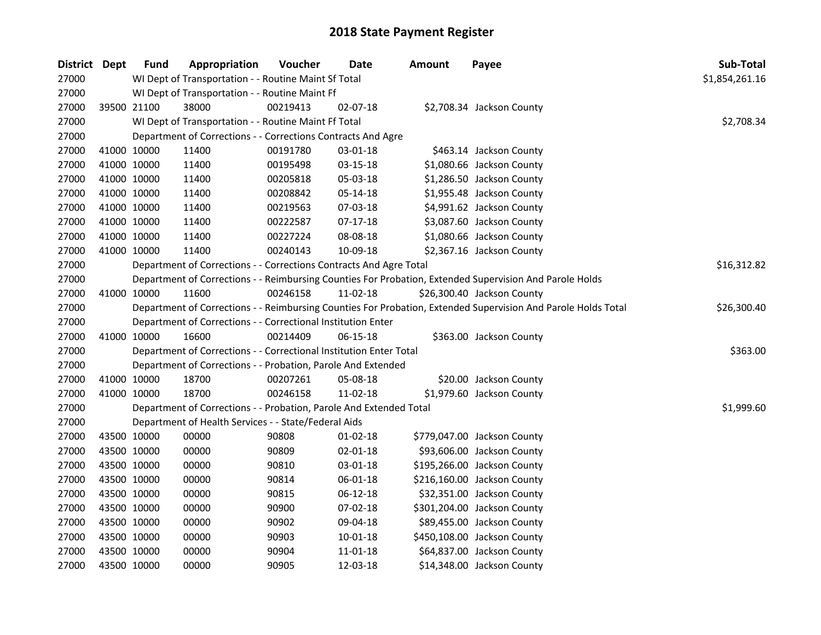| District Dept |             | Fund | Appropriation                                                      | Voucher  | Date           | <b>Amount</b> | Payee                                                                                                         | Sub-Total      |
|---------------|-------------|------|--------------------------------------------------------------------|----------|----------------|---------------|---------------------------------------------------------------------------------------------------------------|----------------|
| 27000         |             |      | WI Dept of Transportation - - Routine Maint Sf Total               |          |                |               |                                                                                                               | \$1,854,261.16 |
| 27000         |             |      | WI Dept of Transportation - - Routine Maint Ff                     |          |                |               |                                                                                                               |                |
| 27000         | 39500 21100 |      | 38000                                                              | 00219413 | 02-07-18       |               | \$2,708.34 Jackson County                                                                                     |                |
| 27000         |             |      | WI Dept of Transportation - - Routine Maint Ff Total               |          |                |               |                                                                                                               | \$2,708.34     |
| 27000         |             |      | Department of Corrections - - Corrections Contracts And Agre       |          |                |               |                                                                                                               |                |
| 27000         | 41000 10000 |      | 11400                                                              | 00191780 | 03-01-18       |               | \$463.14 Jackson County                                                                                       |                |
| 27000         | 41000 10000 |      | 11400                                                              | 00195498 | 03-15-18       |               | \$1,080.66 Jackson County                                                                                     |                |
| 27000         | 41000 10000 |      | 11400                                                              | 00205818 | 05-03-18       |               | \$1,286.50 Jackson County                                                                                     |                |
| 27000         | 41000 10000 |      | 11400                                                              | 00208842 | 05-14-18       |               | \$1,955.48 Jackson County                                                                                     |                |
| 27000         | 41000 10000 |      | 11400                                                              | 00219563 | 07-03-18       |               | \$4,991.62 Jackson County                                                                                     |                |
| 27000         | 41000 10000 |      | 11400                                                              | 00222587 | 07-17-18       |               | \$3,087.60 Jackson County                                                                                     |                |
| 27000         | 41000 10000 |      | 11400                                                              | 00227224 | 08-08-18       |               | \$1,080.66 Jackson County                                                                                     |                |
| 27000         | 41000 10000 |      | 11400                                                              | 00240143 | 10-09-18       |               | \$2,367.16 Jackson County                                                                                     |                |
| 27000         |             |      | Department of Corrections - - Corrections Contracts And Agre Total |          |                |               |                                                                                                               | \$16,312.82    |
| 27000         |             |      |                                                                    |          |                |               | Department of Corrections - - Reimbursing Counties For Probation, Extended Supervision And Parole Holds       |                |
| 27000         | 41000 10000 |      | 11600                                                              | 00246158 | 11-02-18       |               | \$26,300.40 Jackson County                                                                                    |                |
| 27000         |             |      |                                                                    |          |                |               | Department of Corrections - - Reimbursing Counties For Probation, Extended Supervision And Parole Holds Total | \$26,300.40    |
| 27000         |             |      | Department of Corrections - - Correctional Institution Enter       |          |                |               |                                                                                                               |                |
| 27000         | 41000 10000 |      | 16600                                                              | 00214409 | 06-15-18       |               | \$363.00 Jackson County                                                                                       |                |
| 27000         |             |      | Department of Corrections - - Correctional Institution Enter Total |          |                |               |                                                                                                               | \$363.00       |
| 27000         |             |      | Department of Corrections - - Probation, Parole And Extended       |          |                |               |                                                                                                               |                |
| 27000         | 41000 10000 |      | 18700                                                              | 00207261 | 05-08-18       |               | \$20.00 Jackson County                                                                                        |                |
| 27000         | 41000 10000 |      | 18700                                                              | 00246158 | 11-02-18       |               | \$1,979.60 Jackson County                                                                                     |                |
| 27000         |             |      | Department of Corrections - - Probation, Parole And Extended Total |          |                |               |                                                                                                               | \$1,999.60     |
| 27000         |             |      | Department of Health Services - - State/Federal Aids               |          |                |               |                                                                                                               |                |
| 27000         | 43500 10000 |      | 00000                                                              | 90808    | 01-02-18       |               | \$779,047.00 Jackson County                                                                                   |                |
| 27000         | 43500 10000 |      | 00000                                                              | 90809    | 02-01-18       |               | \$93,606.00 Jackson County                                                                                    |                |
| 27000         | 43500 10000 |      | 00000                                                              | 90810    | 03-01-18       |               | \$195,266.00 Jackson County                                                                                   |                |
| 27000         | 43500 10000 |      | 00000                                                              | 90814    | 06-01-18       |               | \$216,160.00 Jackson County                                                                                   |                |
| 27000         | 43500 10000 |      | 00000                                                              | 90815    | 06-12-18       |               | \$32,351.00 Jackson County                                                                                    |                |
| 27000         | 43500 10000 |      | 00000                                                              | 90900    | 07-02-18       |               | \$301,204.00 Jackson County                                                                                   |                |
| 27000         | 43500 10000 |      | 00000                                                              | 90902    | 09-04-18       |               | \$89,455.00 Jackson County                                                                                    |                |
| 27000         | 43500 10000 |      | 00000                                                              | 90903    | 10-01-18       |               | \$450,108.00 Jackson County                                                                                   |                |
| 27000         | 43500 10000 |      | 00000                                                              | 90904    | $11 - 01 - 18$ |               | \$64,837.00 Jackson County                                                                                    |                |
| 27000         | 43500 10000 |      | 00000                                                              | 90905    | 12-03-18       |               | \$14,348.00 Jackson County                                                                                    |                |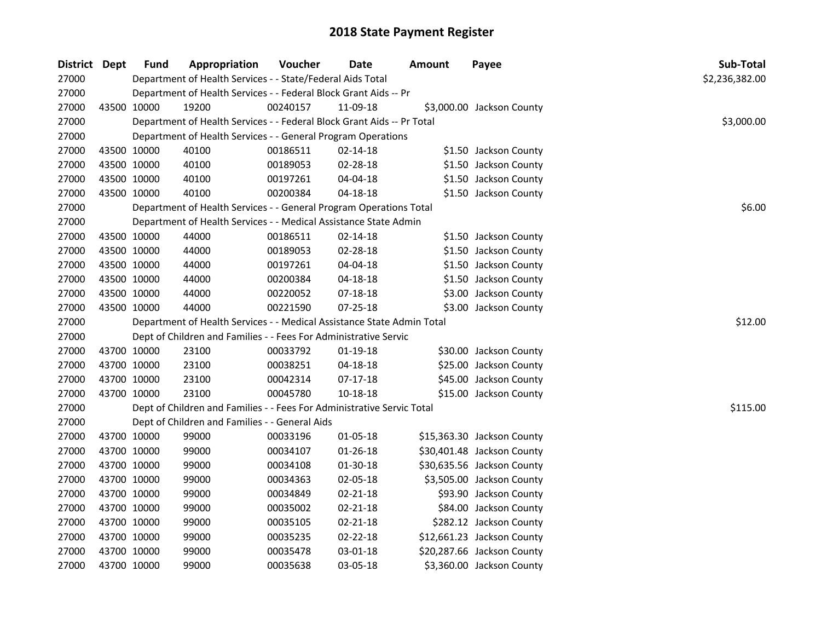| District Dept |             | <b>Fund</b> | Appropriation                                                          | Voucher  | <b>Date</b>    | <b>Amount</b> | Payee                      | Sub-Total      |
|---------------|-------------|-------------|------------------------------------------------------------------------|----------|----------------|---------------|----------------------------|----------------|
| 27000         |             |             | Department of Health Services - - State/Federal Aids Total             |          |                |               |                            | \$2,236,382.00 |
| 27000         |             |             | Department of Health Services - - Federal Block Grant Aids -- Pr       |          |                |               |                            |                |
| 27000         | 43500 10000 |             | 19200                                                                  | 00240157 | 11-09-18       |               | \$3,000.00 Jackson County  |                |
| 27000         |             |             | Department of Health Services - - Federal Block Grant Aids -- Pr Total |          |                |               |                            | \$3,000.00     |
| 27000         |             |             | Department of Health Services - - General Program Operations           |          |                |               |                            |                |
| 27000         |             | 43500 10000 | 40100                                                                  | 00186511 | $02 - 14 - 18$ |               | \$1.50 Jackson County      |                |
| 27000         |             | 43500 10000 | 40100                                                                  | 00189053 | 02-28-18       |               | \$1.50 Jackson County      |                |
| 27000         |             | 43500 10000 | 40100                                                                  | 00197261 | 04-04-18       |               | \$1.50 Jackson County      |                |
| 27000         |             | 43500 10000 | 40100                                                                  | 00200384 | $04 - 18 - 18$ |               | \$1.50 Jackson County      |                |
| 27000         |             |             | Department of Health Services - - General Program Operations Total     |          |                |               |                            | \$6.00         |
| 27000         |             |             | Department of Health Services - - Medical Assistance State Admin       |          |                |               |                            |                |
| 27000         |             | 43500 10000 | 44000                                                                  | 00186511 | $02 - 14 - 18$ |               | \$1.50 Jackson County      |                |
| 27000         |             | 43500 10000 | 44000                                                                  | 00189053 | 02-28-18       |               | \$1.50 Jackson County      |                |
| 27000         | 43500 10000 |             | 44000                                                                  | 00197261 | 04-04-18       |               | \$1.50 Jackson County      |                |
| 27000         | 43500 10000 |             | 44000                                                                  | 00200384 | 04-18-18       |               | \$1.50 Jackson County      |                |
| 27000         | 43500 10000 |             | 44000                                                                  | 00220052 | 07-18-18       |               | \$3.00 Jackson County      |                |
| 27000         | 43500 10000 |             | 44000                                                                  | 00221590 | $07 - 25 - 18$ |               | \$3.00 Jackson County      |                |
| 27000         |             |             | Department of Health Services - - Medical Assistance State Admin Total |          |                |               |                            | \$12.00        |
| 27000         |             |             | Dept of Children and Families - - Fees For Administrative Servic       |          |                |               |                            |                |
| 27000         |             | 43700 10000 | 23100                                                                  | 00033792 | 01-19-18       |               | \$30.00 Jackson County     |                |
| 27000         |             | 43700 10000 | 23100                                                                  | 00038251 | $04 - 18 - 18$ |               | \$25.00 Jackson County     |                |
| 27000         | 43700 10000 |             | 23100                                                                  | 00042314 | $07-17-18$     |               | \$45.00 Jackson County     |                |
| 27000         | 43700 10000 |             | 23100                                                                  | 00045780 | $10 - 18 - 18$ |               | \$15.00 Jackson County     |                |
| 27000         |             |             | Dept of Children and Families - - Fees For Administrative Servic Total |          |                |               |                            | \$115.00       |
| 27000         |             |             | Dept of Children and Families - - General Aids                         |          |                |               |                            |                |
| 27000         |             | 43700 10000 | 99000                                                                  | 00033196 | 01-05-18       |               | \$15,363.30 Jackson County |                |
| 27000         | 43700 10000 |             | 99000                                                                  | 00034107 | $01 - 26 - 18$ |               | \$30,401.48 Jackson County |                |
| 27000         | 43700 10000 |             | 99000                                                                  | 00034108 | 01-30-18       |               | \$30,635.56 Jackson County |                |
| 27000         | 43700 10000 |             | 99000                                                                  | 00034363 | 02-05-18       |               | \$3,505.00 Jackson County  |                |
| 27000         | 43700 10000 |             | 99000                                                                  | 00034849 | 02-21-18       |               | \$93.90 Jackson County     |                |
| 27000         | 43700 10000 |             | 99000                                                                  | 00035002 | 02-21-18       |               | \$84.00 Jackson County     |                |
| 27000         |             | 43700 10000 | 99000                                                                  | 00035105 | 02-21-18       |               | \$282.12 Jackson County    |                |
| 27000         | 43700 10000 |             | 99000                                                                  | 00035235 | 02-22-18       |               | \$12,661.23 Jackson County |                |
| 27000         | 43700 10000 |             | 99000                                                                  | 00035478 | 03-01-18       |               | \$20,287.66 Jackson County |                |
| 27000         | 43700 10000 |             | 99000                                                                  | 00035638 | 03-05-18       |               | \$3,360.00 Jackson County  |                |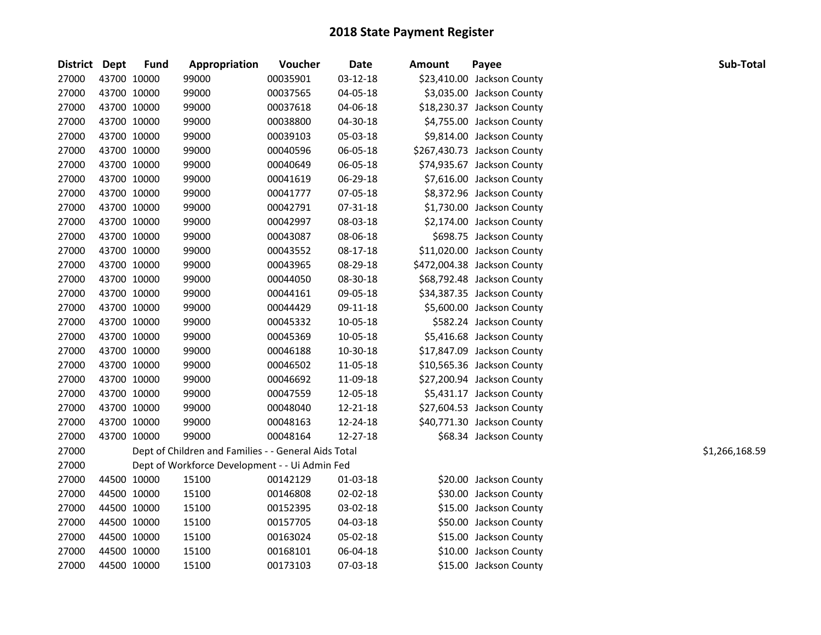| District Dept |             | <b>Fund</b> | Appropriation                                        | Voucher  | <b>Date</b> | <b>Amount</b> | Payee                       | Sub-Total      |
|---------------|-------------|-------------|------------------------------------------------------|----------|-------------|---------------|-----------------------------|----------------|
| 27000         | 43700 10000 |             | 99000                                                | 00035901 | 03-12-18    |               | \$23,410.00 Jackson County  |                |
| 27000         |             | 43700 10000 | 99000                                                | 00037565 | 04-05-18    |               | \$3,035.00 Jackson County   |                |
| 27000         |             | 43700 10000 | 99000                                                | 00037618 | 04-06-18    |               | \$18,230.37 Jackson County  |                |
| 27000         |             | 43700 10000 | 99000                                                | 00038800 | 04-30-18    |               | \$4,755.00 Jackson County   |                |
| 27000         |             | 43700 10000 | 99000                                                | 00039103 | 05-03-18    |               | \$9,814.00 Jackson County   |                |
| 27000         |             | 43700 10000 | 99000                                                | 00040596 | 06-05-18    |               | \$267,430.73 Jackson County |                |
| 27000         |             | 43700 10000 | 99000                                                | 00040649 | 06-05-18    |               | \$74,935.67 Jackson County  |                |
| 27000         |             | 43700 10000 | 99000                                                | 00041619 | 06-29-18    |               | \$7,616.00 Jackson County   |                |
| 27000         |             | 43700 10000 | 99000                                                | 00041777 | 07-05-18    |               | \$8,372.96 Jackson County   |                |
| 27000         |             | 43700 10000 | 99000                                                | 00042791 | 07-31-18    |               | \$1,730.00 Jackson County   |                |
| 27000         |             | 43700 10000 | 99000                                                | 00042997 | 08-03-18    |               | \$2,174.00 Jackson County   |                |
| 27000         | 43700 10000 |             | 99000                                                | 00043087 | 08-06-18    |               | \$698.75 Jackson County     |                |
| 27000         | 43700 10000 |             | 99000                                                | 00043552 | 08-17-18    |               | \$11,020.00 Jackson County  |                |
| 27000         | 43700 10000 |             | 99000                                                | 00043965 | 08-29-18    |               | \$472,004.38 Jackson County |                |
| 27000         |             | 43700 10000 | 99000                                                | 00044050 | 08-30-18    |               | \$68,792.48 Jackson County  |                |
| 27000         |             | 43700 10000 | 99000                                                | 00044161 | 09-05-18    |               | \$34,387.35 Jackson County  |                |
| 27000         |             | 43700 10000 | 99000                                                | 00044429 | 09-11-18    |               | \$5,600.00 Jackson County   |                |
| 27000         |             | 43700 10000 | 99000                                                | 00045332 | 10-05-18    |               | \$582.24 Jackson County     |                |
| 27000         |             | 43700 10000 | 99000                                                | 00045369 | 10-05-18    |               | \$5,416.68 Jackson County   |                |
| 27000         |             | 43700 10000 | 99000                                                | 00046188 | 10-30-18    |               | \$17,847.09 Jackson County  |                |
| 27000         |             | 43700 10000 | 99000                                                | 00046502 | 11-05-18    |               | \$10,565.36 Jackson County  |                |
| 27000         |             | 43700 10000 | 99000                                                | 00046692 | 11-09-18    |               | \$27,200.94 Jackson County  |                |
| 27000         |             | 43700 10000 | 99000                                                | 00047559 | 12-05-18    |               | \$5,431.17 Jackson County   |                |
| 27000         |             | 43700 10000 | 99000                                                | 00048040 | 12-21-18    |               | \$27,604.53 Jackson County  |                |
| 27000         |             | 43700 10000 | 99000                                                | 00048163 | 12-24-18    |               | \$40,771.30 Jackson County  |                |
| 27000         | 43700 10000 |             | 99000                                                | 00048164 | 12-27-18    |               | \$68.34 Jackson County      |                |
| 27000         |             |             | Dept of Children and Families - - General Aids Total |          |             |               |                             | \$1,266,168.59 |
| 27000         |             |             | Dept of Workforce Development - - Ui Admin Fed       |          |             |               |                             |                |
| 27000         |             | 44500 10000 | 15100                                                | 00142129 | 01-03-18    |               | \$20.00 Jackson County      |                |
| 27000         |             | 44500 10000 | 15100                                                | 00146808 | 02-02-18    |               | \$30.00 Jackson County      |                |
| 27000         |             | 44500 10000 | 15100                                                | 00152395 | 03-02-18    |               | \$15.00 Jackson County      |                |
| 27000         |             | 44500 10000 | 15100                                                | 00157705 | 04-03-18    |               | \$50.00 Jackson County      |                |
| 27000         |             | 44500 10000 | 15100                                                | 00163024 | 05-02-18    |               | \$15.00 Jackson County      |                |
| 27000         |             | 44500 10000 | 15100                                                | 00168101 | 06-04-18    |               | \$10.00 Jackson County      |                |
| 27000         |             | 44500 10000 | 15100                                                | 00173103 | 07-03-18    |               | \$15.00 Jackson County      |                |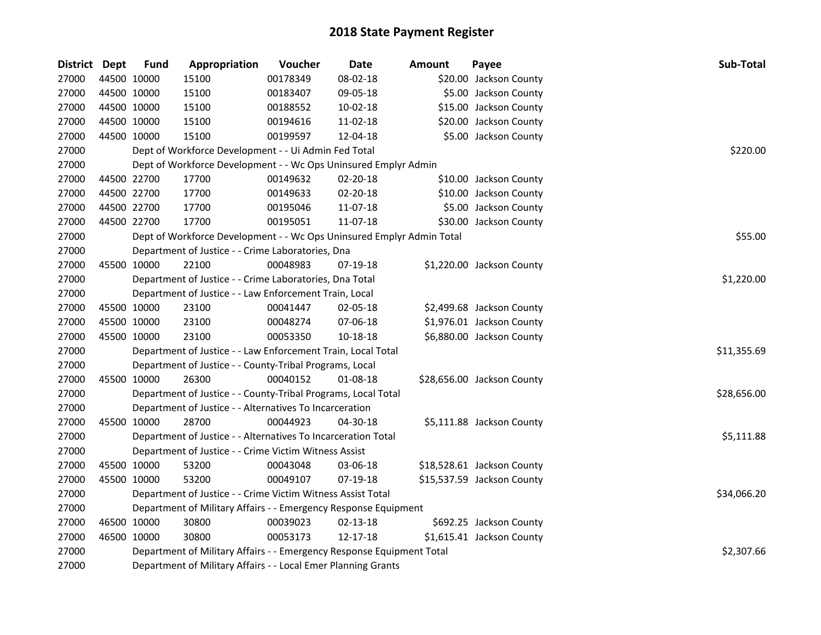| District Dept |             | <b>Fund</b> | Appropriation                                                                       | Voucher  | <b>Date</b>    | <b>Amount</b> | Payee                      | Sub-Total   |  |  |  |  |
|---------------|-------------|-------------|-------------------------------------------------------------------------------------|----------|----------------|---------------|----------------------------|-------------|--|--|--|--|
| 27000         |             | 44500 10000 | 15100                                                                               | 00178349 | 08-02-18       |               | \$20.00 Jackson County     |             |  |  |  |  |
| 27000         |             | 44500 10000 | 15100                                                                               | 00183407 | 09-05-18       |               | \$5.00 Jackson County      |             |  |  |  |  |
| 27000         | 44500 10000 |             | 15100                                                                               | 00188552 | 10-02-18       |               | \$15.00 Jackson County     |             |  |  |  |  |
| 27000         | 44500 10000 |             | 15100                                                                               | 00194616 | 11-02-18       |               | \$20.00 Jackson County     |             |  |  |  |  |
| 27000         |             | 44500 10000 | 15100                                                                               | 00199597 | 12-04-18       |               | \$5.00 Jackson County      |             |  |  |  |  |
| 27000         |             |             | Dept of Workforce Development - - Ui Admin Fed Total                                |          |                |               |                            | \$220.00    |  |  |  |  |
| 27000         |             |             | Dept of Workforce Development - - Wc Ops Uninsured Emplyr Admin                     |          |                |               |                            |             |  |  |  |  |
| 27000         |             | 44500 22700 | 17700                                                                               | 00149632 | 02-20-18       |               | \$10.00 Jackson County     |             |  |  |  |  |
| 27000         |             | 44500 22700 | 17700                                                                               | 00149633 | 02-20-18       |               | \$10.00 Jackson County     |             |  |  |  |  |
| 27000         | 44500 22700 |             | 17700                                                                               | 00195046 | 11-07-18       |               | \$5.00 Jackson County      |             |  |  |  |  |
| 27000         |             | 44500 22700 | 17700                                                                               | 00195051 | 11-07-18       |               | \$30.00 Jackson County     |             |  |  |  |  |
| 27000         |             |             | Dept of Workforce Development - - Wc Ops Uninsured Emplyr Admin Total               |          |                |               |                            | \$55.00     |  |  |  |  |
| 27000         |             |             | Department of Justice - - Crime Laboratories, Dna                                   |          |                |               |                            |             |  |  |  |  |
| 27000         |             | 45500 10000 | 22100                                                                               | 00048983 | 07-19-18       |               | \$1,220.00 Jackson County  |             |  |  |  |  |
| 27000         |             |             | Department of Justice - - Crime Laboratories, Dna Total                             |          |                |               |                            | \$1,220.00  |  |  |  |  |
| 27000         |             |             | Department of Justice - - Law Enforcement Train, Local                              |          |                |               |                            |             |  |  |  |  |
| 27000         |             | 45500 10000 | 23100                                                                               | 00041447 | 02-05-18       |               | \$2,499.68 Jackson County  |             |  |  |  |  |
| 27000         |             | 45500 10000 | 23100                                                                               | 00048274 | 07-06-18       |               | \$1,976.01 Jackson County  |             |  |  |  |  |
| 27000         |             | 45500 10000 | 23100                                                                               | 00053350 | $10 - 18 - 18$ |               | \$6,880.00 Jackson County  |             |  |  |  |  |
| 27000         |             |             | Department of Justice - - Law Enforcement Train, Local Total                        |          |                |               |                            | \$11,355.69 |  |  |  |  |
| 27000         |             |             | Department of Justice - - County-Tribal Programs, Local                             |          |                |               |                            |             |  |  |  |  |
| 27000         |             | 45500 10000 | 26300                                                                               | 00040152 | 01-08-18       |               | \$28,656.00 Jackson County |             |  |  |  |  |
| 27000         |             |             | Department of Justice - - County-Tribal Programs, Local Total                       |          |                |               |                            | \$28,656.00 |  |  |  |  |
| 27000         |             |             | Department of Justice - - Alternatives To Incarceration                             |          |                |               |                            |             |  |  |  |  |
| 27000         |             | 45500 10000 | 28700                                                                               | 00044923 | $04 - 30 - 18$ |               | \$5,111.88 Jackson County  |             |  |  |  |  |
| 27000         |             |             | Department of Justice - - Alternatives To Incarceration Total                       |          |                |               |                            | \$5,111.88  |  |  |  |  |
| 27000         |             |             | Department of Justice - - Crime Victim Witness Assist                               |          |                |               |                            |             |  |  |  |  |
| 27000         |             | 45500 10000 | 53200                                                                               | 00043048 | 03-06-18       |               | \$18,528.61 Jackson County |             |  |  |  |  |
| 27000         |             | 45500 10000 | 53200                                                                               | 00049107 | 07-19-18       |               | \$15,537.59 Jackson County |             |  |  |  |  |
| 27000         |             |             | Department of Justice - - Crime Victim Witness Assist Total                         |          |                |               |                            | \$34,066.20 |  |  |  |  |
| 27000         |             |             | Department of Military Affairs - - Emergency Response Equipment                     |          |                |               |                            |             |  |  |  |  |
| 27000         |             | 46500 10000 | 30800                                                                               | 00039023 | $02 - 13 - 18$ |               | \$692.25 Jackson County    |             |  |  |  |  |
| 27000         |             | 46500 10000 | 30800                                                                               | 00053173 | 12-17-18       |               | \$1,615.41 Jackson County  |             |  |  |  |  |
| 27000         |             |             | Department of Military Affairs - - Emergency Response Equipment Total<br>\$2,307.66 |          |                |               |                            |             |  |  |  |  |
| 27000         |             |             | Department of Military Affairs - - Local Emer Planning Grants                       |          |                |               |                            |             |  |  |  |  |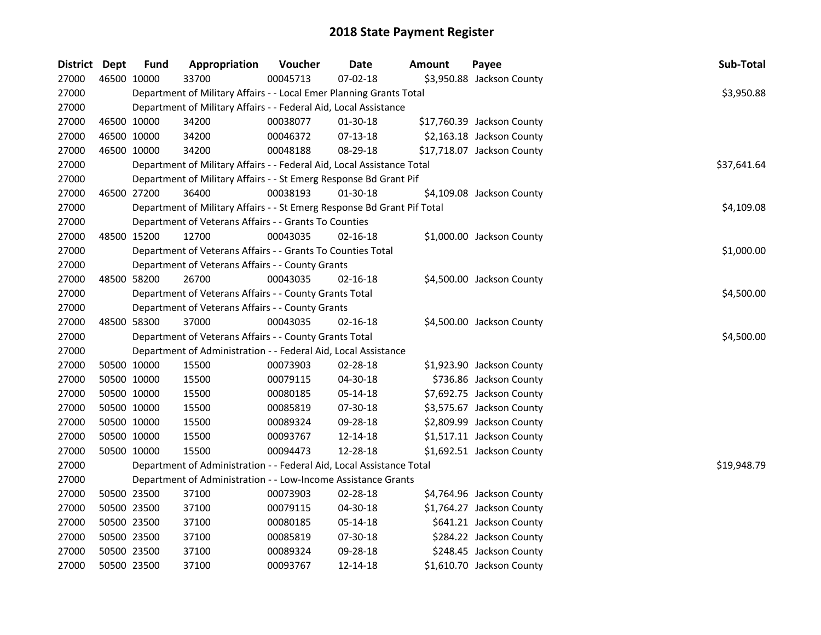| District Dept | <b>Fund</b> | Appropriation                                                           | Voucher  | <b>Date</b>    | <b>Amount</b> | Payee                      | Sub-Total   |
|---------------|-------------|-------------------------------------------------------------------------|----------|----------------|---------------|----------------------------|-------------|
| 27000         | 46500 10000 | 33700                                                                   | 00045713 | 07-02-18       |               | \$3,950.88 Jackson County  |             |
| 27000         |             | Department of Military Affairs - - Local Emer Planning Grants Total     |          |                |               |                            | \$3,950.88  |
| 27000         |             | Department of Military Affairs - - Federal Aid, Local Assistance        |          |                |               |                            |             |
| 27000         | 46500 10000 | 34200                                                                   | 00038077 | 01-30-18       |               | \$17,760.39 Jackson County |             |
| 27000         | 46500 10000 | 34200                                                                   | 00046372 | $07-13-18$     |               | \$2,163.18 Jackson County  |             |
| 27000         | 46500 10000 | 34200                                                                   | 00048188 | 08-29-18       |               | \$17,718.07 Jackson County |             |
| 27000         |             | Department of Military Affairs - - Federal Aid, Local Assistance Total  |          |                |               |                            | \$37,641.64 |
| 27000         |             | Department of Military Affairs - - St Emerg Response Bd Grant Pif       |          |                |               |                            |             |
| 27000         | 46500 27200 | 36400                                                                   | 00038193 | 01-30-18       |               | \$4,109.08 Jackson County  |             |
| 27000         |             | Department of Military Affairs - - St Emerg Response Bd Grant Pif Total |          |                |               |                            | \$4,109.08  |
| 27000         |             | Department of Veterans Affairs - - Grants To Counties                   |          |                |               |                            |             |
| 27000         | 48500 15200 | 12700                                                                   | 00043035 | 02-16-18       |               | \$1,000.00 Jackson County  |             |
| 27000         |             | Department of Veterans Affairs - - Grants To Counties Total             |          |                |               |                            | \$1,000.00  |
| 27000         |             | Department of Veterans Affairs - - County Grants                        |          |                |               |                            |             |
| 27000         | 48500 58200 | 26700                                                                   | 00043035 | 02-16-18       |               | \$4,500.00 Jackson County  |             |
| 27000         |             | Department of Veterans Affairs - - County Grants Total                  |          |                |               |                            | \$4,500.00  |
| 27000         |             | Department of Veterans Affairs - - County Grants                        |          |                |               |                            |             |
| 27000         | 48500 58300 | 37000                                                                   | 00043035 | $02 - 16 - 18$ |               | \$4,500.00 Jackson County  |             |
| 27000         |             | Department of Veterans Affairs - - County Grants Total                  |          |                |               |                            | \$4,500.00  |
| 27000         |             | Department of Administration - - Federal Aid, Local Assistance          |          |                |               |                            |             |
| 27000         | 50500 10000 | 15500                                                                   | 00073903 | 02-28-18       |               | \$1,923.90 Jackson County  |             |
| 27000         | 50500 10000 | 15500                                                                   | 00079115 | 04-30-18       |               | \$736.86 Jackson County    |             |
| 27000         | 50500 10000 | 15500                                                                   | 00080185 | 05-14-18       |               | \$7,692.75 Jackson County  |             |
| 27000         | 50500 10000 | 15500                                                                   | 00085819 | 07-30-18       |               | \$3,575.67 Jackson County  |             |
| 27000         | 50500 10000 | 15500                                                                   | 00089324 | 09-28-18       |               | \$2,809.99 Jackson County  |             |
| 27000         | 50500 10000 | 15500                                                                   | 00093767 | 12-14-18       |               | \$1,517.11 Jackson County  |             |
| 27000         | 50500 10000 | 15500                                                                   | 00094473 | 12-28-18       |               | \$1,692.51 Jackson County  |             |
| 27000         |             | Department of Administration - - Federal Aid, Local Assistance Total    |          |                |               |                            | \$19,948.79 |
| 27000         |             | Department of Administration - - Low-Income Assistance Grants           |          |                |               |                            |             |
| 27000         | 50500 23500 | 37100                                                                   | 00073903 | 02-28-18       |               | \$4,764.96 Jackson County  |             |
| 27000         | 50500 23500 | 37100                                                                   | 00079115 | 04-30-18       |               | \$1,764.27 Jackson County  |             |
| 27000         | 50500 23500 | 37100                                                                   | 00080185 | 05-14-18       |               | \$641.21 Jackson County    |             |
| 27000         | 50500 23500 | 37100                                                                   | 00085819 | 07-30-18       |               | \$284.22 Jackson County    |             |
| 27000         | 50500 23500 | 37100                                                                   | 00089324 | 09-28-18       |               | \$248.45 Jackson County    |             |
| 27000         | 50500 23500 | 37100                                                                   | 00093767 | 12-14-18       |               | \$1,610.70 Jackson County  |             |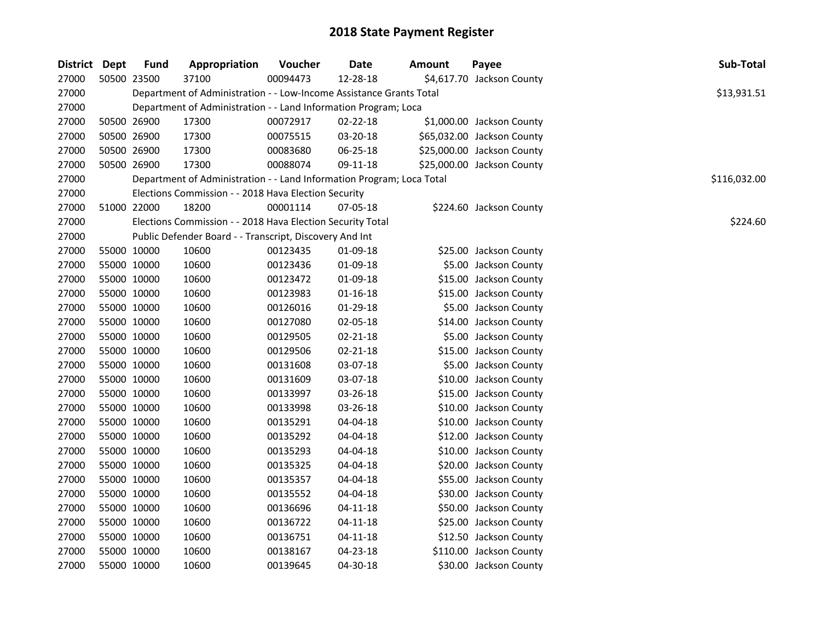| District Dept |             | <b>Fund</b> | Appropriation                                                         | Voucher  | <b>Date</b>    | <b>Amount</b> | Payee                      | Sub-Total    |
|---------------|-------------|-------------|-----------------------------------------------------------------------|----------|----------------|---------------|----------------------------|--------------|
| 27000         |             | 50500 23500 | 37100                                                                 | 00094473 | 12-28-18       |               | \$4,617.70 Jackson County  |              |
| 27000         |             |             | Department of Administration - - Low-Income Assistance Grants Total   |          |                |               |                            | \$13,931.51  |
| 27000         |             |             | Department of Administration - - Land Information Program; Loca       |          |                |               |                            |              |
| 27000         |             | 50500 26900 | 17300                                                                 | 00072917 | $02 - 22 - 18$ |               | \$1,000.00 Jackson County  |              |
| 27000         | 50500 26900 |             | 17300                                                                 | 00075515 | 03-20-18       |               | \$65,032.00 Jackson County |              |
| 27000         |             | 50500 26900 | 17300                                                                 | 00083680 | 06-25-18       |               | \$25,000.00 Jackson County |              |
| 27000         |             | 50500 26900 | 17300                                                                 | 00088074 | 09-11-18       |               | \$25,000.00 Jackson County |              |
| 27000         |             |             | Department of Administration - - Land Information Program; Loca Total |          |                |               |                            | \$116,032.00 |
| 27000         |             |             | Elections Commission - - 2018 Hava Election Security                  |          |                |               |                            |              |
| 27000         |             | 51000 22000 | 18200                                                                 | 00001114 | 07-05-18       |               | \$224.60 Jackson County    |              |
| 27000         |             |             | Elections Commission - - 2018 Hava Election Security Total            |          |                |               |                            | \$224.60     |
| 27000         |             |             | Public Defender Board - - Transcript, Discovery And Int               |          |                |               |                            |              |
| 27000         | 55000 10000 |             | 10600                                                                 | 00123435 | 01-09-18       |               | \$25.00 Jackson County     |              |
| 27000         | 55000 10000 |             | 10600                                                                 | 00123436 | 01-09-18       |               | \$5.00 Jackson County      |              |
| 27000         | 55000 10000 |             | 10600                                                                 | 00123472 | 01-09-18       |               | \$15.00 Jackson County     |              |
| 27000         | 55000 10000 |             | 10600                                                                 | 00123983 | $01 - 16 - 18$ |               | \$15.00 Jackson County     |              |
| 27000         | 55000 10000 |             | 10600                                                                 | 00126016 | 01-29-18       |               | \$5.00 Jackson County      |              |
| 27000         |             | 55000 10000 | 10600                                                                 | 00127080 | 02-05-18       |               | \$14.00 Jackson County     |              |
| 27000         |             | 55000 10000 | 10600                                                                 | 00129505 | 02-21-18       |               | \$5.00 Jackson County      |              |
| 27000         | 55000 10000 |             | 10600                                                                 | 00129506 | 02-21-18       |               | \$15.00 Jackson County     |              |
| 27000         | 55000 10000 |             | 10600                                                                 | 00131608 | 03-07-18       |               | \$5.00 Jackson County      |              |
| 27000         | 55000 10000 |             | 10600                                                                 | 00131609 | 03-07-18       |               | \$10.00 Jackson County     |              |
| 27000         | 55000 10000 |             | 10600                                                                 | 00133997 | 03-26-18       |               | \$15.00 Jackson County     |              |
| 27000         | 55000 10000 |             | 10600                                                                 | 00133998 | 03-26-18       |               | \$10.00 Jackson County     |              |
| 27000         | 55000 10000 |             | 10600                                                                 | 00135291 | 04-04-18       |               | \$10.00 Jackson County     |              |
| 27000         | 55000 10000 |             | 10600                                                                 | 00135292 | 04-04-18       |               | \$12.00 Jackson County     |              |
| 27000         | 55000 10000 |             | 10600                                                                 | 00135293 | 04-04-18       |               | \$10.00 Jackson County     |              |
| 27000         | 55000 10000 |             | 10600                                                                 | 00135325 | $04 - 04 - 18$ |               | \$20.00 Jackson County     |              |
| 27000         | 55000 10000 |             | 10600                                                                 | 00135357 | 04-04-18       |               | \$55.00 Jackson County     |              |
| 27000         | 55000 10000 |             | 10600                                                                 | 00135552 | 04-04-18       |               | \$30.00 Jackson County     |              |
| 27000         | 55000 10000 |             | 10600                                                                 | 00136696 | $04 - 11 - 18$ |               | \$50.00 Jackson County     |              |
| 27000         |             | 55000 10000 | 10600                                                                 | 00136722 | 04-11-18       |               | \$25.00 Jackson County     |              |
| 27000         |             | 55000 10000 | 10600                                                                 | 00136751 | $04 - 11 - 18$ |               | \$12.50 Jackson County     |              |
| 27000         | 55000 10000 |             | 10600                                                                 | 00138167 | 04-23-18       |               | \$110.00 Jackson County    |              |
| 27000         | 55000 10000 |             | 10600                                                                 | 00139645 | 04-30-18       |               | \$30.00 Jackson County     |              |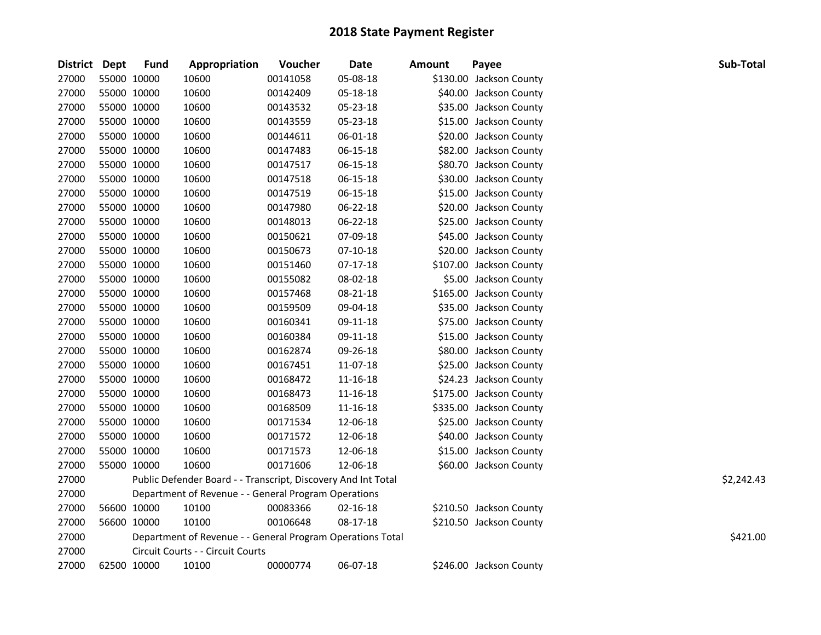| District Dept |             | <b>Fund</b> | Appropriation                                                 | Voucher  | <b>Date</b>    | <b>Amount</b> | Payee                   | Sub-Total  |
|---------------|-------------|-------------|---------------------------------------------------------------|----------|----------------|---------------|-------------------------|------------|
| 27000         | 55000 10000 |             | 10600                                                         | 00141058 | 05-08-18       |               | \$130.00 Jackson County |            |
| 27000         | 55000 10000 |             | 10600                                                         | 00142409 | 05-18-18       |               | \$40.00 Jackson County  |            |
| 27000         | 55000 10000 |             | 10600                                                         | 00143532 | 05-23-18       |               | \$35.00 Jackson County  |            |
| 27000         | 55000 10000 |             | 10600                                                         | 00143559 | 05-23-18       |               | \$15.00 Jackson County  |            |
| 27000         | 55000 10000 |             | 10600                                                         | 00144611 | 06-01-18       |               | \$20.00 Jackson County  |            |
| 27000         | 55000 10000 |             | 10600                                                         | 00147483 | 06-15-18       |               | \$82.00 Jackson County  |            |
| 27000         | 55000 10000 |             | 10600                                                         | 00147517 | 06-15-18       |               | \$80.70 Jackson County  |            |
| 27000         | 55000 10000 |             | 10600                                                         | 00147518 | 06-15-18       |               | \$30.00 Jackson County  |            |
| 27000         | 55000 10000 |             | 10600                                                         | 00147519 | 06-15-18       |               | \$15.00 Jackson County  |            |
| 27000         | 55000 10000 |             | 10600                                                         | 00147980 | 06-22-18       |               | \$20.00 Jackson County  |            |
| 27000         | 55000 10000 |             | 10600                                                         | 00148013 | 06-22-18       |               | \$25.00 Jackson County  |            |
| 27000         | 55000 10000 |             | 10600                                                         | 00150621 | 07-09-18       |               | \$45.00 Jackson County  |            |
| 27000         | 55000 10000 |             | 10600                                                         | 00150673 | $07-10-18$     |               | \$20.00 Jackson County  |            |
| 27000         | 55000 10000 |             | 10600                                                         | 00151460 | $07-17-18$     |               | \$107.00 Jackson County |            |
| 27000         | 55000 10000 |             | 10600                                                         | 00155082 | 08-02-18       |               | \$5.00 Jackson County   |            |
| 27000         | 55000 10000 |             | 10600                                                         | 00157468 | 08-21-18       |               | \$165.00 Jackson County |            |
| 27000         | 55000 10000 |             | 10600                                                         | 00159509 | 09-04-18       |               | \$35.00 Jackson County  |            |
| 27000         | 55000 10000 |             | 10600                                                         | 00160341 | 09-11-18       |               | \$75.00 Jackson County  |            |
| 27000         | 55000 10000 |             | 10600                                                         | 00160384 | 09-11-18       |               | \$15.00 Jackson County  |            |
| 27000         | 55000 10000 |             | 10600                                                         | 00162874 | 09-26-18       |               | \$80.00 Jackson County  |            |
| 27000         | 55000 10000 |             | 10600                                                         | 00167451 | 11-07-18       |               | \$25.00 Jackson County  |            |
| 27000         | 55000 10000 |             | 10600                                                         | 00168472 | 11-16-18       |               | \$24.23 Jackson County  |            |
| 27000         | 55000 10000 |             | 10600                                                         | 00168473 | $11 - 16 - 18$ |               | \$175.00 Jackson County |            |
| 27000         | 55000 10000 |             | 10600                                                         | 00168509 | 11-16-18       |               | \$335.00 Jackson County |            |
| 27000         | 55000 10000 |             | 10600                                                         | 00171534 | 12-06-18       |               | \$25.00 Jackson County  |            |
| 27000         | 55000 10000 |             | 10600                                                         | 00171572 | 12-06-18       |               | \$40.00 Jackson County  |            |
| 27000         | 55000 10000 |             | 10600                                                         | 00171573 | 12-06-18       |               | \$15.00 Jackson County  |            |
| 27000         | 55000 10000 |             | 10600                                                         | 00171606 | 12-06-18       |               | \$60.00 Jackson County  |            |
| 27000         |             |             | Public Defender Board - - Transcript, Discovery And Int Total |          |                |               |                         | \$2,242.43 |
| 27000         |             |             | Department of Revenue - - General Program Operations          |          |                |               |                         |            |
| 27000         | 56600 10000 |             | 10100                                                         | 00083366 | 02-16-18       |               | \$210.50 Jackson County |            |
| 27000         | 56600 10000 |             | 10100                                                         | 00106648 | 08-17-18       |               | \$210.50 Jackson County |            |
| 27000         |             |             | Department of Revenue - - General Program Operations Total    |          |                |               |                         | \$421.00   |
| 27000         |             |             | Circuit Courts - - Circuit Courts                             |          |                |               |                         |            |
| 27000         | 62500 10000 |             | 10100                                                         | 00000774 | 06-07-18       |               | \$246.00 Jackson County |            |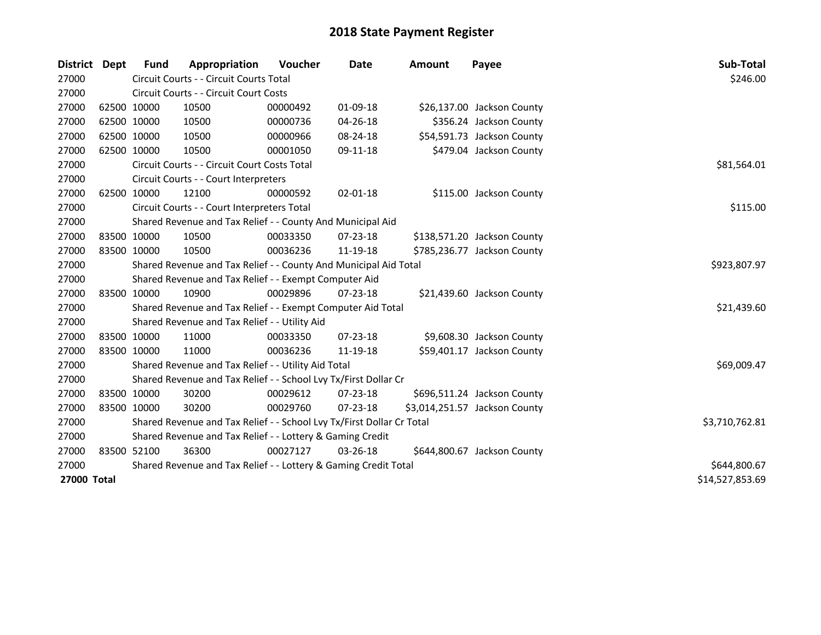| <b>District</b> | <b>Dept</b> | <b>Fund</b> | Appropriation                                                         | Voucher      | Date           | <b>Amount</b> | Payee                         | Sub-Total       |
|-----------------|-------------|-------------|-----------------------------------------------------------------------|--------------|----------------|---------------|-------------------------------|-----------------|
| 27000           |             |             | Circuit Courts - - Circuit Courts Total                               |              |                |               |                               | \$246.00        |
| 27000           |             |             | Circuit Courts - - Circuit Court Costs                                |              |                |               |                               |                 |
| 27000           |             | 62500 10000 | 10500                                                                 | 00000492     | 01-09-18       |               | \$26,137.00 Jackson County    |                 |
| 27000           |             | 62500 10000 | 10500                                                                 | 00000736     | 04-26-18       |               | \$356.24 Jackson County       |                 |
| 27000           |             | 62500 10000 | 10500                                                                 | 00000966     | 08-24-18       |               | \$54,591.73 Jackson County    |                 |
| 27000           |             | 62500 10000 | 10500                                                                 | 00001050     | 09-11-18       |               | \$479.04 Jackson County       |                 |
| 27000           |             |             | Circuit Courts - - Circuit Court Costs Total                          |              |                |               |                               | \$81,564.01     |
| 27000           |             |             | Circuit Courts - - Court Interpreters                                 |              |                |               |                               |                 |
| 27000           |             | 62500 10000 | 12100                                                                 | 00000592     | $02 - 01 - 18$ |               | \$115.00 Jackson County       |                 |
| 27000           |             |             | Circuit Courts - - Court Interpreters Total                           |              |                |               |                               | \$115.00        |
| 27000           |             |             | Shared Revenue and Tax Relief - - County And Municipal Aid            |              |                |               |                               |                 |
| 27000           |             | 83500 10000 | 10500                                                                 | 00033350     | $07 - 23 - 18$ |               | \$138,571.20 Jackson County   |                 |
| 27000           |             | 83500 10000 | 10500                                                                 | 00036236     | 11-19-18       |               | \$785,236.77 Jackson County   |                 |
| 27000           |             |             | Shared Revenue and Tax Relief - - County And Municipal Aid Total      |              |                |               |                               | \$923,807.97    |
| 27000           |             |             | Shared Revenue and Tax Relief - - Exempt Computer Aid                 |              |                |               |                               |                 |
| 27000           |             | 83500 10000 | 10900                                                                 | 00029896     | $07 - 23 - 18$ |               | \$21,439.60 Jackson County    |                 |
| 27000           |             |             | Shared Revenue and Tax Relief - - Exempt Computer Aid Total           |              |                |               |                               | \$21,439.60     |
| 27000           |             |             | Shared Revenue and Tax Relief - - Utility Aid                         |              |                |               |                               |                 |
| 27000           |             | 83500 10000 | 11000                                                                 | 00033350     | $07 - 23 - 18$ |               | \$9,608.30 Jackson County     |                 |
| 27000           |             | 83500 10000 | 11000                                                                 | 00036236     | 11-19-18       |               | \$59,401.17 Jackson County    |                 |
| 27000           |             |             | Shared Revenue and Tax Relief - - Utility Aid Total                   |              |                |               |                               | \$69,009.47     |
| 27000           |             |             | Shared Revenue and Tax Relief - - School Lvy Tx/First Dollar Cr       |              |                |               |                               |                 |
| 27000           |             | 83500 10000 | 30200                                                                 | 00029612     | $07 - 23 - 18$ |               | \$696,511.24 Jackson County   |                 |
| 27000           |             | 83500 10000 | 30200                                                                 | 00029760     | $07 - 23 - 18$ |               | \$3,014,251.57 Jackson County |                 |
| 27000           |             |             | Shared Revenue and Tax Relief - - School Lvy Tx/First Dollar Cr Total |              |                |               |                               | \$3,710,762.81  |
| 27000           |             |             | Shared Revenue and Tax Relief - - Lottery & Gaming Credit             |              |                |               |                               |                 |
| 27000           |             | 83500 52100 | 36300                                                                 | 00027127     | 03-26-18       |               | \$644,800.67 Jackson County   |                 |
| 27000           |             |             | Shared Revenue and Tax Relief - - Lottery & Gaming Credit Total       | \$644,800.67 |                |               |                               |                 |
| 27000 Total     |             |             |                                                                       |              |                |               |                               | \$14,527,853.69 |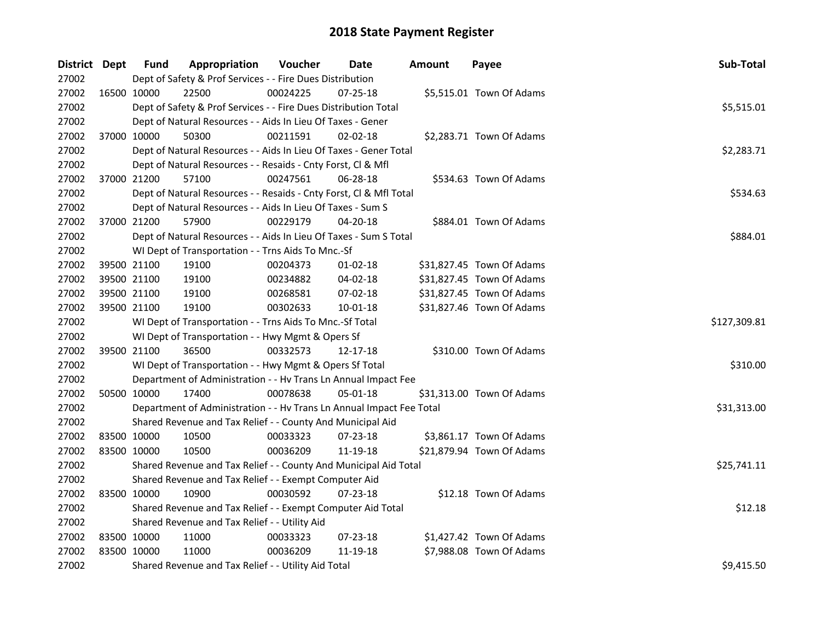| District Dept |             | <b>Fund</b> | Appropriation                                                        | Voucher  | Date           | <b>Amount</b> | Payee                     | Sub-Total    |
|---------------|-------------|-------------|----------------------------------------------------------------------|----------|----------------|---------------|---------------------------|--------------|
| 27002         |             |             | Dept of Safety & Prof Services - - Fire Dues Distribution            |          |                |               |                           |              |
| 27002         | 16500 10000 |             | 22500                                                                | 00024225 | $07 - 25 - 18$ |               | \$5,515.01 Town Of Adams  |              |
| 27002         |             |             | Dept of Safety & Prof Services - - Fire Dues Distribution Total      |          |                |               |                           | \$5,515.01   |
| 27002         |             |             | Dept of Natural Resources - - Aids In Lieu Of Taxes - Gener          |          |                |               |                           |              |
| 27002         | 37000 10000 |             | 50300                                                                | 00211591 | $02 - 02 - 18$ |               | \$2,283.71 Town Of Adams  |              |
| 27002         |             |             | Dept of Natural Resources - - Aids In Lieu Of Taxes - Gener Total    |          |                |               |                           | \$2,283.71   |
| 27002         |             |             | Dept of Natural Resources - - Resaids - Cnty Forst, Cl & Mfl         |          |                |               |                           |              |
| 27002         |             | 37000 21200 | 57100                                                                | 00247561 | 06-28-18       |               | \$534.63 Town Of Adams    |              |
| 27002         |             |             | Dept of Natural Resources - - Resaids - Cnty Forst, Cl & Mfl Total   |          |                |               |                           | \$534.63     |
| 27002         |             |             | Dept of Natural Resources - - Aids In Lieu Of Taxes - Sum S          |          |                |               |                           |              |
| 27002         |             | 37000 21200 | 57900                                                                | 00229179 | 04-20-18       |               | \$884.01 Town Of Adams    |              |
| 27002         |             |             | Dept of Natural Resources - - Aids In Lieu Of Taxes - Sum S Total    |          |                |               |                           | \$884.01     |
| 27002         |             |             | WI Dept of Transportation - - Trns Aids To Mnc.-Sf                   |          |                |               |                           |              |
| 27002         |             | 39500 21100 | 19100                                                                | 00204373 | 01-02-18       |               | \$31,827.45 Town Of Adams |              |
| 27002         |             | 39500 21100 | 19100                                                                | 00234882 | 04-02-18       |               | \$31,827.45 Town Of Adams |              |
| 27002         |             | 39500 21100 | 19100                                                                | 00268581 | 07-02-18       |               | \$31,827.45 Town Of Adams |              |
| 27002         | 39500 21100 |             | 19100                                                                | 00302633 | $10 - 01 - 18$ |               | \$31,827.46 Town Of Adams |              |
| 27002         |             |             | WI Dept of Transportation - - Trns Aids To Mnc.-Sf Total             |          |                |               |                           | \$127,309.81 |
| 27002         |             |             | WI Dept of Transportation - - Hwy Mgmt & Opers Sf                    |          |                |               |                           |              |
| 27002         | 39500 21100 |             | 36500                                                                | 00332573 | 12-17-18       |               | \$310.00 Town Of Adams    |              |
| 27002         |             |             | WI Dept of Transportation - - Hwy Mgmt & Opers Sf Total              |          |                |               |                           | \$310.00     |
| 27002         |             |             | Department of Administration - - Hv Trans Ln Annual Impact Fee       |          |                |               |                           |              |
| 27002         | 50500 10000 |             | 17400                                                                | 00078638 | 05-01-18       |               | \$31,313.00 Town Of Adams |              |
| 27002         |             |             | Department of Administration - - Hv Trans Ln Annual Impact Fee Total |          |                |               |                           | \$31,313.00  |
| 27002         |             |             | Shared Revenue and Tax Relief - - County And Municipal Aid           |          |                |               |                           |              |
| 27002         |             | 83500 10000 | 10500                                                                | 00033323 | 07-23-18       |               | \$3,861.17 Town Of Adams  |              |
| 27002         | 83500 10000 |             | 10500                                                                | 00036209 | 11-19-18       |               | \$21,879.94 Town Of Adams |              |
| 27002         |             |             | Shared Revenue and Tax Relief - - County And Municipal Aid Total     |          |                |               |                           | \$25,741.11  |
| 27002         |             |             | Shared Revenue and Tax Relief - - Exempt Computer Aid                |          |                |               |                           |              |
| 27002         | 83500 10000 |             | 10900                                                                | 00030592 | 07-23-18       |               | \$12.18 Town Of Adams     |              |
| 27002         |             |             | Shared Revenue and Tax Relief - - Exempt Computer Aid Total          |          |                |               |                           | \$12.18      |
| 27002         |             |             | Shared Revenue and Tax Relief - - Utility Aid                        |          |                |               |                           |              |
| 27002         |             | 83500 10000 | 11000                                                                | 00033323 | 07-23-18       |               | \$1,427.42 Town Of Adams  |              |
| 27002         | 83500 10000 |             | 11000                                                                | 00036209 | 11-19-18       |               | \$7,988.08 Town Of Adams  |              |
| 27002         |             |             | Shared Revenue and Tax Relief - - Utility Aid Total                  |          |                |               |                           | \$9,415.50   |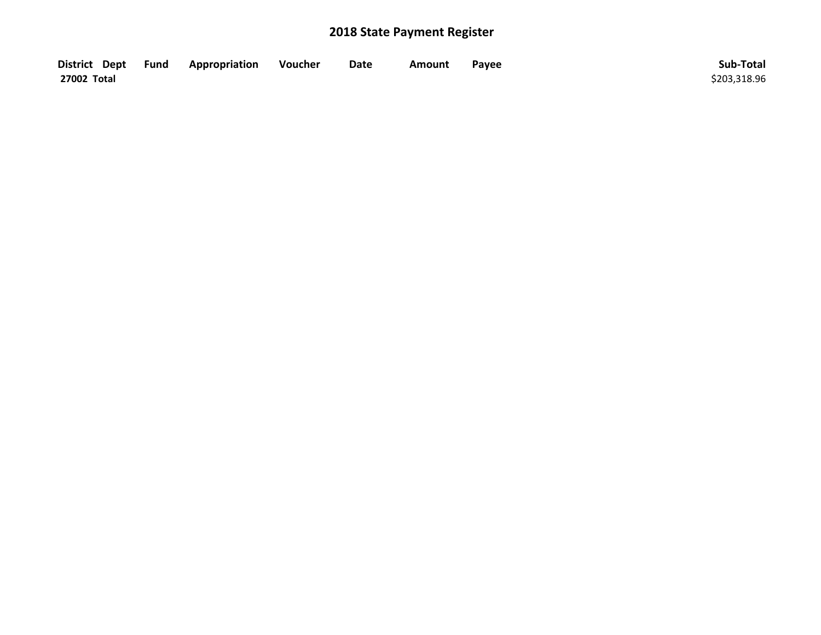| District Dept Fund | Appropriation | Voucher | Date | <b>Amount</b> | Payee | Sub-Total    |
|--------------------|---------------|---------|------|---------------|-------|--------------|
| 27002 Total        |               |         |      |               |       | \$203,318.96 |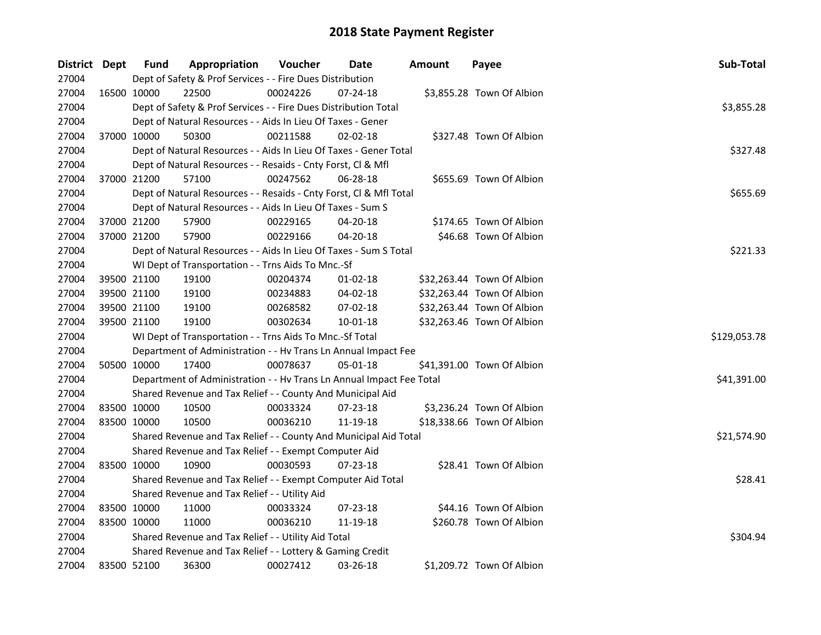| District Dept |             | <b>Fund</b> | Appropriation                                                        | Voucher  | Date           | <b>Amount</b> | Payee                      | Sub-Total    |
|---------------|-------------|-------------|----------------------------------------------------------------------|----------|----------------|---------------|----------------------------|--------------|
| 27004         |             |             | Dept of Safety & Prof Services - - Fire Dues Distribution            |          |                |               |                            |              |
| 27004         |             | 16500 10000 | 22500                                                                | 00024226 | 07-24-18       |               | \$3,855.28 Town Of Albion  |              |
| 27004         |             |             | Dept of Safety & Prof Services - - Fire Dues Distribution Total      |          |                |               |                            | \$3,855.28   |
| 27004         |             |             | Dept of Natural Resources - - Aids In Lieu Of Taxes - Gener          |          |                |               |                            |              |
| 27004         |             | 37000 10000 | 50300                                                                | 00211588 | $02 - 02 - 18$ |               | \$327.48 Town Of Albion    |              |
| 27004         |             |             | Dept of Natural Resources - - Aids In Lieu Of Taxes - Gener Total    |          |                |               |                            | \$327.48     |
| 27004         |             |             | Dept of Natural Resources - - Resaids - Cnty Forst, Cl & Mfl         |          |                |               |                            |              |
| 27004         |             | 37000 21200 | 57100                                                                | 00247562 | 06-28-18       |               | \$655.69 Town Of Albion    |              |
| 27004         |             |             | Dept of Natural Resources - - Resaids - Cnty Forst, Cl & Mfl Total   |          |                |               |                            | \$655.69     |
| 27004         |             |             | Dept of Natural Resources - - Aids In Lieu Of Taxes - Sum S          |          |                |               |                            |              |
| 27004         |             | 37000 21200 | 57900                                                                | 00229165 | 04-20-18       |               | \$174.65 Town Of Albion    |              |
| 27004         | 37000 21200 |             | 57900                                                                | 00229166 | 04-20-18       |               | \$46.68 Town Of Albion     |              |
| 27004         |             |             | Dept of Natural Resources - - Aids In Lieu Of Taxes - Sum S Total    |          |                |               |                            | \$221.33     |
| 27004         |             |             | WI Dept of Transportation - - Trns Aids To Mnc.-Sf                   |          |                |               |                            |              |
| 27004         |             | 39500 21100 | 19100                                                                | 00204374 | 01-02-18       |               | \$32,263.44 Town Of Albion |              |
| 27004         |             | 39500 21100 | 19100                                                                | 00234883 | 04-02-18       |               | \$32,263.44 Town Of Albion |              |
| 27004         |             | 39500 21100 | 19100                                                                | 00268582 | 07-02-18       |               | \$32,263.44 Town Of Albion |              |
| 27004         |             | 39500 21100 | 19100                                                                | 00302634 | 10-01-18       |               | \$32,263.46 Town Of Albion |              |
| 27004         |             |             | WI Dept of Transportation - - Trns Aids To Mnc.-Sf Total             |          |                |               |                            | \$129,053.78 |
| 27004         |             |             | Department of Administration - - Hv Trans Ln Annual Impact Fee       |          |                |               |                            |              |
| 27004         | 50500 10000 |             | 17400                                                                | 00078637 | 05-01-18       |               | \$41,391.00 Town Of Albion |              |
| 27004         |             |             | Department of Administration - - Hv Trans Ln Annual Impact Fee Total |          |                |               |                            | \$41,391.00  |
| 27004         |             |             | Shared Revenue and Tax Relief - - County And Municipal Aid           |          |                |               |                            |              |
| 27004         |             | 83500 10000 | 10500                                                                | 00033324 | 07-23-18       |               | \$3,236.24 Town Of Albion  |              |
| 27004         |             | 83500 10000 | 10500                                                                | 00036210 | 11-19-18       |               | \$18,338.66 Town Of Albion |              |
| 27004         |             |             | Shared Revenue and Tax Relief - - County And Municipal Aid Total     |          |                |               |                            | \$21,574.90  |
| 27004         |             |             | Shared Revenue and Tax Relief - - Exempt Computer Aid                |          |                |               |                            |              |
| 27004         | 83500 10000 |             | 10900                                                                | 00030593 | 07-23-18       |               | \$28.41 Town Of Albion     |              |
| 27004         |             |             | Shared Revenue and Tax Relief - - Exempt Computer Aid Total          |          |                |               |                            | \$28.41      |
| 27004         |             |             | Shared Revenue and Tax Relief - - Utility Aid                        |          |                |               |                            |              |
| 27004         |             | 83500 10000 | 11000                                                                | 00033324 | $07 - 23 - 18$ |               | \$44.16 Town Of Albion     |              |
| 27004         | 83500 10000 |             | 11000                                                                | 00036210 | 11-19-18       |               | \$260.78 Town Of Albion    |              |
| 27004         |             |             | Shared Revenue and Tax Relief - - Utility Aid Total                  |          |                |               |                            | \$304.94     |
| 27004         |             |             | Shared Revenue and Tax Relief - - Lottery & Gaming Credit            |          |                |               |                            |              |
| 27004         |             | 83500 52100 | 36300                                                                | 00027412 | 03-26-18       |               | \$1,209.72 Town Of Albion  |              |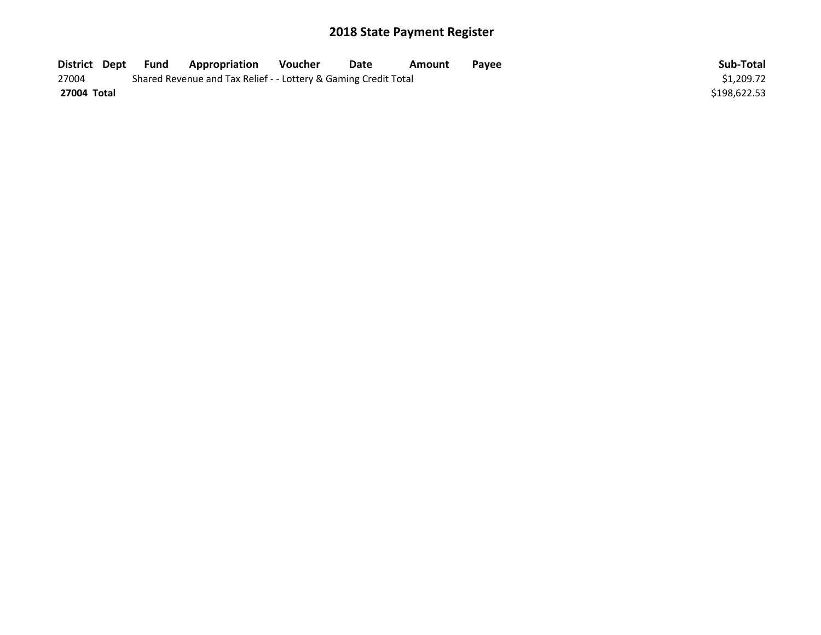| District Dept | Fund | <b>Appropriation</b>                                            | Voucher    | Date | Amount | Pavee | Sub-Total    |
|---------------|------|-----------------------------------------------------------------|------------|------|--------|-------|--------------|
| 27004         |      | Shared Revenue and Tax Relief - - Lottery & Gaming Credit Total | \$1.209.72 |      |        |       |              |
| 27004 Total   |      |                                                                 |            |      |        |       | \$198,622.53 |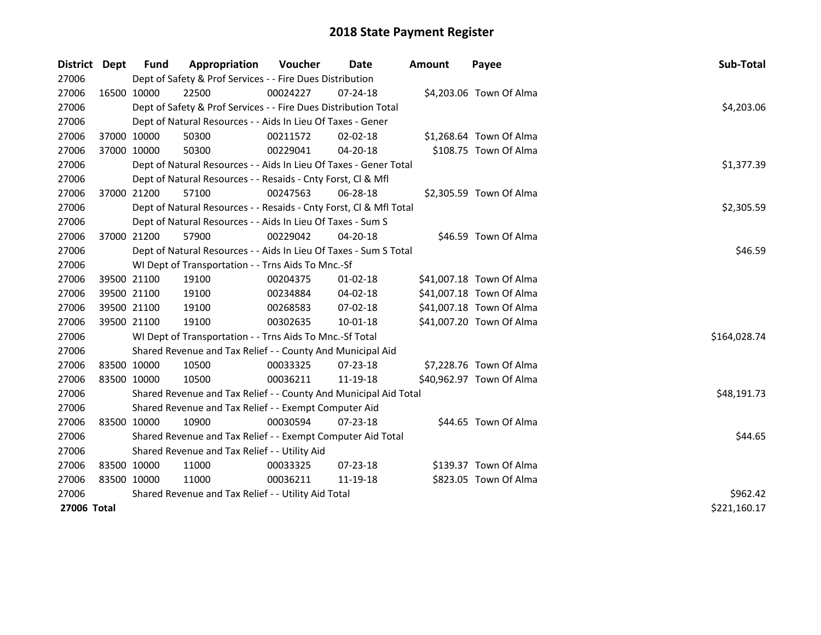| District    | Dept        | <b>Fund</b> | Appropriation                                                      | Voucher  | Date           | <b>Amount</b> | Payee                    | Sub-Total    |
|-------------|-------------|-------------|--------------------------------------------------------------------|----------|----------------|---------------|--------------------------|--------------|
| 27006       |             |             | Dept of Safety & Prof Services - - Fire Dues Distribution          |          |                |               |                          |              |
| 27006       | 16500 10000 |             | 22500                                                              | 00024227 | $07 - 24 - 18$ |               | \$4,203.06 Town Of Alma  |              |
| 27006       |             |             | Dept of Safety & Prof Services - - Fire Dues Distribution Total    |          |                |               |                          | \$4,203.06   |
| 27006       |             |             | Dept of Natural Resources - - Aids In Lieu Of Taxes - Gener        |          |                |               |                          |              |
| 27006       | 37000 10000 |             | 50300                                                              | 00211572 | $02 - 02 - 18$ |               | \$1,268.64 Town Of Alma  |              |
| 27006       | 37000 10000 |             | 50300                                                              | 00229041 | 04-20-18       |               | \$108.75 Town Of Alma    |              |
| 27006       |             |             | Dept of Natural Resources - - Aids In Lieu Of Taxes - Gener Total  |          |                |               |                          | \$1,377.39   |
| 27006       |             |             | Dept of Natural Resources - - Resaids - Cnty Forst, CI & Mfl       |          |                |               |                          |              |
| 27006       | 37000 21200 |             | 57100                                                              | 00247563 | 06-28-18       |               | \$2,305.59 Town Of Alma  |              |
| 27006       |             |             | Dept of Natural Resources - - Resaids - Cnty Forst, CI & Mfl Total |          |                |               |                          | \$2,305.59   |
| 27006       |             |             | Dept of Natural Resources - - Aids In Lieu Of Taxes - Sum S        |          |                |               |                          |              |
| 27006       | 37000 21200 |             | 57900                                                              | 00229042 | 04-20-18       |               | \$46.59 Town Of Alma     |              |
| 27006       |             |             | Dept of Natural Resources - - Aids In Lieu Of Taxes - Sum S Total  |          |                |               |                          | \$46.59      |
| 27006       |             |             | WI Dept of Transportation - - Trns Aids To Mnc.-Sf                 |          |                |               |                          |              |
| 27006       | 39500 21100 |             | 19100                                                              | 00204375 | $01 - 02 - 18$ |               | \$41,007.18 Town Of Alma |              |
| 27006       | 39500 21100 |             | 19100                                                              | 00234884 | 04-02-18       |               | \$41,007.18 Town Of Alma |              |
| 27006       | 39500 21100 |             | 19100                                                              | 00268583 | $07 - 02 - 18$ |               | \$41,007.18 Town Of Alma |              |
| 27006       | 39500 21100 |             | 19100                                                              | 00302635 | 10-01-18       |               | \$41,007.20 Town Of Alma |              |
| 27006       |             |             | WI Dept of Transportation - - Trns Aids To Mnc.-Sf Total           |          |                |               |                          | \$164,028.74 |
| 27006       |             |             | Shared Revenue and Tax Relief - - County And Municipal Aid         |          |                |               |                          |              |
| 27006       | 83500 10000 |             | 10500                                                              | 00033325 | 07-23-18       |               | \$7,228.76 Town Of Alma  |              |
| 27006       | 83500 10000 |             | 10500                                                              | 00036211 | 11-19-18       |               | \$40,962.97 Town Of Alma |              |
| 27006       |             |             | Shared Revenue and Tax Relief - - County And Municipal Aid Total   |          |                |               |                          | \$48,191.73  |
| 27006       |             |             | Shared Revenue and Tax Relief - - Exempt Computer Aid              |          |                |               |                          |              |
| 27006       | 83500 10000 |             | 10900                                                              | 00030594 | 07-23-18       |               | \$44.65 Town Of Alma     |              |
| 27006       |             |             | Shared Revenue and Tax Relief - - Exempt Computer Aid Total        |          |                |               |                          | \$44.65      |
| 27006       |             |             | Shared Revenue and Tax Relief - - Utility Aid                      |          |                |               |                          |              |
| 27006       | 83500 10000 |             | 11000                                                              | 00033325 | $07 - 23 - 18$ |               | \$139.37 Town Of Alma    |              |
| 27006       | 83500 10000 |             | 11000                                                              | 00036211 | 11-19-18       |               | \$823.05 Town Of Alma    |              |
| 27006       |             |             | Shared Revenue and Tax Relief - - Utility Aid Total                |          |                |               |                          | \$962.42     |
| 27006 Total |             |             |                                                                    |          |                |               |                          | \$221,160.17 |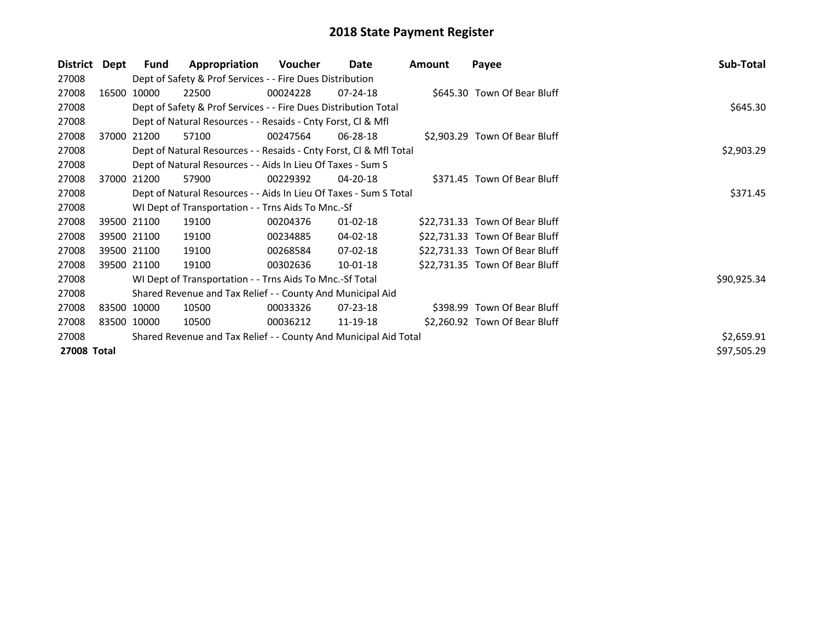| <b>District</b> | Dept | Fund        | Appropriation                                                      | Voucher  | Date           | Amount | Payee                          | Sub-Total   |
|-----------------|------|-------------|--------------------------------------------------------------------|----------|----------------|--------|--------------------------------|-------------|
| 27008           |      |             | Dept of Safety & Prof Services - - Fire Dues Distribution          |          |                |        |                                |             |
| 27008           |      | 16500 10000 | 22500                                                              | 00024228 | $07 - 24 - 18$ |        | \$645.30 Town Of Bear Bluff    |             |
| 27008           |      |             | Dept of Safety & Prof Services - - Fire Dues Distribution Total    |          |                |        |                                | \$645.30    |
| 27008           |      |             | Dept of Natural Resources - - Resaids - Cnty Forst, CI & Mfl       |          |                |        |                                |             |
| 27008           |      | 37000 21200 | 57100                                                              | 00247564 | 06-28-18       |        | \$2,903.29 Town Of Bear Bluff  |             |
| 27008           |      |             | Dept of Natural Resources - - Resaids - Cnty Forst, Cl & Mfl Total |          |                |        |                                | \$2,903.29  |
| 27008           |      |             | Dept of Natural Resources - - Aids In Lieu Of Taxes - Sum S        |          |                |        |                                |             |
| 27008           |      | 37000 21200 | 57900                                                              | 00229392 | $04 - 20 - 18$ |        | \$371.45 Town Of Bear Bluff    |             |
| 27008           |      |             | Dept of Natural Resources - - Aids In Lieu Of Taxes - Sum S Total  | \$371.45 |                |        |                                |             |
| 27008           |      |             | WI Dept of Transportation - - Trns Aids To Mnc.-Sf                 |          |                |        |                                |             |
| 27008           |      | 39500 21100 | 19100                                                              | 00204376 | $01 - 02 - 18$ |        | \$22,731.33 Town Of Bear Bluff |             |
| 27008           |      | 39500 21100 | 19100                                                              | 00234885 | 04-02-18       |        | \$22,731.33 Town Of Bear Bluff |             |
| 27008           |      | 39500 21100 | 19100                                                              | 00268584 | $07-02-18$     |        | \$22,731.33 Town Of Bear Bluff |             |
| 27008           |      | 39500 21100 | 19100                                                              | 00302636 | 10-01-18       |        | \$22,731.35 Town Of Bear Bluff |             |
| 27008           |      |             | WI Dept of Transportation - - Trns Aids To Mnc.-Sf Total           |          |                |        |                                | \$90,925.34 |
| 27008           |      |             | Shared Revenue and Tax Relief - - County And Municipal Aid         |          |                |        |                                |             |
| 27008           |      | 83500 10000 | 10500                                                              | 00033326 | 07-23-18       |        | \$398.99 Town Of Bear Bluff    |             |
| 27008           |      | 83500 10000 | 10500                                                              | 00036212 | 11-19-18       |        | \$2,260.92 Town Of Bear Bluff  |             |
| 27008           |      |             | Shared Revenue and Tax Relief - - County And Municipal Aid Total   |          |                |        |                                | \$2,659.91  |
| 27008 Total     |      |             |                                                                    |          |                |        |                                | \$97,505.29 |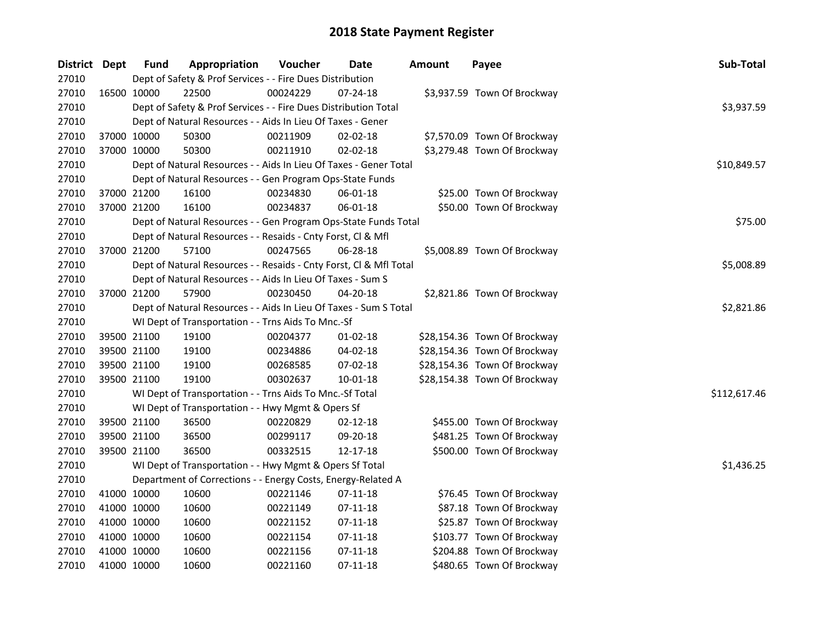| District Dept |             | <b>Fund</b> | Appropriation                                                      | Voucher  | <b>Date</b>    | Amount | Payee                        | Sub-Total    |
|---------------|-------------|-------------|--------------------------------------------------------------------|----------|----------------|--------|------------------------------|--------------|
| 27010         |             |             | Dept of Safety & Prof Services - - Fire Dues Distribution          |          |                |        |                              |              |
| 27010         |             | 16500 10000 | 22500                                                              | 00024229 | $07 - 24 - 18$ |        | \$3,937.59 Town Of Brockway  |              |
| 27010         |             |             | Dept of Safety & Prof Services - - Fire Dues Distribution Total    |          |                |        |                              | \$3,937.59   |
| 27010         |             |             | Dept of Natural Resources - - Aids In Lieu Of Taxes - Gener        |          |                |        |                              |              |
| 27010         |             | 37000 10000 | 50300                                                              | 00211909 | $02 - 02 - 18$ |        | \$7,570.09 Town Of Brockway  |              |
| 27010         |             | 37000 10000 | 50300                                                              | 00211910 | 02-02-18       |        | \$3,279.48 Town Of Brockway  |              |
| 27010         |             |             | Dept of Natural Resources - - Aids In Lieu Of Taxes - Gener Total  |          |                |        |                              | \$10,849.57  |
| 27010         |             |             | Dept of Natural Resources - - Gen Program Ops-State Funds          |          |                |        |                              |              |
| 27010         |             | 37000 21200 | 16100                                                              | 00234830 | 06-01-18       |        | \$25.00 Town Of Brockway     |              |
| 27010         |             | 37000 21200 | 16100                                                              | 00234837 | 06-01-18       |        | \$50.00 Town Of Brockway     |              |
| 27010         |             |             | Dept of Natural Resources - - Gen Program Ops-State Funds Total    |          |                |        |                              | \$75.00      |
| 27010         |             |             | Dept of Natural Resources - - Resaids - Cnty Forst, Cl & Mfl       |          |                |        |                              |              |
| 27010         |             | 37000 21200 | 57100                                                              | 00247565 | 06-28-18       |        | \$5,008.89 Town Of Brockway  |              |
| 27010         |             |             | Dept of Natural Resources - - Resaids - Cnty Forst, Cl & Mfl Total |          |                |        |                              | \$5,008.89   |
| 27010         |             |             | Dept of Natural Resources - - Aids In Lieu Of Taxes - Sum S        |          |                |        |                              |              |
| 27010         |             | 37000 21200 | 57900                                                              | 00230450 | 04-20-18       |        | \$2,821.86 Town Of Brockway  |              |
| 27010         |             |             | Dept of Natural Resources - - Aids In Lieu Of Taxes - Sum S Total  |          |                |        |                              | \$2,821.86   |
| 27010         |             |             | WI Dept of Transportation - - Trns Aids To Mnc.-Sf                 |          |                |        |                              |              |
| 27010         |             | 39500 21100 | 19100                                                              | 00204377 | $01-02-18$     |        | \$28,154.36 Town Of Brockway |              |
| 27010         |             | 39500 21100 | 19100                                                              | 00234886 | 04-02-18       |        | \$28,154.36 Town Of Brockway |              |
| 27010         |             | 39500 21100 | 19100                                                              | 00268585 | 07-02-18       |        | \$28,154.36 Town Of Brockway |              |
| 27010         |             | 39500 21100 | 19100                                                              | 00302637 | 10-01-18       |        | \$28,154.38 Town Of Brockway |              |
| 27010         |             |             | WI Dept of Transportation - - Trns Aids To Mnc.-Sf Total           |          |                |        |                              | \$112,617.46 |
| 27010         |             |             | WI Dept of Transportation - - Hwy Mgmt & Opers Sf                  |          |                |        |                              |              |
| 27010         |             | 39500 21100 | 36500                                                              | 00220829 | $02 - 12 - 18$ |        | \$455.00 Town Of Brockway    |              |
| 27010         |             | 39500 21100 | 36500                                                              | 00299117 | 09-20-18       |        | \$481.25 Town Of Brockway    |              |
| 27010         |             | 39500 21100 | 36500                                                              | 00332515 | 12-17-18       |        | \$500.00 Town Of Brockway    |              |
| 27010         |             |             | WI Dept of Transportation - - Hwy Mgmt & Opers Sf Total            |          |                |        |                              | \$1,436.25   |
| 27010         |             |             | Department of Corrections - - Energy Costs, Energy-Related A       |          |                |        |                              |              |
| 27010         |             | 41000 10000 | 10600                                                              | 00221146 | $07-11-18$     |        | \$76.45 Town Of Brockway     |              |
| 27010         |             | 41000 10000 | 10600                                                              | 00221149 | 07-11-18       |        | \$87.18 Town Of Brockway     |              |
| 27010         | 41000 10000 |             | 10600                                                              | 00221152 | 07-11-18       |        | \$25.87 Town Of Brockway     |              |
| 27010         | 41000 10000 |             | 10600                                                              | 00221154 | $07-11-18$     |        | \$103.77 Town Of Brockway    |              |
| 27010         |             | 41000 10000 | 10600                                                              | 00221156 | $07-11-18$     |        | \$204.88 Town Of Brockway    |              |
| 27010         |             | 41000 10000 | 10600                                                              | 00221160 | 07-11-18       |        | \$480.65 Town Of Brockway    |              |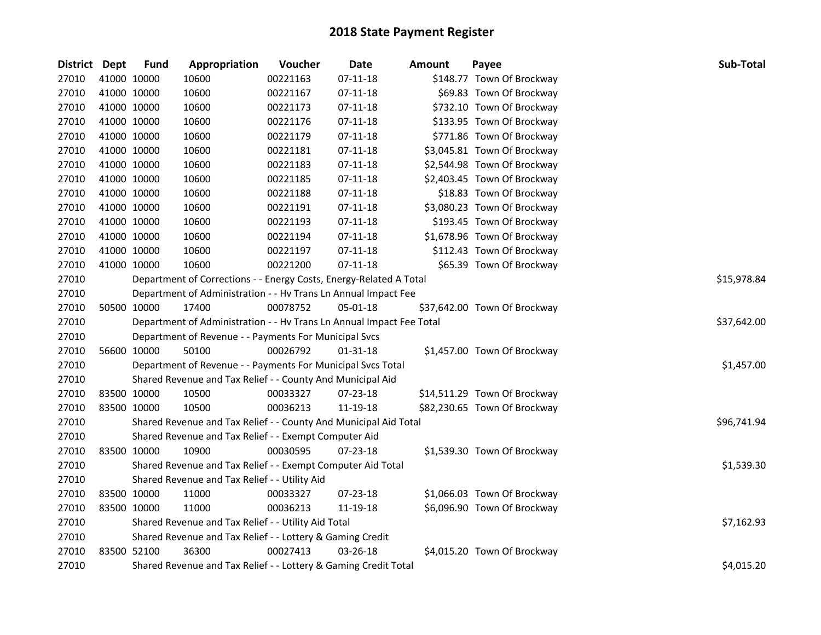| District Dept |             | <b>Fund</b> | Appropriation                                                        | Voucher  | <b>Date</b>    | <b>Amount</b> | Payee                        | Sub-Total   |
|---------------|-------------|-------------|----------------------------------------------------------------------|----------|----------------|---------------|------------------------------|-------------|
| 27010         |             | 41000 10000 | 10600                                                                | 00221163 | $07-11-18$     |               | \$148.77 Town Of Brockway    |             |
| 27010         |             | 41000 10000 | 10600                                                                | 00221167 | $07 - 11 - 18$ |               | \$69.83 Town Of Brockway     |             |
| 27010         |             | 41000 10000 | 10600                                                                | 00221173 | $07-11-18$     |               | \$732.10 Town Of Brockway    |             |
| 27010         |             | 41000 10000 | 10600                                                                | 00221176 | $07-11-18$     |               | \$133.95 Town Of Brockway    |             |
| 27010         |             | 41000 10000 | 10600                                                                | 00221179 | $07-11-18$     |               | \$771.86 Town Of Brockway    |             |
| 27010         |             | 41000 10000 | 10600                                                                | 00221181 | $07-11-18$     |               | \$3,045.81 Town Of Brockway  |             |
| 27010         |             | 41000 10000 | 10600                                                                | 00221183 | $07-11-18$     |               | \$2,544.98 Town Of Brockway  |             |
| 27010         |             | 41000 10000 | 10600                                                                | 00221185 | $07-11-18$     |               | \$2,403.45 Town Of Brockway  |             |
| 27010         |             | 41000 10000 | 10600                                                                | 00221188 | $07-11-18$     |               | \$18.83 Town Of Brockway     |             |
| 27010         |             | 41000 10000 | 10600                                                                | 00221191 | $07-11-18$     |               | \$3,080.23 Town Of Brockway  |             |
| 27010         |             | 41000 10000 | 10600                                                                | 00221193 | 07-11-18       |               | \$193.45 Town Of Brockway    |             |
| 27010         |             | 41000 10000 | 10600                                                                | 00221194 | $07-11-18$     |               | \$1,678.96 Town Of Brockway  |             |
| 27010         |             | 41000 10000 | 10600                                                                | 00221197 | $07-11-18$     |               | \$112.43 Town Of Brockway    |             |
| 27010         |             | 41000 10000 | 10600                                                                | 00221200 | $07-11-18$     |               | \$65.39 Town Of Brockway     |             |
| 27010         |             |             | Department of Corrections - - Energy Costs, Energy-Related A Total   |          |                |               |                              | \$15,978.84 |
| 27010         |             |             | Department of Administration - - Hv Trans Ln Annual Impact Fee       |          |                |               |                              |             |
| 27010         |             | 50500 10000 | 17400                                                                | 00078752 | 05-01-18       |               | \$37,642.00 Town Of Brockway |             |
| 27010         |             |             | Department of Administration - - Hv Trans Ln Annual Impact Fee Total |          |                |               |                              | \$37,642.00 |
| 27010         |             |             | Department of Revenue - - Payments For Municipal Svcs                |          |                |               |                              |             |
| 27010         |             | 56600 10000 | 50100                                                                | 00026792 | $01 - 31 - 18$ |               | \$1,457.00 Town Of Brockway  |             |
| 27010         |             |             | Department of Revenue - - Payments For Municipal Svcs Total          |          |                |               |                              | \$1,457.00  |
| 27010         |             |             | Shared Revenue and Tax Relief - - County And Municipal Aid           |          |                |               |                              |             |
| 27010         | 83500 10000 |             | 10500                                                                | 00033327 | 07-23-18       |               | \$14,511.29 Town Of Brockway |             |
| 27010         | 83500 10000 |             | 10500                                                                | 00036213 | 11-19-18       |               | \$82,230.65 Town Of Brockway |             |
| 27010         |             |             | Shared Revenue and Tax Relief - - County And Municipal Aid Total     |          |                |               |                              | \$96,741.94 |
| 27010         |             |             | Shared Revenue and Tax Relief - - Exempt Computer Aid                |          |                |               |                              |             |
| 27010         |             | 83500 10000 | 10900                                                                | 00030595 | 07-23-18       |               | \$1,539.30 Town Of Brockway  |             |
| 27010         |             |             | Shared Revenue and Tax Relief - - Exempt Computer Aid Total          |          |                |               |                              | \$1,539.30  |
| 27010         |             |             | Shared Revenue and Tax Relief - - Utility Aid                        |          |                |               |                              |             |
| 27010         |             | 83500 10000 | 11000                                                                | 00033327 | 07-23-18       |               | \$1,066.03 Town Of Brockway  |             |
| 27010         |             | 83500 10000 | 11000                                                                | 00036213 | 11-19-18       |               | \$6,096.90 Town Of Brockway  |             |
| 27010         |             |             | Shared Revenue and Tax Relief - - Utility Aid Total                  |          |                |               |                              | \$7,162.93  |
| 27010         |             |             | Shared Revenue and Tax Relief - - Lottery & Gaming Credit            |          |                |               |                              |             |
| 27010         |             | 83500 52100 | 36300                                                                | 00027413 | 03-26-18       |               | \$4,015.20 Town Of Brockway  |             |
| 27010         |             |             | Shared Revenue and Tax Relief - - Lottery & Gaming Credit Total      |          |                |               |                              | \$4,015.20  |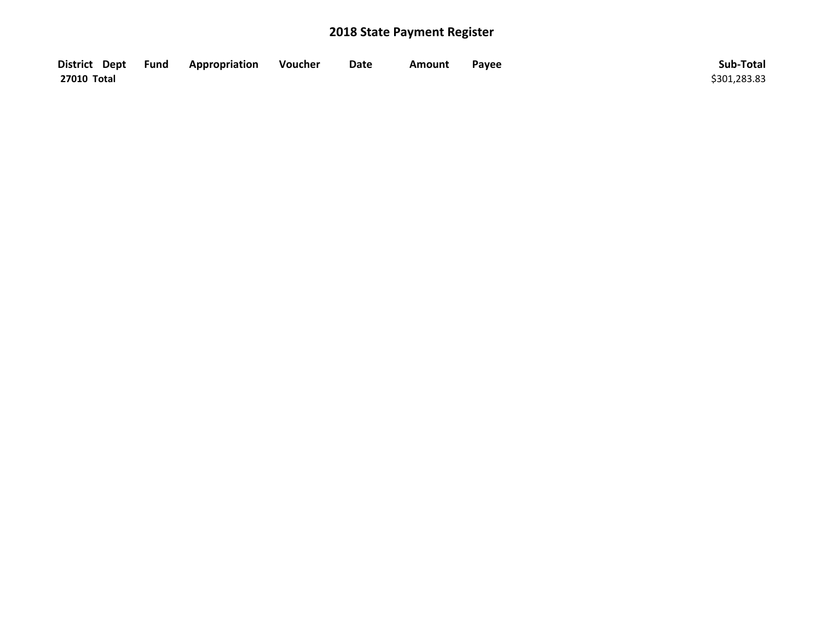| District Dept Fund | Appropriation | Voucher | Date | Amount | Payee | Sub-Total    |
|--------------------|---------------|---------|------|--------|-------|--------------|
| 27010 Total        |               |         |      |        |       | \$301,283.83 |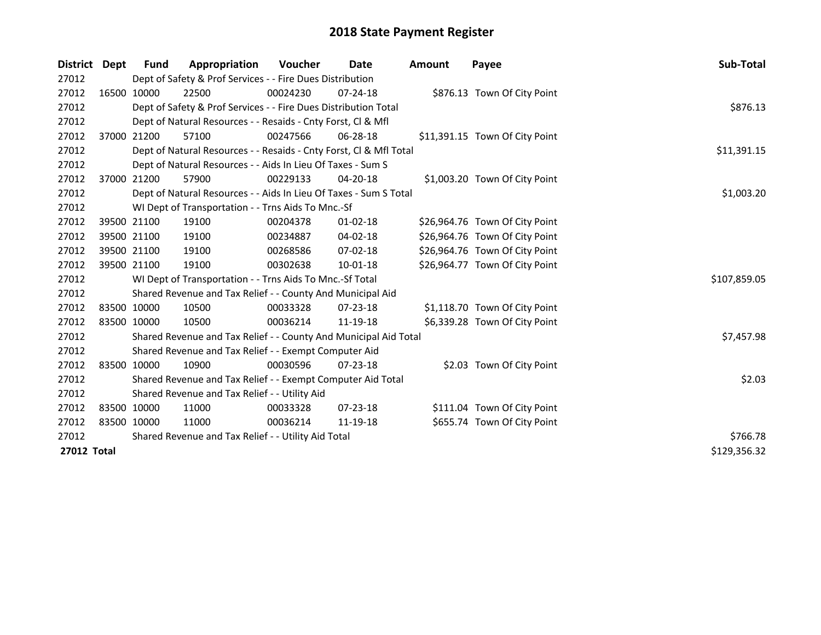| <b>District</b> | Dept | <b>Fund</b> | Appropriation                                                      | Voucher  | Date           | <b>Amount</b> | Payee                          | Sub-Total    |
|-----------------|------|-------------|--------------------------------------------------------------------|----------|----------------|---------------|--------------------------------|--------------|
| 27012           |      |             | Dept of Safety & Prof Services - - Fire Dues Distribution          |          |                |               |                                |              |
| 27012           |      | 16500 10000 | 22500                                                              | 00024230 | $07 - 24 - 18$ |               | \$876.13 Town Of City Point    |              |
| 27012           |      |             | Dept of Safety & Prof Services - - Fire Dues Distribution Total    |          |                |               |                                | \$876.13     |
| 27012           |      |             | Dept of Natural Resources - - Resaids - Cnty Forst, Cl & Mfl       |          |                |               |                                |              |
| 27012           |      | 37000 21200 | 57100                                                              | 00247566 | 06-28-18       |               | \$11,391.15 Town Of City Point |              |
| 27012           |      |             | Dept of Natural Resources - - Resaids - Cnty Forst, Cl & Mfl Total |          |                |               |                                | \$11,391.15  |
| 27012           |      |             | Dept of Natural Resources - - Aids In Lieu Of Taxes - Sum S        |          |                |               |                                |              |
| 27012           |      | 37000 21200 | 57900                                                              | 00229133 | 04-20-18       |               | \$1,003.20 Town Of City Point  |              |
| 27012           |      |             | Dept of Natural Resources - - Aids In Lieu Of Taxes - Sum S Total  |          |                |               |                                | \$1,003.20   |
| 27012           |      |             | WI Dept of Transportation - - Trns Aids To Mnc.-Sf                 |          |                |               |                                |              |
| 27012           |      | 39500 21100 | 19100                                                              | 00204378 | $01 - 02 - 18$ |               | \$26,964.76 Town Of City Point |              |
| 27012           |      | 39500 21100 | 19100                                                              | 00234887 | 04-02-18       |               | \$26,964.76 Town Of City Point |              |
| 27012           |      | 39500 21100 | 19100                                                              | 00268586 | $07 - 02 - 18$ |               | \$26,964.76 Town Of City Point |              |
| 27012           |      | 39500 21100 | 19100                                                              | 00302638 | 10-01-18       |               | \$26,964.77 Town Of City Point |              |
| 27012           |      |             | WI Dept of Transportation - - Trns Aids To Mnc.-Sf Total           |          |                |               |                                | \$107,859.05 |
| 27012           |      |             | Shared Revenue and Tax Relief - - County And Municipal Aid         |          |                |               |                                |              |
| 27012           |      | 83500 10000 | 10500                                                              | 00033328 | 07-23-18       |               | \$1,118.70 Town Of City Point  |              |
| 27012           |      | 83500 10000 | 10500                                                              | 00036214 | 11-19-18       |               | \$6,339.28 Town Of City Point  |              |
| 27012           |      |             | Shared Revenue and Tax Relief - - County And Municipal Aid Total   |          |                |               |                                | \$7,457.98   |
| 27012           |      |             | Shared Revenue and Tax Relief - - Exempt Computer Aid              |          |                |               |                                |              |
| 27012           |      | 83500 10000 | 10900                                                              | 00030596 | 07-23-18       |               | \$2.03 Town Of City Point      |              |
| 27012           |      |             | Shared Revenue and Tax Relief - - Exempt Computer Aid Total        |          |                |               |                                | \$2.03       |
| 27012           |      |             | Shared Revenue and Tax Relief - - Utility Aid                      |          |                |               |                                |              |
| 27012           |      | 83500 10000 | 11000                                                              | 00033328 | 07-23-18       |               | \$111.04 Town Of City Point    |              |
| 27012           |      | 83500 10000 | 11000                                                              | 00036214 | 11-19-18       |               | \$655.74 Town Of City Point    |              |
| 27012           |      |             | Shared Revenue and Tax Relief - - Utility Aid Total                | \$766.78 |                |               |                                |              |
| 27012 Total     |      |             |                                                                    |          |                |               |                                | \$129,356.32 |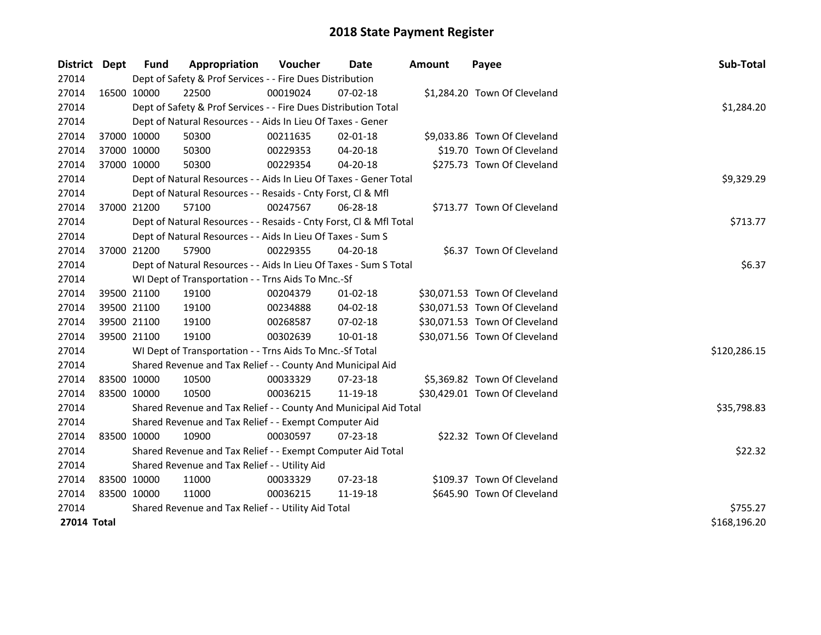| District Dept | Fund        | Appropriation                                                      | <b>Voucher</b> | Date           | Amount | Payee                         | Sub-Total    |
|---------------|-------------|--------------------------------------------------------------------|----------------|----------------|--------|-------------------------------|--------------|
| 27014         |             | Dept of Safety & Prof Services - - Fire Dues Distribution          |                |                |        |                               |              |
| 27014         | 16500 10000 | 22500                                                              | 00019024       | $07 - 02 - 18$ |        | \$1,284.20 Town Of Cleveland  |              |
| 27014         |             | Dept of Safety & Prof Services - - Fire Dues Distribution Total    |                |                |        |                               | \$1,284.20   |
| 27014         |             | Dept of Natural Resources - - Aids In Lieu Of Taxes - Gener        |                |                |        |                               |              |
| 27014         | 37000 10000 | 50300                                                              | 00211635       | $02 - 01 - 18$ |        | \$9,033.86 Town Of Cleveland  |              |
| 27014         | 37000 10000 | 50300                                                              | 00229353       | 04-20-18       |        | \$19.70 Town Of Cleveland     |              |
| 27014         | 37000 10000 | 50300                                                              | 00229354       | $04 - 20 - 18$ |        | \$275.73 Town Of Cleveland    |              |
| 27014         |             | Dept of Natural Resources - - Aids In Lieu Of Taxes - Gener Total  |                |                |        |                               | \$9,329.29   |
| 27014         |             | Dept of Natural Resources - - Resaids - Cnty Forst, Cl & Mfl       |                |                |        |                               |              |
| 27014         | 37000 21200 | 57100                                                              | 00247567       | 06-28-18       |        | \$713.77 Town Of Cleveland    |              |
| 27014         |             | Dept of Natural Resources - - Resaids - Cnty Forst, Cl & Mfl Total |                |                |        |                               | \$713.77     |
| 27014         |             | Dept of Natural Resources - - Aids In Lieu Of Taxes - Sum S        |                |                |        |                               |              |
| 27014         | 37000 21200 | 57900                                                              | 00229355       | 04-20-18       |        | \$6.37 Town Of Cleveland      |              |
| 27014         |             | Dept of Natural Resources - - Aids In Lieu Of Taxes - Sum S Total  |                |                |        |                               | \$6.37       |
| 27014         |             | WI Dept of Transportation - - Trns Aids To Mnc.-Sf                 |                |                |        |                               |              |
| 27014         | 39500 21100 | 19100                                                              | 00204379       | $01-02-18$     |        | \$30,071.53 Town Of Cleveland |              |
| 27014         | 39500 21100 | 19100                                                              | 00234888       | 04-02-18       |        | \$30,071.53 Town Of Cleveland |              |
| 27014         | 39500 21100 | 19100                                                              | 00268587       | 07-02-18       |        | \$30,071.53 Town Of Cleveland |              |
| 27014         | 39500 21100 | 19100                                                              | 00302639       | 10-01-18       |        | \$30,071.56 Town Of Cleveland |              |
| 27014         |             | WI Dept of Transportation - - Trns Aids To Mnc.-Sf Total           |                |                |        |                               | \$120,286.15 |
| 27014         |             | Shared Revenue and Tax Relief - - County And Municipal Aid         |                |                |        |                               |              |
| 27014         | 83500 10000 | 10500                                                              | 00033329       | 07-23-18       |        | \$5,369.82 Town Of Cleveland  |              |
| 27014         | 83500 10000 | 10500                                                              | 00036215       | 11-19-18       |        | \$30,429.01 Town Of Cleveland |              |
| 27014         |             | Shared Revenue and Tax Relief - - County And Municipal Aid Total   |                |                |        |                               | \$35,798.83  |
| 27014         |             | Shared Revenue and Tax Relief - - Exempt Computer Aid              |                |                |        |                               |              |
| 27014         | 83500 10000 | 10900                                                              | 00030597       | $07 - 23 - 18$ |        | \$22.32 Town Of Cleveland     |              |
| 27014         |             | Shared Revenue and Tax Relief - - Exempt Computer Aid Total        |                |                |        |                               | \$22.32      |
| 27014         |             | Shared Revenue and Tax Relief - - Utility Aid                      |                |                |        |                               |              |
| 27014         | 83500 10000 | 11000                                                              | 00033329       | $07 - 23 - 18$ |        | \$109.37 Town Of Cleveland    |              |
| 27014         | 83500 10000 | 11000                                                              | 00036215       | 11-19-18       |        | \$645.90 Town Of Cleveland    |              |
| 27014         |             | Shared Revenue and Tax Relief - - Utility Aid Total                | \$755.27       |                |        |                               |              |
| 27014 Total   |             |                                                                    |                |                |        |                               | \$168,196.20 |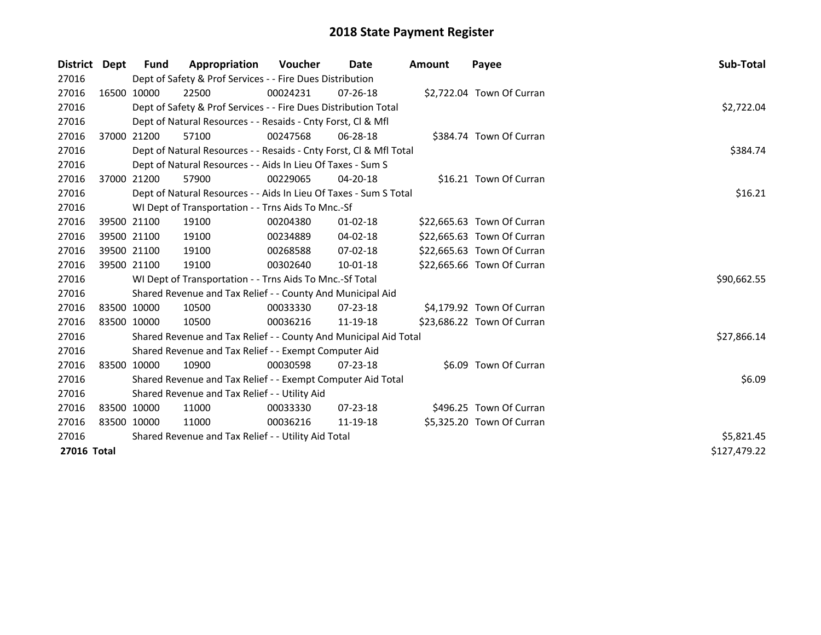| District Dept |             | Fund                                                | Appropriation                                                      | <b>Voucher</b> | Date           | Amount | Payee                      | Sub-Total    |  |  |  |
|---------------|-------------|-----------------------------------------------------|--------------------------------------------------------------------|----------------|----------------|--------|----------------------------|--------------|--|--|--|
| 27016         |             |                                                     | Dept of Safety & Prof Services - - Fire Dues Distribution          |                |                |        |                            |              |  |  |  |
| 27016         |             | 16500 10000                                         | 22500                                                              | 00024231       | $07 - 26 - 18$ |        | \$2,722.04 Town Of Curran  |              |  |  |  |
| 27016         |             |                                                     | Dept of Safety & Prof Services - - Fire Dues Distribution Total    |                |                |        |                            | \$2,722.04   |  |  |  |
| 27016         |             |                                                     | Dept of Natural Resources - - Resaids - Cnty Forst, Cl & Mfl       |                |                |        |                            |              |  |  |  |
| 27016         |             | 37000 21200                                         | 57100                                                              | 00247568       | $06 - 28 - 18$ |        | \$384.74 Town Of Curran    |              |  |  |  |
| 27016         |             |                                                     | Dept of Natural Resources - - Resaids - Cnty Forst, Cl & Mfl Total |                |                |        |                            | \$384.74     |  |  |  |
| 27016         |             |                                                     | Dept of Natural Resources - - Aids In Lieu Of Taxes - Sum S        |                |                |        |                            |              |  |  |  |
| 27016         |             | 37000 21200                                         | 57900                                                              | 00229065       | 04-20-18       |        | \$16.21 Town Of Curran     |              |  |  |  |
| 27016         |             |                                                     | Dept of Natural Resources - - Aids In Lieu Of Taxes - Sum S Total  |                |                |        |                            | \$16.21      |  |  |  |
| 27016         |             |                                                     | WI Dept of Transportation - - Trns Aids To Mnc.-Sf                 |                |                |        |                            |              |  |  |  |
| 27016         |             | 39500 21100                                         | 19100                                                              | 00204380       | $01 - 02 - 18$ |        | \$22,665.63 Town Of Curran |              |  |  |  |
| 27016         |             | 39500 21100                                         | 19100                                                              | 00234889       | 04-02-18       |        | \$22,665.63 Town Of Curran |              |  |  |  |
| 27016         |             | 39500 21100                                         | 19100                                                              | 00268588       | 07-02-18       |        | \$22,665.63 Town Of Curran |              |  |  |  |
| 27016         |             | 39500 21100                                         | 19100                                                              | 00302640       | 10-01-18       |        | \$22,665.66 Town Of Curran |              |  |  |  |
| 27016         |             |                                                     | WI Dept of Transportation - - Trns Aids To Mnc.-Sf Total           |                |                |        |                            | \$90,662.55  |  |  |  |
| 27016         |             |                                                     | Shared Revenue and Tax Relief - - County And Municipal Aid         |                |                |        |                            |              |  |  |  |
| 27016         |             | 83500 10000                                         | 10500                                                              | 00033330       | $07 - 23 - 18$ |        | \$4,179.92 Town Of Curran  |              |  |  |  |
| 27016         | 83500 10000 |                                                     | 10500                                                              | 00036216       | 11-19-18       |        | \$23,686.22 Town Of Curran |              |  |  |  |
| 27016         |             |                                                     | Shared Revenue and Tax Relief - - County And Municipal Aid Total   |                |                |        |                            | \$27,866.14  |  |  |  |
| 27016         |             |                                                     | Shared Revenue and Tax Relief - - Exempt Computer Aid              |                |                |        |                            |              |  |  |  |
| 27016         |             | 83500 10000                                         | 10900                                                              | 00030598       | $07 - 23 - 18$ |        | \$6.09 Town Of Curran      |              |  |  |  |
| 27016         |             |                                                     | Shared Revenue and Tax Relief - - Exempt Computer Aid Total        |                |                |        |                            | \$6.09       |  |  |  |
| 27016         |             |                                                     | Shared Revenue and Tax Relief - - Utility Aid                      |                |                |        |                            |              |  |  |  |
| 27016         |             | 83500 10000                                         | 11000                                                              | 00033330       | $07 - 23 - 18$ |        | \$496.25 Town Of Curran    |              |  |  |  |
| 27016         |             | 83500 10000                                         | 11000                                                              | 00036216       | 11-19-18       |        | \$5,325.20 Town Of Curran  |              |  |  |  |
| 27016         |             | Shared Revenue and Tax Relief - - Utility Aid Total | \$5,821.45                                                         |                |                |        |                            |              |  |  |  |
| 27016 Total   |             |                                                     |                                                                    |                |                |        |                            | \$127,479.22 |  |  |  |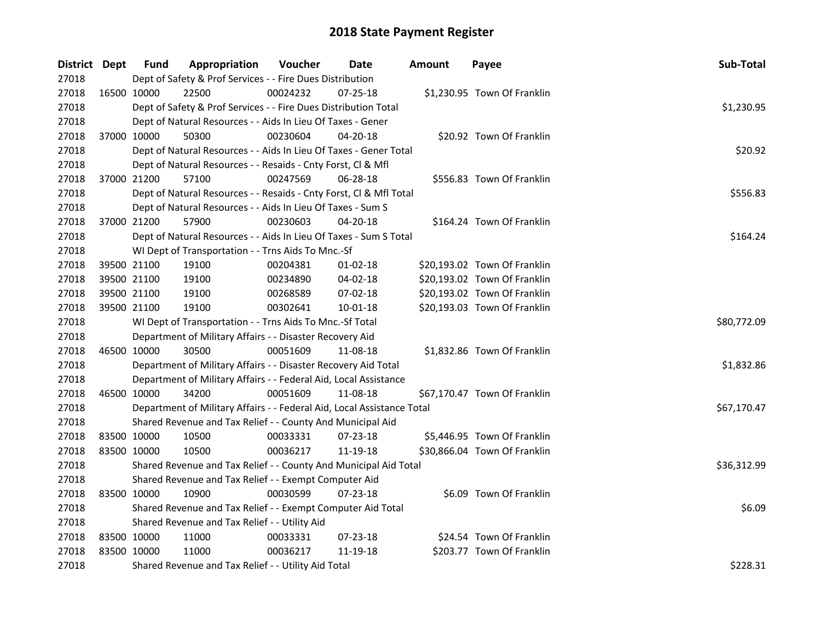| District Dept |             | <b>Fund</b> | Appropriation                                                          | Voucher  | Date           | <b>Amount</b> | Payee                        | Sub-Total   |  |  |  |
|---------------|-------------|-------------|------------------------------------------------------------------------|----------|----------------|---------------|------------------------------|-------------|--|--|--|
| 27018         |             |             | Dept of Safety & Prof Services - - Fire Dues Distribution              |          |                |               |                              |             |  |  |  |
| 27018         |             | 16500 10000 | 22500                                                                  | 00024232 | 07-25-18       |               | \$1,230.95 Town Of Franklin  |             |  |  |  |
| 27018         |             |             | Dept of Safety & Prof Services - - Fire Dues Distribution Total        |          |                |               |                              | \$1,230.95  |  |  |  |
| 27018         |             |             | Dept of Natural Resources - - Aids In Lieu Of Taxes - Gener            |          |                |               |                              |             |  |  |  |
| 27018         | 37000 10000 |             | 50300                                                                  | 00230604 | 04-20-18       |               | \$20.92 Town Of Franklin     |             |  |  |  |
| 27018         |             |             | Dept of Natural Resources - - Aids In Lieu Of Taxes - Gener Total      |          |                |               |                              | \$20.92     |  |  |  |
| 27018         |             |             | Dept of Natural Resources - - Resaids - Cnty Forst, Cl & Mfl           |          |                |               |                              |             |  |  |  |
| 27018         | 37000 21200 |             | 57100                                                                  | 00247569 | 06-28-18       |               | \$556.83 Town Of Franklin    |             |  |  |  |
| 27018         |             |             | Dept of Natural Resources - - Resaids - Cnty Forst, Cl & Mfl Total     |          |                |               |                              | \$556.83    |  |  |  |
| 27018         |             |             | Dept of Natural Resources - - Aids In Lieu Of Taxes - Sum S            |          |                |               |                              |             |  |  |  |
| 27018         | 37000 21200 |             | 57900                                                                  | 00230603 | $04 - 20 - 18$ |               | \$164.24 Town Of Franklin    |             |  |  |  |
| 27018         |             |             | Dept of Natural Resources - - Aids In Lieu Of Taxes - Sum S Total      |          |                |               |                              | \$164.24    |  |  |  |
| 27018         |             |             | WI Dept of Transportation - - Trns Aids To Mnc.-Sf                     |          |                |               |                              |             |  |  |  |
| 27018         | 39500 21100 |             | 19100                                                                  | 00204381 | $01 - 02 - 18$ |               | \$20,193.02 Town Of Franklin |             |  |  |  |
| 27018         | 39500 21100 |             | 19100                                                                  | 00234890 | 04-02-18       |               | \$20,193.02 Town Of Franklin |             |  |  |  |
| 27018         | 39500 21100 |             | 19100                                                                  | 00268589 | 07-02-18       |               | \$20,193.02 Town Of Franklin |             |  |  |  |
| 27018         | 39500 21100 |             | 19100                                                                  | 00302641 | 10-01-18       |               | \$20,193.03 Town Of Franklin |             |  |  |  |
| 27018         |             |             | WI Dept of Transportation - - Trns Aids To Mnc.-Sf Total               |          |                |               |                              | \$80,772.09 |  |  |  |
| 27018         |             |             | Department of Military Affairs - - Disaster Recovery Aid               |          |                |               |                              |             |  |  |  |
| 27018         | 46500 10000 |             | 30500                                                                  | 00051609 | 11-08-18       |               | \$1,832.86 Town Of Franklin  |             |  |  |  |
| 27018         |             |             | Department of Military Affairs - - Disaster Recovery Aid Total         |          |                |               |                              | \$1,832.86  |  |  |  |
| 27018         |             |             | Department of Military Affairs - - Federal Aid, Local Assistance       |          |                |               |                              |             |  |  |  |
| 27018         | 46500 10000 |             | 34200                                                                  | 00051609 | 11-08-18       |               | \$67,170.47 Town Of Franklin |             |  |  |  |
| 27018         |             |             | Department of Military Affairs - - Federal Aid, Local Assistance Total |          |                |               |                              | \$67,170.47 |  |  |  |
| 27018         |             |             | Shared Revenue and Tax Relief - - County And Municipal Aid             |          |                |               |                              |             |  |  |  |
| 27018         | 83500 10000 |             | 10500                                                                  | 00033331 | $07 - 23 - 18$ |               | \$5,446.95 Town Of Franklin  |             |  |  |  |
| 27018         | 83500 10000 |             | 10500                                                                  | 00036217 | 11-19-18       |               | \$30,866.04 Town Of Franklin |             |  |  |  |
| 27018         |             |             | Shared Revenue and Tax Relief - - County And Municipal Aid Total       |          |                |               |                              | \$36,312.99 |  |  |  |
| 27018         |             |             | Shared Revenue and Tax Relief - - Exempt Computer Aid                  |          |                |               |                              |             |  |  |  |
| 27018         |             | 83500 10000 | 10900                                                                  | 00030599 | 07-23-18       |               | \$6.09 Town Of Franklin      |             |  |  |  |
| 27018         |             |             | Shared Revenue and Tax Relief - - Exempt Computer Aid Total            |          |                |               |                              | \$6.09      |  |  |  |
| 27018         |             |             | Shared Revenue and Tax Relief - - Utility Aid                          |          |                |               |                              |             |  |  |  |
| 27018         |             | 83500 10000 | 11000                                                                  | 00033331 | 07-23-18       |               | \$24.54 Town Of Franklin     |             |  |  |  |
| 27018         | 83500 10000 |             | 11000                                                                  | 00036217 | 11-19-18       |               | \$203.77 Town Of Franklin    |             |  |  |  |
| 27018         |             |             | Shared Revenue and Tax Relief - - Utility Aid Total                    |          |                |               |                              | \$228.31    |  |  |  |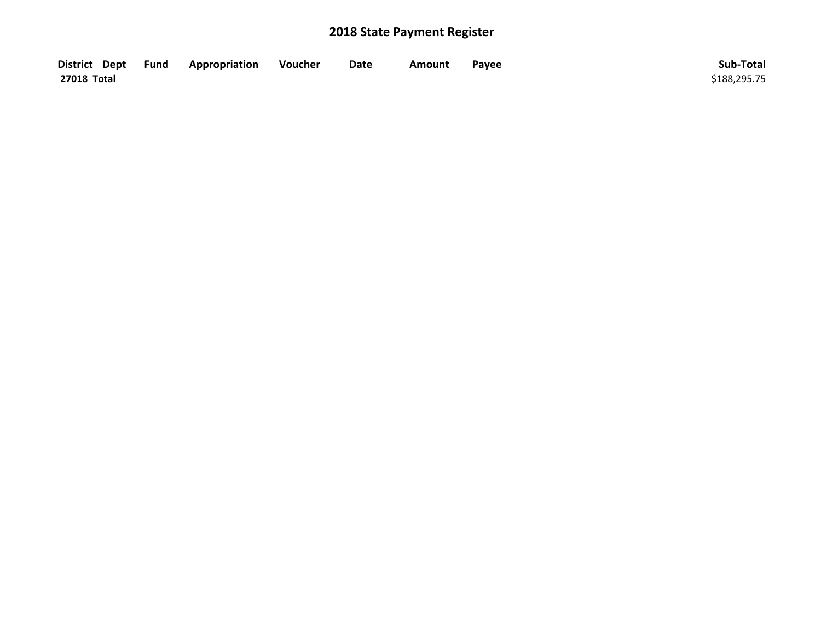| District Dept Fund | Appropriation | Voucher | Date | Amount | Payee | Sub-Total    |
|--------------------|---------------|---------|------|--------|-------|--------------|
| 27018 Total        |               |         |      |        |       | \$188,295.75 |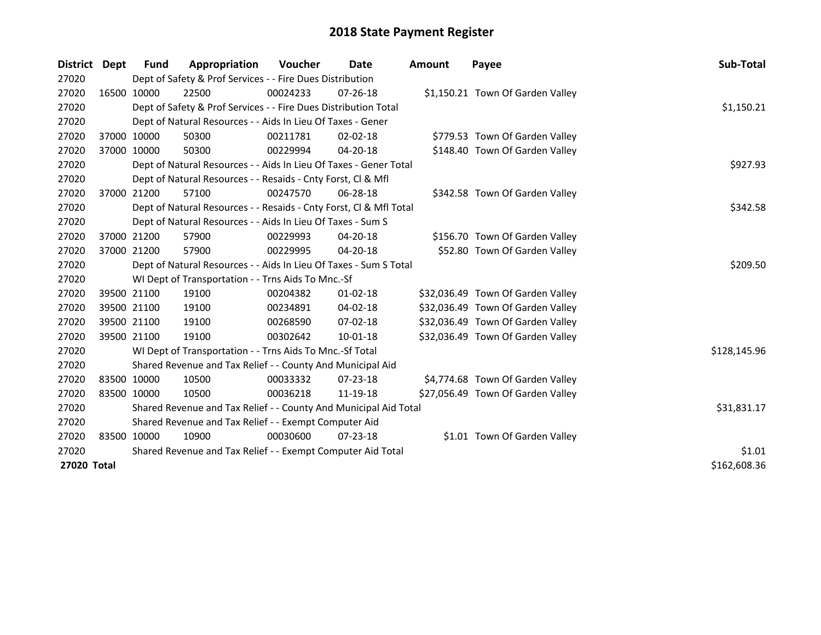| District    | Dept | <b>Fund</b>                                                 | Appropriation                                                      | <b>Voucher</b> | Date           | <b>Amount</b> | Payee                             | Sub-Total    |  |  |
|-------------|------|-------------------------------------------------------------|--------------------------------------------------------------------|----------------|----------------|---------------|-----------------------------------|--------------|--|--|
| 27020       |      |                                                             | Dept of Safety & Prof Services - - Fire Dues Distribution          |                |                |               |                                   |              |  |  |
| 27020       |      | 16500 10000                                                 | 22500                                                              | 00024233       | $07 - 26 - 18$ |               | \$1,150.21 Town Of Garden Valley  |              |  |  |
| 27020       |      |                                                             | Dept of Safety & Prof Services - - Fire Dues Distribution Total    |                |                |               |                                   | \$1,150.21   |  |  |
| 27020       |      |                                                             | Dept of Natural Resources - - Aids In Lieu Of Taxes - Gener        |                |                |               |                                   |              |  |  |
| 27020       |      | 37000 10000                                                 | 50300                                                              | 00211781       | 02-02-18       |               | \$779.53 Town Of Garden Valley    |              |  |  |
| 27020       |      | 37000 10000                                                 | 50300                                                              | 00229994       | $04 - 20 - 18$ |               | \$148.40 Town Of Garden Valley    |              |  |  |
| 27020       |      |                                                             | Dept of Natural Resources - - Aids In Lieu Of Taxes - Gener Total  |                |                |               |                                   | \$927.93     |  |  |
| 27020       |      |                                                             | Dept of Natural Resources - - Resaids - Cnty Forst, Cl & Mfl       |                |                |               |                                   |              |  |  |
| 27020       |      | 37000 21200                                                 | 57100                                                              | 00247570       | 06-28-18       |               | \$342.58 Town Of Garden Valley    |              |  |  |
| 27020       |      |                                                             | Dept of Natural Resources - - Resaids - Cnty Forst, Cl & Mfl Total |                |                |               |                                   | \$342.58     |  |  |
| 27020       |      |                                                             | Dept of Natural Resources - - Aids In Lieu Of Taxes - Sum S        |                |                |               |                                   |              |  |  |
| 27020       |      | 37000 21200                                                 | 57900                                                              | 00229993       | $04 - 20 - 18$ |               | \$156.70 Town Of Garden Valley    |              |  |  |
| 27020       |      | 37000 21200                                                 | 57900                                                              | 00229995       | 04-20-18       |               | \$52.80 Town Of Garden Valley     |              |  |  |
| 27020       |      |                                                             | Dept of Natural Resources - - Aids In Lieu Of Taxes - Sum S Total  |                |                |               |                                   | \$209.50     |  |  |
| 27020       |      |                                                             | WI Dept of Transportation - - Trns Aids To Mnc.-Sf                 |                |                |               |                                   |              |  |  |
| 27020       |      | 39500 21100                                                 | 19100                                                              | 00204382       | $01 - 02 - 18$ |               | \$32,036.49 Town Of Garden Valley |              |  |  |
| 27020       |      | 39500 21100                                                 | 19100                                                              | 00234891       | 04-02-18       |               | \$32,036.49 Town Of Garden Valley |              |  |  |
| 27020       |      | 39500 21100                                                 | 19100                                                              | 00268590       | $07 - 02 - 18$ |               | \$32,036.49 Town Of Garden Valley |              |  |  |
| 27020       |      | 39500 21100                                                 | 19100                                                              | 00302642       | 10-01-18       |               | \$32,036.49 Town Of Garden Valley |              |  |  |
| 27020       |      |                                                             | WI Dept of Transportation - - Trns Aids To Mnc.-Sf Total           |                |                |               |                                   | \$128,145.96 |  |  |
| 27020       |      |                                                             | Shared Revenue and Tax Relief - - County And Municipal Aid         |                |                |               |                                   |              |  |  |
| 27020       |      | 83500 10000                                                 | 10500                                                              | 00033332       | 07-23-18       |               | \$4,774.68 Town Of Garden Valley  |              |  |  |
| 27020       |      | 83500 10000                                                 | 10500                                                              | 00036218       | 11-19-18       |               | \$27,056.49 Town Of Garden Valley |              |  |  |
| 27020       |      |                                                             | Shared Revenue and Tax Relief - - County And Municipal Aid Total   |                |                |               |                                   | \$31,831.17  |  |  |
| 27020       |      | Shared Revenue and Tax Relief - - Exempt Computer Aid       |                                                                    |                |                |               |                                   |              |  |  |
| 27020       |      | 83500 10000                                                 | 10900                                                              | 00030600       | $07 - 23 - 18$ |               | \$1.01 Town Of Garden Valley      |              |  |  |
| 27020       |      | Shared Revenue and Tax Relief - - Exempt Computer Aid Total | \$1.01                                                             |                |                |               |                                   |              |  |  |
| 27020 Total |      |                                                             |                                                                    |                |                |               |                                   | \$162,608.36 |  |  |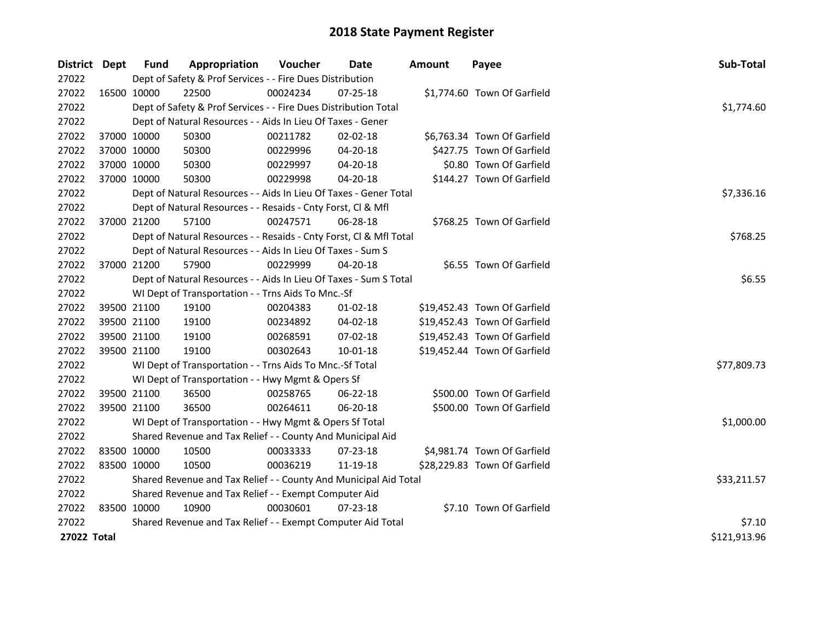| District Dept      |             | <b>Fund</b> | Appropriation                                                      | Voucher    | Date           | <b>Amount</b> | Payee                        | Sub-Total    |  |  |  |
|--------------------|-------------|-------------|--------------------------------------------------------------------|------------|----------------|---------------|------------------------------|--------------|--|--|--|
| 27022              |             |             | Dept of Safety & Prof Services - - Fire Dues Distribution          |            |                |               |                              |              |  |  |  |
| 27022              | 16500 10000 |             | 22500                                                              | 00024234   | $07 - 25 - 18$ |               | \$1,774.60 Town Of Garfield  |              |  |  |  |
| 27022              |             |             | Dept of Safety & Prof Services - - Fire Dues Distribution Total    |            |                |               |                              | \$1,774.60   |  |  |  |
| 27022              |             |             | Dept of Natural Resources - - Aids In Lieu Of Taxes - Gener        |            |                |               |                              |              |  |  |  |
| 27022              | 37000 10000 |             | 50300                                                              | 00211782   | 02-02-18       |               | \$6,763.34 Town Of Garfield  |              |  |  |  |
| 27022              | 37000 10000 |             | 50300                                                              | 00229996   | 04-20-18       |               | \$427.75 Town Of Garfield    |              |  |  |  |
| 27022              | 37000 10000 |             | 50300                                                              | 00229997   | 04-20-18       |               | \$0.80 Town Of Garfield      |              |  |  |  |
| 27022              | 37000 10000 |             | 50300                                                              | 00229998   | 04-20-18       |               | \$144.27 Town Of Garfield    |              |  |  |  |
| 27022              |             |             | Dept of Natural Resources - - Aids In Lieu Of Taxes - Gener Total  | \$7,336.16 |                |               |                              |              |  |  |  |
| 27022              |             |             | Dept of Natural Resources - - Resaids - Cnty Forst, Cl & Mfl       |            |                |               |                              |              |  |  |  |
| 27022              | 37000 21200 |             | 57100                                                              | 00247571   | 06-28-18       |               | \$768.25 Town Of Garfield    |              |  |  |  |
| 27022              |             |             | Dept of Natural Resources - - Resaids - Cnty Forst, Cl & Mfl Total |            |                |               |                              | \$768.25     |  |  |  |
| 27022              |             |             | Dept of Natural Resources - - Aids In Lieu Of Taxes - Sum S        |            |                |               |                              |              |  |  |  |
| 27022              |             | 37000 21200 | 57900                                                              | 00229999   | 04-20-18       |               | \$6.55 Town Of Garfield      |              |  |  |  |
| 27022              |             |             | Dept of Natural Resources - - Aids In Lieu Of Taxes - Sum S Total  |            |                |               |                              |              |  |  |  |
| 27022              |             |             | WI Dept of Transportation - - Trns Aids To Mnc.-Sf                 |            |                |               |                              |              |  |  |  |
| 27022              |             | 39500 21100 | 19100                                                              | 00204383   | $01-02-18$     |               | \$19,452.43 Town Of Garfield |              |  |  |  |
| 27022              |             | 39500 21100 | 19100                                                              | 00234892   | 04-02-18       |               | \$19,452.43 Town Of Garfield |              |  |  |  |
| 27022              |             | 39500 21100 | 19100                                                              | 00268591   | 07-02-18       |               | \$19,452.43 Town Of Garfield |              |  |  |  |
| 27022              | 39500 21100 |             | 19100                                                              | 00302643   | $10 - 01 - 18$ |               | \$19,452.44 Town Of Garfield |              |  |  |  |
| 27022              |             |             | WI Dept of Transportation - - Trns Aids To Mnc.-Sf Total           |            |                |               |                              | \$77,809.73  |  |  |  |
| 27022              |             |             | WI Dept of Transportation - - Hwy Mgmt & Opers Sf                  |            |                |               |                              |              |  |  |  |
| 27022              |             | 39500 21100 | 36500                                                              | 00258765   | 06-22-18       |               | \$500.00 Town Of Garfield    |              |  |  |  |
| 27022              | 39500 21100 |             | 36500                                                              | 00264611   | 06-20-18       |               | \$500.00 Town Of Garfield    |              |  |  |  |
| 27022              |             |             | WI Dept of Transportation - - Hwy Mgmt & Opers Sf Total            |            |                |               |                              | \$1,000.00   |  |  |  |
| 27022              |             |             | Shared Revenue and Tax Relief - - County And Municipal Aid         |            |                |               |                              |              |  |  |  |
| 27022              | 83500 10000 |             | 10500                                                              | 00033333   | 07-23-18       |               | \$4,981.74 Town Of Garfield  |              |  |  |  |
| 27022              | 83500 10000 |             | 10500                                                              | 00036219   | 11-19-18       |               | \$28,229.83 Town Of Garfield |              |  |  |  |
| 27022              |             |             | Shared Revenue and Tax Relief - - County And Municipal Aid Total   |            |                |               |                              | \$33,211.57  |  |  |  |
| 27022              |             |             | Shared Revenue and Tax Relief - - Exempt Computer Aid              |            |                |               |                              |              |  |  |  |
| 27022              | 83500 10000 |             | 10900                                                              | 00030601   | 07-23-18       |               | \$7.10 Town Of Garfield      |              |  |  |  |
| 27022              |             |             | Shared Revenue and Tax Relief - - Exempt Computer Aid Total        |            |                |               |                              | \$7.10       |  |  |  |
| <b>27022 Total</b> |             |             |                                                                    |            |                |               |                              | \$121,913.96 |  |  |  |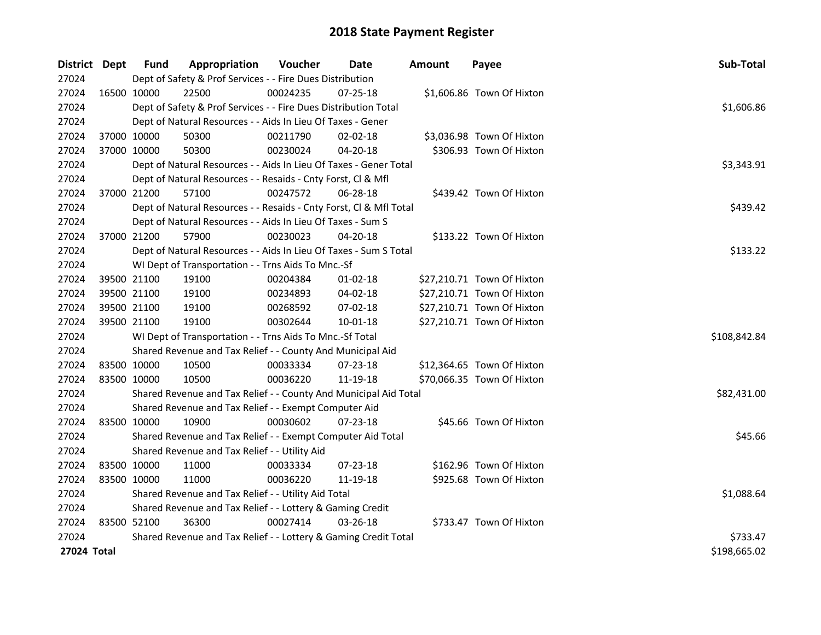| District Dept | <b>Fund</b> | Appropriation                                                      | Voucher  | Date           | <b>Amount</b> | Payee                      | Sub-Total    |
|---------------|-------------|--------------------------------------------------------------------|----------|----------------|---------------|----------------------------|--------------|
| 27024         |             | Dept of Safety & Prof Services - - Fire Dues Distribution          |          |                |               |                            |              |
| 27024         | 16500 10000 | 22500                                                              | 00024235 | 07-25-18       |               | \$1,606.86 Town Of Hixton  |              |
| 27024         |             | Dept of Safety & Prof Services - - Fire Dues Distribution Total    |          |                |               |                            | \$1,606.86   |
| 27024         |             | Dept of Natural Resources - - Aids In Lieu Of Taxes - Gener        |          |                |               |                            |              |
| 27024         | 37000 10000 | 50300                                                              | 00211790 | $02 - 02 - 18$ |               | \$3,036.98 Town Of Hixton  |              |
| 27024         | 37000 10000 | 50300                                                              | 00230024 | 04-20-18       |               | \$306.93 Town Of Hixton    |              |
| 27024         |             | Dept of Natural Resources - - Aids In Lieu Of Taxes - Gener Total  |          |                |               |                            | \$3,343.91   |
| 27024         |             | Dept of Natural Resources - - Resaids - Cnty Forst, Cl & Mfl       |          |                |               |                            |              |
| 27024         | 37000 21200 | 57100                                                              | 00247572 | 06-28-18       |               | \$439.42 Town Of Hixton    |              |
| 27024         |             | Dept of Natural Resources - - Resaids - Cnty Forst, Cl & Mfl Total |          |                |               |                            | \$439.42     |
| 27024         |             | Dept of Natural Resources - - Aids In Lieu Of Taxes - Sum S        |          |                |               |                            |              |
| 27024         | 37000 21200 | 57900                                                              | 00230023 | 04-20-18       |               | \$133.22 Town Of Hixton    |              |
| 27024         |             | Dept of Natural Resources - - Aids In Lieu Of Taxes - Sum S Total  |          |                |               |                            | \$133.22     |
| 27024         |             | WI Dept of Transportation - - Trns Aids To Mnc.-Sf                 |          |                |               |                            |              |
| 27024         | 39500 21100 | 19100                                                              | 00204384 | 01-02-18       |               | \$27,210.71 Town Of Hixton |              |
| 27024         | 39500 21100 | 19100                                                              | 00234893 | 04-02-18       |               | \$27,210.71 Town Of Hixton |              |
| 27024         | 39500 21100 | 19100                                                              | 00268592 | 07-02-18       |               | \$27,210.71 Town Of Hixton |              |
| 27024         | 39500 21100 | 19100                                                              | 00302644 | $10 - 01 - 18$ |               | \$27,210.71 Town Of Hixton |              |
| 27024         |             | WI Dept of Transportation - - Trns Aids To Mnc.-Sf Total           |          |                |               |                            | \$108,842.84 |
| 27024         |             | Shared Revenue and Tax Relief - - County And Municipal Aid         |          |                |               |                            |              |
| 27024         | 83500 10000 | 10500                                                              | 00033334 | 07-23-18       |               | \$12,364.65 Town Of Hixton |              |
| 27024         | 83500 10000 | 10500                                                              | 00036220 | 11-19-18       |               | \$70,066.35 Town Of Hixton |              |
| 27024         |             | Shared Revenue and Tax Relief - - County And Municipal Aid Total   |          |                |               |                            | \$82,431.00  |
| 27024         |             | Shared Revenue and Tax Relief - - Exempt Computer Aid              |          |                |               |                            |              |
| 27024         | 83500 10000 | 10900                                                              | 00030602 | 07-23-18       |               | \$45.66 Town Of Hixton     |              |
| 27024         |             | Shared Revenue and Tax Relief - - Exempt Computer Aid Total        |          |                |               |                            | \$45.66      |
| 27024         |             | Shared Revenue and Tax Relief - - Utility Aid                      |          |                |               |                            |              |
| 27024         | 83500 10000 | 11000                                                              | 00033334 | 07-23-18       |               | \$162.96 Town Of Hixton    |              |
| 27024         | 83500 10000 | 11000                                                              | 00036220 | 11-19-18       |               | \$925.68 Town Of Hixton    |              |
| 27024         |             | Shared Revenue and Tax Relief - - Utility Aid Total                |          |                |               |                            | \$1,088.64   |
| 27024         |             | Shared Revenue and Tax Relief - - Lottery & Gaming Credit          |          |                |               |                            |              |
| 27024         | 83500 52100 | 36300                                                              | 00027414 | $03 - 26 - 18$ |               | \$733.47 Town Of Hixton    |              |
| 27024         |             | Shared Revenue and Tax Relief - - Lottery & Gaming Credit Total    |          |                |               |                            | \$733.47     |
| 27024 Total   |             |                                                                    |          |                |               |                            | \$198,665.02 |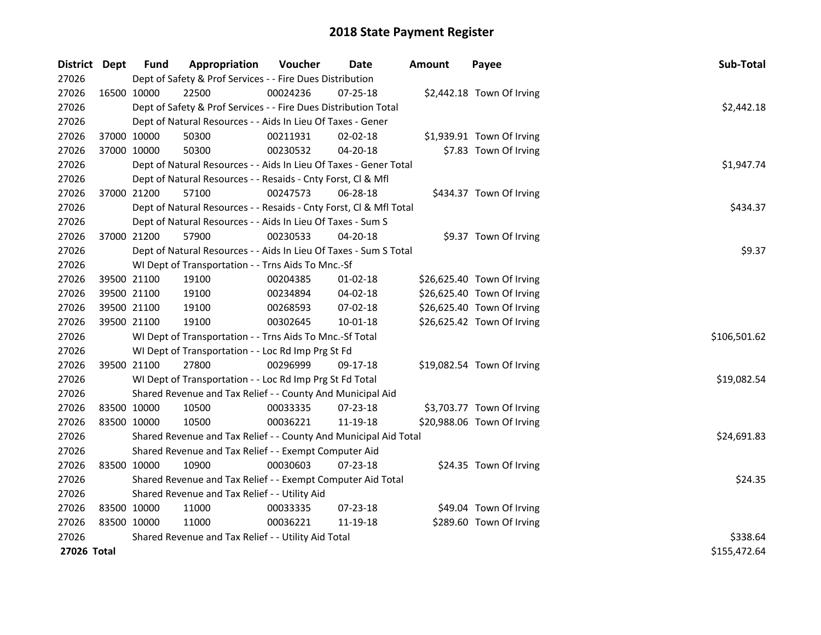| District Dept | Fund                                          | Appropriation                                                      | Voucher  | Date           | <b>Amount</b> | Payee                      | Sub-Total    |  |  |
|---------------|-----------------------------------------------|--------------------------------------------------------------------|----------|----------------|---------------|----------------------------|--------------|--|--|
| 27026         |                                               | Dept of Safety & Prof Services - - Fire Dues Distribution          |          |                |               |                            |              |  |  |
| 27026         | 16500 10000                                   | 22500                                                              | 00024236 | $07 - 25 - 18$ |               | \$2,442.18 Town Of Irving  |              |  |  |
| 27026         |                                               | Dept of Safety & Prof Services - - Fire Dues Distribution Total    |          |                |               |                            | \$2,442.18   |  |  |
| 27026         |                                               | Dept of Natural Resources - - Aids In Lieu Of Taxes - Gener        |          |                |               |                            |              |  |  |
| 27026         | 37000 10000                                   | 50300                                                              | 00211931 | $02 - 02 - 18$ |               | \$1,939.91 Town Of Irving  |              |  |  |
| 27026         | 37000 10000                                   | 50300                                                              | 00230532 | 04-20-18       |               | \$7.83 Town Of Irving      |              |  |  |
| 27026         |                                               | Dept of Natural Resources - - Aids In Lieu Of Taxes - Gener Total  |          |                |               |                            | \$1,947.74   |  |  |
| 27026         |                                               | Dept of Natural Resources - - Resaids - Cnty Forst, Cl & Mfl       |          |                |               |                            |              |  |  |
| 27026         | 37000 21200                                   | 57100                                                              | 00247573 | 06-28-18       |               | \$434.37 Town Of Irving    |              |  |  |
| 27026         |                                               | Dept of Natural Resources - - Resaids - Cnty Forst, Cl & Mfl Total |          |                |               |                            | \$434.37     |  |  |
| 27026         |                                               | Dept of Natural Resources - - Aids In Lieu Of Taxes - Sum S        |          |                |               |                            |              |  |  |
| 27026         | 37000 21200                                   | 57900                                                              | 00230533 | 04-20-18       |               | \$9.37 Town Of Irving      |              |  |  |
| 27026         |                                               | Dept of Natural Resources - - Aids In Lieu Of Taxes - Sum S Total  |          |                |               |                            | \$9.37       |  |  |
| 27026         |                                               | WI Dept of Transportation - - Trns Aids To Mnc.-Sf                 |          |                |               |                            |              |  |  |
| 27026         | 39500 21100                                   | 19100                                                              | 00204385 | $01-02-18$     |               | \$26,625.40 Town Of Irving |              |  |  |
| 27026         | 39500 21100                                   | 19100                                                              | 00234894 | 04-02-18       |               | \$26,625.40 Town Of Irving |              |  |  |
| 27026         | 39500 21100                                   | 19100                                                              | 00268593 | 07-02-18       |               | \$26,625.40 Town Of Irving |              |  |  |
| 27026         | 39500 21100                                   | 19100                                                              | 00302645 | $10 - 01 - 18$ |               | \$26,625.42 Town Of Irving |              |  |  |
| 27026         |                                               | WI Dept of Transportation - - Trns Aids To Mnc.-Sf Total           |          |                |               |                            | \$106,501.62 |  |  |
| 27026         |                                               | WI Dept of Transportation - - Loc Rd Imp Prg St Fd                 |          |                |               |                            |              |  |  |
| 27026         | 39500 21100                                   | 27800                                                              | 00296999 | 09-17-18       |               | \$19,082.54 Town Of Irving |              |  |  |
| 27026         |                                               | WI Dept of Transportation - - Loc Rd Imp Prg St Fd Total           |          |                |               |                            | \$19,082.54  |  |  |
| 27026         |                                               | Shared Revenue and Tax Relief - - County And Municipal Aid         |          |                |               |                            |              |  |  |
| 27026         | 83500 10000                                   | 10500                                                              | 00033335 | 07-23-18       |               | \$3,703.77 Town Of Irving  |              |  |  |
| 27026         | 83500 10000                                   | 10500                                                              | 00036221 | 11-19-18       |               | \$20,988.06 Town Of Irving |              |  |  |
| 27026         |                                               | Shared Revenue and Tax Relief - - County And Municipal Aid Total   |          |                |               |                            | \$24,691.83  |  |  |
| 27026         |                                               | Shared Revenue and Tax Relief - - Exempt Computer Aid              |          |                |               |                            |              |  |  |
| 27026         | 83500 10000                                   | 10900                                                              | 00030603 | 07-23-18       |               | \$24.35 Town Of Irving     |              |  |  |
| 27026         |                                               | Shared Revenue and Tax Relief - - Exempt Computer Aid Total        |          |                |               |                            | \$24.35      |  |  |
| 27026         | Shared Revenue and Tax Relief - - Utility Aid |                                                                    |          |                |               |                            |              |  |  |
| 27026         | 83500 10000                                   | 11000                                                              | 00033335 | 07-23-18       |               | \$49.04 Town Of Irving     |              |  |  |
| 27026         | 83500 10000                                   | 11000                                                              | 00036221 | 11-19-18       |               | \$289.60 Town Of Irving    |              |  |  |
| 27026         |                                               | Shared Revenue and Tax Relief - - Utility Aid Total                |          |                |               |                            | \$338.64     |  |  |
| 27026 Total   |                                               |                                                                    |          |                |               |                            | \$155,472.64 |  |  |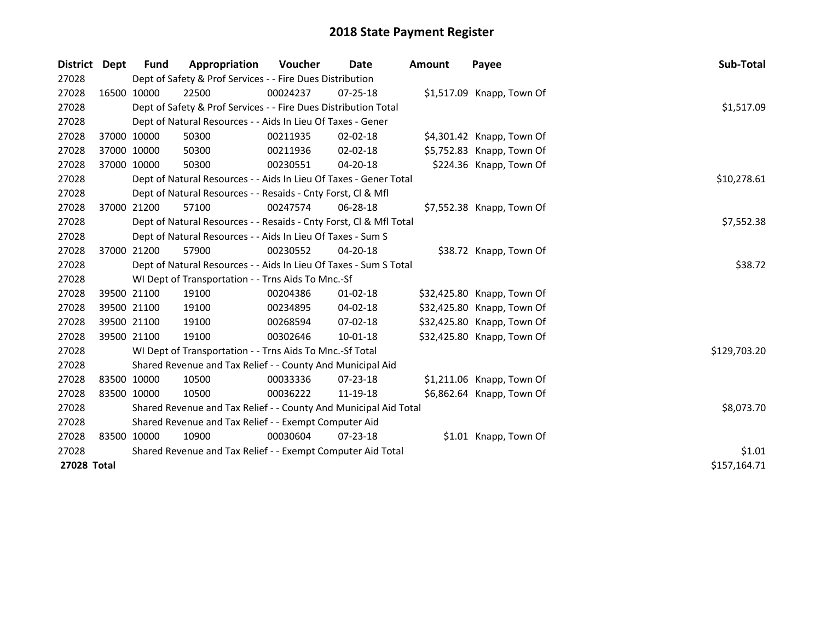| <b>District</b> | <b>Dept</b> | Fund        | Appropriation                                                      | <b>Voucher</b> | Date           | <b>Amount</b> | Payee                      | Sub-Total    |
|-----------------|-------------|-------------|--------------------------------------------------------------------|----------------|----------------|---------------|----------------------------|--------------|
| 27028           |             |             | Dept of Safety & Prof Services - - Fire Dues Distribution          |                |                |               |                            |              |
| 27028           |             | 16500 10000 | 22500                                                              | 00024237       | 07-25-18       |               | \$1,517.09 Knapp, Town Of  |              |
| 27028           |             |             | Dept of Safety & Prof Services - - Fire Dues Distribution Total    |                |                |               |                            | \$1,517.09   |
| 27028           |             |             | Dept of Natural Resources - - Aids In Lieu Of Taxes - Gener        |                |                |               |                            |              |
| 27028           |             | 37000 10000 | 50300                                                              | 00211935       | $02 - 02 - 18$ |               | \$4,301.42 Knapp, Town Of  |              |
| 27028           |             | 37000 10000 | 50300                                                              | 00211936       | $02 - 02 - 18$ |               | \$5,752.83 Knapp, Town Of  |              |
| 27028           |             | 37000 10000 | 50300                                                              | 00230551       | 04-20-18       |               | \$224.36 Knapp, Town Of    |              |
| 27028           |             |             | Dept of Natural Resources - - Aids In Lieu Of Taxes - Gener Total  |                |                |               |                            | \$10,278.61  |
| 27028           |             |             | Dept of Natural Resources - - Resaids - Cnty Forst, CI & Mfl       |                |                |               |                            |              |
| 27028           |             | 37000 21200 | 57100                                                              | 00247574       | 06-28-18       |               | \$7,552.38 Knapp, Town Of  |              |
| 27028           |             |             | Dept of Natural Resources - - Resaids - Cnty Forst, Cl & Mfl Total |                |                |               |                            | \$7,552.38   |
| 27028           |             |             | Dept of Natural Resources - - Aids In Lieu Of Taxes - Sum S        |                |                |               |                            |              |
| 27028           |             | 37000 21200 | 57900                                                              | 00230552       | 04-20-18       |               | \$38.72 Knapp, Town Of     |              |
| 27028           |             |             | Dept of Natural Resources - - Aids In Lieu Of Taxes - Sum S Total  |                |                |               |                            | \$38.72      |
| 27028           |             |             | WI Dept of Transportation - - Trns Aids To Mnc.-Sf                 |                |                |               |                            |              |
| 27028           |             | 39500 21100 | 19100                                                              | 00204386       | $01 - 02 - 18$ |               | \$32,425.80 Knapp, Town Of |              |
| 27028           |             | 39500 21100 | 19100                                                              | 00234895       | 04-02-18       |               | \$32,425.80 Knapp, Town Of |              |
| 27028           |             | 39500 21100 | 19100                                                              | 00268594       | 07-02-18       |               | \$32,425.80 Knapp, Town Of |              |
| 27028           |             | 39500 21100 | 19100                                                              | 00302646       | 10-01-18       |               | \$32,425.80 Knapp, Town Of |              |
| 27028           |             |             | WI Dept of Transportation - - Trns Aids To Mnc.-Sf Total           |                |                |               |                            | \$129,703.20 |
| 27028           |             |             | Shared Revenue and Tax Relief - - County And Municipal Aid         |                |                |               |                            |              |
| 27028           |             | 83500 10000 | 10500                                                              | 00033336       | $07 - 23 - 18$ |               | \$1,211.06 Knapp, Town Of  |              |
| 27028           |             | 83500 10000 | 10500                                                              | 00036222       | 11-19-18       |               | \$6,862.64 Knapp, Town Of  |              |
| 27028           |             |             | Shared Revenue and Tax Relief - - County And Municipal Aid Total   |                |                |               |                            | \$8,073.70   |
| 27028           |             |             | Shared Revenue and Tax Relief - - Exempt Computer Aid              |                |                |               |                            |              |
| 27028           |             | 83500 10000 | 10900                                                              | 00030604       | $07 - 23 - 18$ |               | \$1.01 Knapp, Town Of      |              |
| 27028           |             |             | Shared Revenue and Tax Relief - - Exempt Computer Aid Total        |                |                |               |                            | \$1.01       |
| 27028 Total     |             |             |                                                                    |                |                |               |                            | \$157,164.71 |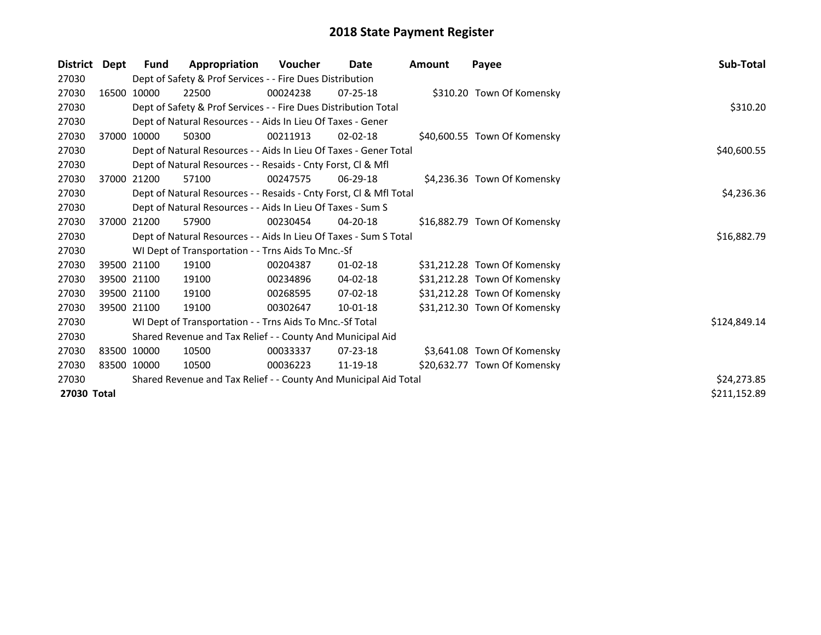| <b>District</b> | Dept | Fund        | Appropriation                                                      | Voucher  | <b>Date</b>    | Amount | Payee                        | Sub-Total    |  |  |  |
|-----------------|------|-------------|--------------------------------------------------------------------|----------|----------------|--------|------------------------------|--------------|--|--|--|
| 27030           |      |             | Dept of Safety & Prof Services - - Fire Dues Distribution          |          |                |        |                              |              |  |  |  |
| 27030           |      | 16500 10000 | 22500                                                              | 00024238 | $07 - 25 - 18$ |        | \$310.20 Town Of Komensky    |              |  |  |  |
| 27030           |      |             | Dept of Safety & Prof Services - - Fire Dues Distribution Total    |          |                |        |                              | \$310.20     |  |  |  |
| 27030           |      |             | Dept of Natural Resources - - Aids In Lieu Of Taxes - Gener        |          |                |        |                              |              |  |  |  |
| 27030           |      | 37000 10000 | 50300                                                              | 00211913 | $02 - 02 - 18$ |        | \$40,600.55 Town Of Komensky |              |  |  |  |
| 27030           |      |             | Dept of Natural Resources - - Aids In Lieu Of Taxes - Gener Total  |          |                |        |                              | \$40,600.55  |  |  |  |
| 27030           |      |             | Dept of Natural Resources - - Resaids - Cnty Forst, Cl & Mfl       |          |                |        |                              |              |  |  |  |
| 27030           |      | 37000 21200 | 57100                                                              | 00247575 | 06-29-18       |        | \$4,236.36 Town Of Komensky  |              |  |  |  |
| 27030           |      |             | Dept of Natural Resources - - Resaids - Cnty Forst, Cl & Mfl Total |          |                |        |                              | \$4,236.36   |  |  |  |
| 27030           |      |             | Dept of Natural Resources - - Aids In Lieu Of Taxes - Sum S        |          |                |        |                              |              |  |  |  |
| 27030           |      | 37000 21200 | 57900                                                              | 00230454 | 04-20-18       |        | \$16,882.79 Town Of Komensky |              |  |  |  |
| 27030           |      |             | Dept of Natural Resources - - Aids In Lieu Of Taxes - Sum S Total  |          |                |        |                              | \$16,882.79  |  |  |  |
| 27030           |      |             | WI Dept of Transportation - - Trns Aids To Mnc.-Sf                 |          |                |        |                              |              |  |  |  |
| 27030           |      | 39500 21100 | 19100                                                              | 00204387 | $01 - 02 - 18$ |        | \$31,212.28 Town Of Komensky |              |  |  |  |
| 27030           |      | 39500 21100 | 19100                                                              | 00234896 | 04-02-18       |        | \$31,212.28 Town Of Komensky |              |  |  |  |
| 27030           |      | 39500 21100 | 19100                                                              | 00268595 | $07 - 02 - 18$ |        | \$31,212.28 Town Of Komensky |              |  |  |  |
| 27030           |      | 39500 21100 | 19100                                                              | 00302647 | 10-01-18       |        | \$31,212.30 Town Of Komensky |              |  |  |  |
| 27030           |      |             | WI Dept of Transportation - - Trns Aids To Mnc.-Sf Total           |          |                |        |                              | \$124,849.14 |  |  |  |
| 27030           |      |             | Shared Revenue and Tax Relief - - County And Municipal Aid         |          |                |        |                              |              |  |  |  |
| 27030           |      | 83500 10000 | 10500                                                              | 00033337 | $07 - 23 - 18$ |        | \$3,641.08 Town Of Komensky  |              |  |  |  |
| 27030           |      | 83500 10000 | 10500                                                              | 00036223 | 11-19-18       |        | \$20,632.77 Town Of Komensky |              |  |  |  |
| 27030           |      |             | Shared Revenue and Tax Relief - - County And Municipal Aid Total   |          |                |        |                              | \$24,273.85  |  |  |  |
| 27030 Total     |      |             |                                                                    |          |                |        |                              | \$211,152.89 |  |  |  |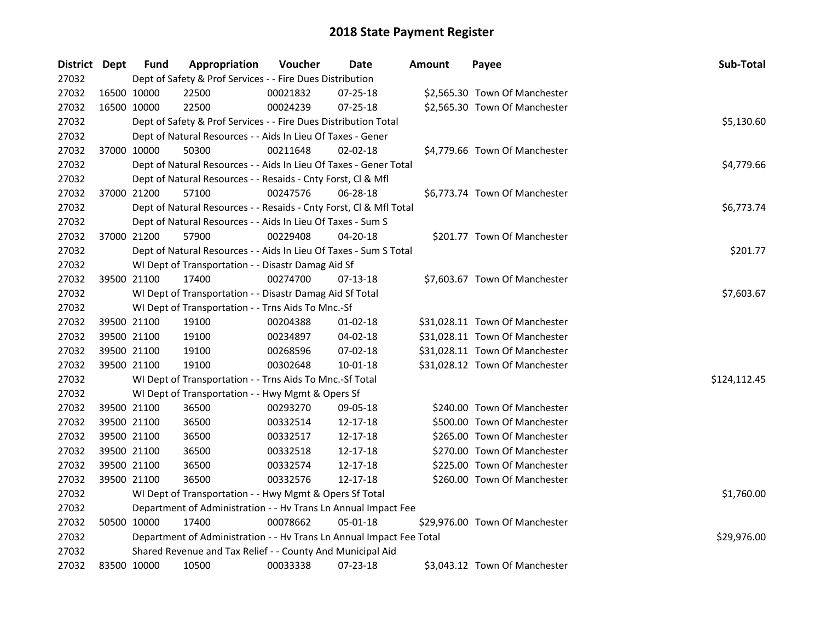| District Dept | Fund        | Appropriation                                                        | Voucher  | <b>Date</b>    | Amount | Payee                          | Sub-Total    |  |  |  |
|---------------|-------------|----------------------------------------------------------------------|----------|----------------|--------|--------------------------------|--------------|--|--|--|
| 27032         |             | Dept of Safety & Prof Services - - Fire Dues Distribution            |          |                |        |                                |              |  |  |  |
| 27032         | 16500 10000 | 22500                                                                | 00021832 | 07-25-18       |        | \$2,565.30 Town Of Manchester  |              |  |  |  |
| 27032         | 16500 10000 | 22500                                                                | 00024239 | 07-25-18       |        | \$2,565.30 Town Of Manchester  |              |  |  |  |
| 27032         |             | Dept of Safety & Prof Services - - Fire Dues Distribution Total      |          |                |        |                                | \$5,130.60   |  |  |  |
| 27032         |             | Dept of Natural Resources - - Aids In Lieu Of Taxes - Gener          |          |                |        |                                |              |  |  |  |
| 27032         | 37000 10000 | 50300                                                                | 00211648 | $02 - 02 - 18$ |        | \$4,779.66 Town Of Manchester  |              |  |  |  |
| 27032         |             | Dept of Natural Resources - - Aids In Lieu Of Taxes - Gener Total    |          |                |        |                                | \$4,779.66   |  |  |  |
| 27032         |             | Dept of Natural Resources - - Resaids - Cnty Forst, Cl & Mfl         |          |                |        |                                |              |  |  |  |
| 27032         | 37000 21200 | 57100                                                                | 00247576 | 06-28-18       |        | \$6,773.74 Town Of Manchester  |              |  |  |  |
| 27032         |             | Dept of Natural Resources - - Resaids - Cnty Forst, Cl & Mfl Total   |          |                |        |                                | \$6,773.74   |  |  |  |
| 27032         |             | Dept of Natural Resources - - Aids In Lieu Of Taxes - Sum S          |          |                |        |                                |              |  |  |  |
| 27032         | 37000 21200 | 57900                                                                | 00229408 | $04 - 20 - 18$ |        | \$201.77 Town Of Manchester    |              |  |  |  |
| 27032         |             | Dept of Natural Resources - - Aids In Lieu Of Taxes - Sum S Total    |          |                |        |                                | \$201.77     |  |  |  |
| 27032         |             | WI Dept of Transportation - - Disastr Damag Aid Sf                   |          |                |        |                                |              |  |  |  |
| 27032         | 39500 21100 | 17400                                                                | 00274700 | 07-13-18       |        | \$7,603.67 Town Of Manchester  |              |  |  |  |
| 27032         |             | WI Dept of Transportation - - Disastr Damag Aid Sf Total             |          |                |        |                                | \$7,603.67   |  |  |  |
| 27032         |             | WI Dept of Transportation - - Trns Aids To Mnc.-Sf                   |          |                |        |                                |              |  |  |  |
| 27032         | 39500 21100 | 19100                                                                | 00204388 | $01-02-18$     |        | \$31,028.11 Town Of Manchester |              |  |  |  |
| 27032         | 39500 21100 | 19100                                                                | 00234897 | 04-02-18       |        | \$31,028.11 Town Of Manchester |              |  |  |  |
| 27032         | 39500 21100 | 19100                                                                | 00268596 | 07-02-18       |        | \$31,028.11 Town Of Manchester |              |  |  |  |
| 27032         | 39500 21100 | 19100                                                                | 00302648 | $10 - 01 - 18$ |        | \$31,028.12 Town Of Manchester |              |  |  |  |
| 27032         |             | WI Dept of Transportation - - Trns Aids To Mnc.-Sf Total             |          |                |        |                                | \$124,112.45 |  |  |  |
| 27032         |             | WI Dept of Transportation - - Hwy Mgmt & Opers Sf                    |          |                |        |                                |              |  |  |  |
| 27032         | 39500 21100 | 36500                                                                | 00293270 | 09-05-18       |        | \$240.00 Town Of Manchester    |              |  |  |  |
| 27032         | 39500 21100 | 36500                                                                | 00332514 | 12-17-18       |        | \$500.00 Town Of Manchester    |              |  |  |  |
| 27032         | 39500 21100 | 36500                                                                | 00332517 | 12-17-18       |        | \$265.00 Town Of Manchester    |              |  |  |  |
| 27032         | 39500 21100 | 36500                                                                | 00332518 | 12-17-18       |        | \$270.00 Town Of Manchester    |              |  |  |  |
| 27032         | 39500 21100 | 36500                                                                | 00332574 | 12-17-18       |        | \$225.00 Town Of Manchester    |              |  |  |  |
| 27032         | 39500 21100 | 36500                                                                | 00332576 | 12-17-18       |        | \$260.00 Town Of Manchester    |              |  |  |  |
| 27032         |             | WI Dept of Transportation - - Hwy Mgmt & Opers Sf Total              |          |                |        |                                | \$1,760.00   |  |  |  |
| 27032         |             | Department of Administration - - Hv Trans Ln Annual Impact Fee       |          |                |        |                                |              |  |  |  |
| 27032         | 50500 10000 | 17400                                                                | 00078662 | $05 - 01 - 18$ |        | \$29,976.00 Town Of Manchester |              |  |  |  |
| 27032         |             | Department of Administration - - Hv Trans Ln Annual Impact Fee Total |          |                |        |                                | \$29,976.00  |  |  |  |
| 27032         |             | Shared Revenue and Tax Relief - - County And Municipal Aid           |          |                |        |                                |              |  |  |  |
| 27032         | 83500 10000 | 10500                                                                | 00033338 | 07-23-18       |        | \$3,043.12 Town Of Manchester  |              |  |  |  |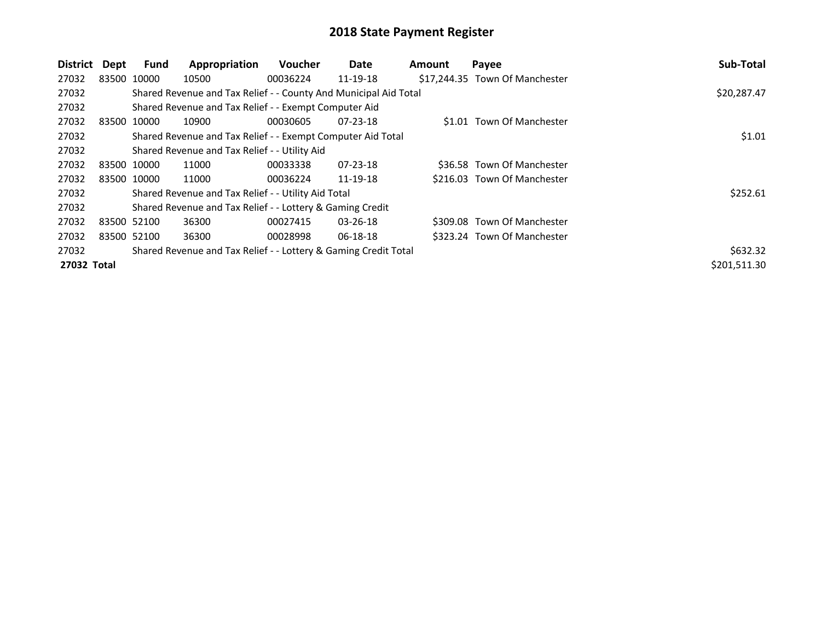| District    | Dept | Fund        | Appropriation                                                    | <b>Voucher</b> | Date           | <b>Amount</b> | Payee                          | Sub-Total    |
|-------------|------|-------------|------------------------------------------------------------------|----------------|----------------|---------------|--------------------------------|--------------|
| 27032       |      | 83500 10000 | 10500                                                            | 00036224       | 11-19-18       |               | \$17,244.35 Town Of Manchester |              |
| 27032       |      |             | Shared Revenue and Tax Relief - - County And Municipal Aid Total |                |                |               |                                | \$20,287.47  |
| 27032       |      |             | Shared Revenue and Tax Relief - - Exempt Computer Aid            |                |                |               |                                |              |
| 27032       |      | 83500 10000 | 10900                                                            | 00030605       | $07 - 23 - 18$ |               | \$1.01 Town Of Manchester      |              |
| 27032       |      |             | Shared Revenue and Tax Relief - - Exempt Computer Aid Total      |                |                |               |                                | \$1.01       |
| 27032       |      |             | Shared Revenue and Tax Relief - - Utility Aid                    |                |                |               |                                |              |
| 27032       |      | 83500 10000 | 11000                                                            | 00033338       | $07 - 23 - 18$ |               | \$36.58 Town Of Manchester     |              |
| 27032       |      | 83500 10000 | 11000                                                            | 00036224       | 11-19-18       |               | \$216.03 Town Of Manchester    |              |
| 27032       |      |             | Shared Revenue and Tax Relief - - Utility Aid Total              |                |                |               |                                | \$252.61     |
| 27032       |      |             | Shared Revenue and Tax Relief - - Lottery & Gaming Credit        |                |                |               |                                |              |
| 27032       |      | 83500 52100 | 36300                                                            | 00027415       | $03 - 26 - 18$ |               | \$309.08 Town Of Manchester    |              |
| 27032       |      | 83500 52100 | 36300                                                            | 00028998       | 06-18-18       |               | \$323.24 Town Of Manchester    |              |
| 27032       |      |             | Shared Revenue and Tax Relief - - Lottery & Gaming Credit Total  |                |                |               |                                | \$632.32     |
| 27032 Total |      |             |                                                                  |                |                |               |                                | \$201,511.30 |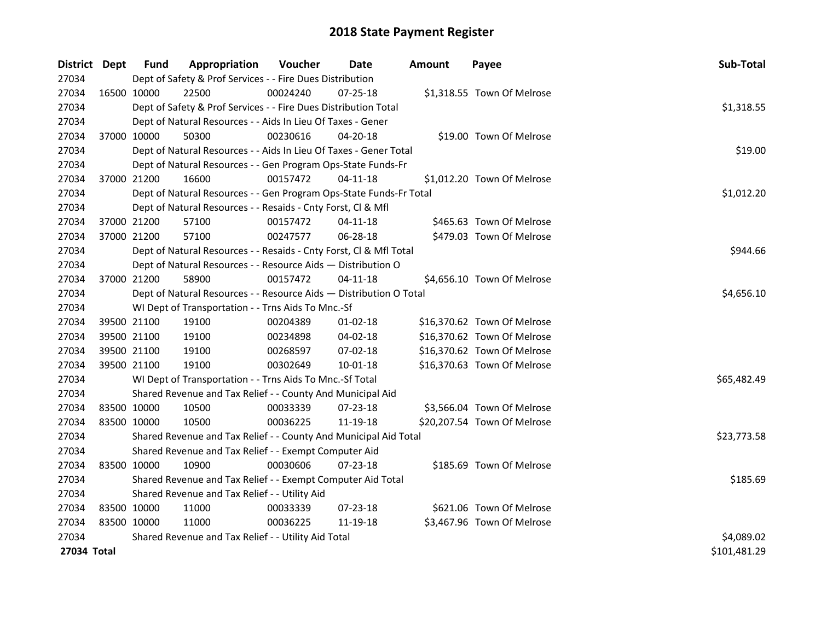| District Dept |             | Fund        | Appropriation                                                      | Voucher    | <b>Date</b>    | <b>Amount</b> | Payee                       | Sub-Total    |
|---------------|-------------|-------------|--------------------------------------------------------------------|------------|----------------|---------------|-----------------------------|--------------|
| 27034         |             |             | Dept of Safety & Prof Services - - Fire Dues Distribution          |            |                |               |                             |              |
| 27034         |             | 16500 10000 | 22500                                                              | 00024240   | $07 - 25 - 18$ |               | \$1,318.55 Town Of Melrose  |              |
| 27034         |             |             | Dept of Safety & Prof Services - - Fire Dues Distribution Total    |            |                |               |                             | \$1,318.55   |
| 27034         |             |             | Dept of Natural Resources - - Aids In Lieu Of Taxes - Gener        |            |                |               |                             |              |
| 27034         |             | 37000 10000 | 50300                                                              | 00230616   | 04-20-18       |               | \$19.00 Town Of Melrose     |              |
| 27034         |             |             | Dept of Natural Resources - - Aids In Lieu Of Taxes - Gener Total  |            |                |               |                             | \$19.00      |
| 27034         |             |             | Dept of Natural Resources - - Gen Program Ops-State Funds-Fr       |            |                |               |                             |              |
| 27034         |             | 37000 21200 | 16600                                                              | 00157472   | 04-11-18       |               | \$1,012.20 Town Of Melrose  |              |
| 27034         |             |             | Dept of Natural Resources - - Gen Program Ops-State Funds-Fr Total |            |                |               |                             | \$1,012.20   |
| 27034         |             |             | Dept of Natural Resources - - Resaids - Cnty Forst, Cl & Mfl       |            |                |               |                             |              |
| 27034         |             | 37000 21200 | 57100                                                              | 00157472   | $04 - 11 - 18$ |               | \$465.63 Town Of Melrose    |              |
| 27034         |             | 37000 21200 | 57100                                                              | 00247577   | 06-28-18       |               | \$479.03 Town Of Melrose    |              |
| 27034         |             |             | Dept of Natural Resources - - Resaids - Cnty Forst, CI & Mfl Total |            |                |               |                             | \$944.66     |
| 27034         |             |             | Dept of Natural Resources - - Resource Aids - Distribution O       |            |                |               |                             |              |
| 27034         |             | 37000 21200 | 58900                                                              | 00157472   | 04-11-18       |               | \$4,656.10 Town Of Melrose  |              |
| 27034         |             |             | Dept of Natural Resources - - Resource Aids - Distribution O Total | \$4,656.10 |                |               |                             |              |
| 27034         |             |             | WI Dept of Transportation - - Trns Aids To Mnc.-Sf                 |            |                |               |                             |              |
| 27034         |             | 39500 21100 | 19100                                                              | 00204389   | $01-02-18$     |               | \$16,370.62 Town Of Melrose |              |
| 27034         |             | 39500 21100 | 19100                                                              | 00234898   | 04-02-18       |               | \$16,370.62 Town Of Melrose |              |
| 27034         |             | 39500 21100 | 19100                                                              | 00268597   | 07-02-18       |               | \$16,370.62 Town Of Melrose |              |
| 27034         |             | 39500 21100 | 19100                                                              | 00302649   | 10-01-18       |               | \$16,370.63 Town Of Melrose |              |
| 27034         |             |             | WI Dept of Transportation - - Trns Aids To Mnc.-Sf Total           |            |                |               |                             | \$65,482.49  |
| 27034         |             |             | Shared Revenue and Tax Relief - - County And Municipal Aid         |            |                |               |                             |              |
| 27034         |             | 83500 10000 | 10500                                                              | 00033339   | 07-23-18       |               | \$3,566.04 Town Of Melrose  |              |
| 27034         |             | 83500 10000 | 10500                                                              | 00036225   | 11-19-18       |               | \$20,207.54 Town Of Melrose |              |
| 27034         |             |             | Shared Revenue and Tax Relief - - County And Municipal Aid Total   |            |                |               |                             | \$23,773.58  |
| 27034         |             |             | Shared Revenue and Tax Relief - - Exempt Computer Aid              |            |                |               |                             |              |
| 27034         |             | 83500 10000 | 10900                                                              | 00030606   | 07-23-18       |               | \$185.69 Town Of Melrose    |              |
| 27034         |             |             | Shared Revenue and Tax Relief - - Exempt Computer Aid Total        |            |                |               |                             | \$185.69     |
| 27034         |             |             | Shared Revenue and Tax Relief - - Utility Aid                      |            |                |               |                             |              |
| 27034         |             | 83500 10000 | 11000                                                              | 00033339   | 07-23-18       |               | \$621.06 Town Of Melrose    |              |
| 27034         | 83500 10000 |             | 11000                                                              | 00036225   | 11-19-18       |               | \$3,467.96 Town Of Melrose  |              |
| 27034         |             |             | Shared Revenue and Tax Relief - - Utility Aid Total                |            |                |               |                             | \$4,089.02   |
| 27034 Total   |             |             |                                                                    |            |                |               |                             | \$101,481.29 |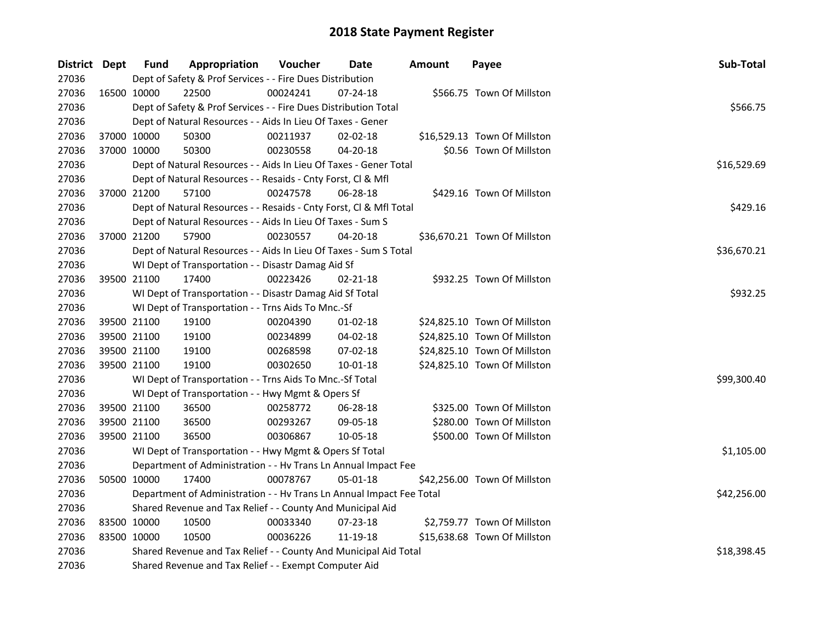| District Dept |             | <b>Fund</b> | Appropriation                                                        | Voucher  | Date           | <b>Amount</b> | Payee                        | Sub-Total   |  |  |
|---------------|-------------|-------------|----------------------------------------------------------------------|----------|----------------|---------------|------------------------------|-------------|--|--|
| 27036         |             |             | Dept of Safety & Prof Services - - Fire Dues Distribution            |          |                |               |                              |             |  |  |
| 27036         |             | 16500 10000 | 22500                                                                | 00024241 | $07 - 24 - 18$ |               | \$566.75 Town Of Millston    |             |  |  |
| 27036         |             |             | Dept of Safety & Prof Services - - Fire Dues Distribution Total      |          |                |               |                              | \$566.75    |  |  |
| 27036         |             |             | Dept of Natural Resources - - Aids In Lieu Of Taxes - Gener          |          |                |               |                              |             |  |  |
| 27036         | 37000 10000 |             | 50300                                                                | 00211937 | 02-02-18       |               | \$16,529.13 Town Of Millston |             |  |  |
| 27036         | 37000 10000 |             | 50300                                                                | 00230558 | 04-20-18       |               | \$0.56 Town Of Millston      |             |  |  |
| 27036         |             |             | Dept of Natural Resources - - Aids In Lieu Of Taxes - Gener Total    |          |                |               |                              | \$16,529.69 |  |  |
| 27036         |             |             | Dept of Natural Resources - - Resaids - Cnty Forst, Cl & Mfl         |          |                |               |                              |             |  |  |
| 27036         | 37000 21200 |             | 57100                                                                | 00247578 | 06-28-18       |               | \$429.16 Town Of Millston    |             |  |  |
| 27036         |             |             | Dept of Natural Resources - - Resaids - Cnty Forst, Cl & Mfl Total   |          |                |               |                              |             |  |  |
| 27036         |             |             | Dept of Natural Resources - - Aids In Lieu Of Taxes - Sum S          |          |                |               |                              |             |  |  |
| 27036         | 37000 21200 |             | 57900                                                                | 00230557 | 04-20-18       |               | \$36,670.21 Town Of Millston |             |  |  |
| 27036         |             |             | Dept of Natural Resources - - Aids In Lieu Of Taxes - Sum S Total    |          |                |               |                              | \$36,670.21 |  |  |
| 27036         |             |             | WI Dept of Transportation - - Disastr Damag Aid Sf                   |          |                |               |                              |             |  |  |
| 27036         | 39500 21100 |             | 17400                                                                | 00223426 | $02 - 21 - 18$ |               | \$932.25 Town Of Millston    |             |  |  |
| 27036         |             |             | WI Dept of Transportation - - Disastr Damag Aid Sf Total             | \$932.25 |                |               |                              |             |  |  |
| 27036         |             |             | WI Dept of Transportation - - Trns Aids To Mnc.-Sf                   |          |                |               |                              |             |  |  |
| 27036         | 39500 21100 |             | 19100                                                                | 00204390 | $01-02-18$     |               | \$24,825.10 Town Of Millston |             |  |  |
| 27036         | 39500 21100 |             | 19100                                                                | 00234899 | 04-02-18       |               | \$24,825.10 Town Of Millston |             |  |  |
| 27036         | 39500 21100 |             | 19100                                                                | 00268598 | 07-02-18       |               | \$24,825.10 Town Of Millston |             |  |  |
| 27036         | 39500 21100 |             | 19100                                                                | 00302650 | 10-01-18       |               | \$24,825.10 Town Of Millston |             |  |  |
| 27036         |             |             | WI Dept of Transportation - - Trns Aids To Mnc.-Sf Total             |          |                |               |                              | \$99,300.40 |  |  |
| 27036         |             |             | WI Dept of Transportation - - Hwy Mgmt & Opers Sf                    |          |                |               |                              |             |  |  |
| 27036         | 39500 21100 |             | 36500                                                                | 00258772 | 06-28-18       |               | \$325.00 Town Of Millston    |             |  |  |
| 27036         | 39500 21100 |             | 36500                                                                | 00293267 | 09-05-18       |               | \$280.00 Town Of Millston    |             |  |  |
| 27036         |             | 39500 21100 | 36500                                                                | 00306867 | 10-05-18       |               | \$500.00 Town Of Millston    |             |  |  |
| 27036         |             |             | WI Dept of Transportation - - Hwy Mgmt & Opers Sf Total              |          |                |               |                              | \$1,105.00  |  |  |
| 27036         |             |             | Department of Administration - - Hv Trans Ln Annual Impact Fee       |          |                |               |                              |             |  |  |
| 27036         | 50500 10000 |             | 17400                                                                | 00078767 | 05-01-18       |               | \$42,256.00 Town Of Millston |             |  |  |
| 27036         |             |             | Department of Administration - - Hv Trans Ln Annual Impact Fee Total |          |                |               |                              | \$42,256.00 |  |  |
| 27036         |             |             | Shared Revenue and Tax Relief - - County And Municipal Aid           |          |                |               |                              |             |  |  |
| 27036         | 83500 10000 |             | 10500                                                                | 00033340 | 07-23-18       |               | \$2,759.77 Town Of Millston  |             |  |  |
| 27036         | 83500 10000 |             | 10500                                                                | 00036226 | 11-19-18       |               | \$15,638.68 Town Of Millston |             |  |  |
| 27036         |             |             | Shared Revenue and Tax Relief - - County And Municipal Aid Total     |          |                |               |                              | \$18,398.45 |  |  |
| 27036         |             |             | Shared Revenue and Tax Relief - - Exempt Computer Aid                |          |                |               |                              |             |  |  |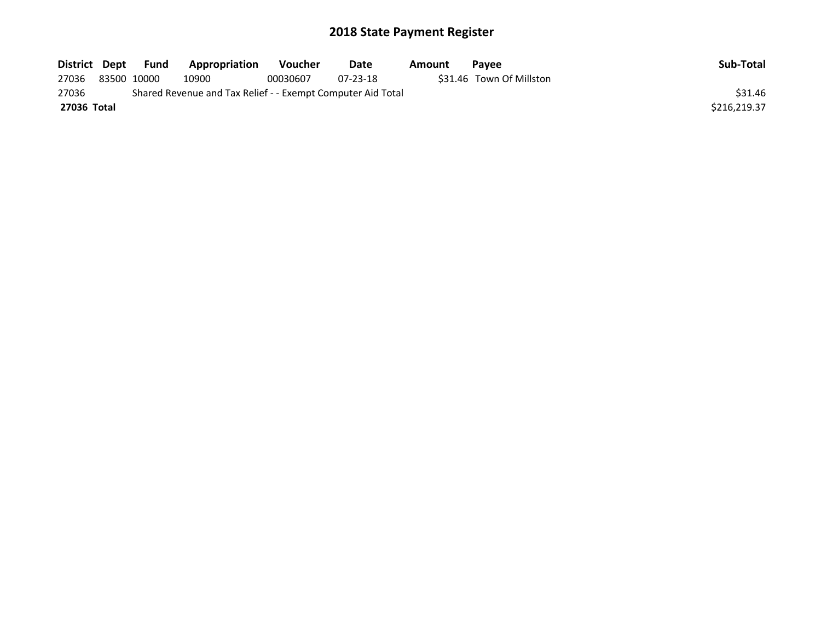| District Dept | Fund        | Appropriation                                               | Voucher  | Date           | Amount | <b>Pavee</b>             | Sub-Total    |
|---------------|-------------|-------------------------------------------------------------|----------|----------------|--------|--------------------------|--------------|
| 27036         | 83500 10000 | 10900                                                       | 00030607 | $07 - 23 - 18$ |        | \$31.46 Town Of Millston |              |
| 27036         |             | Shared Revenue and Tax Relief - - Exempt Computer Aid Total |          |                |        |                          | \$31.46      |
| 27036 Total   |             |                                                             |          |                |        |                          | \$216.219.37 |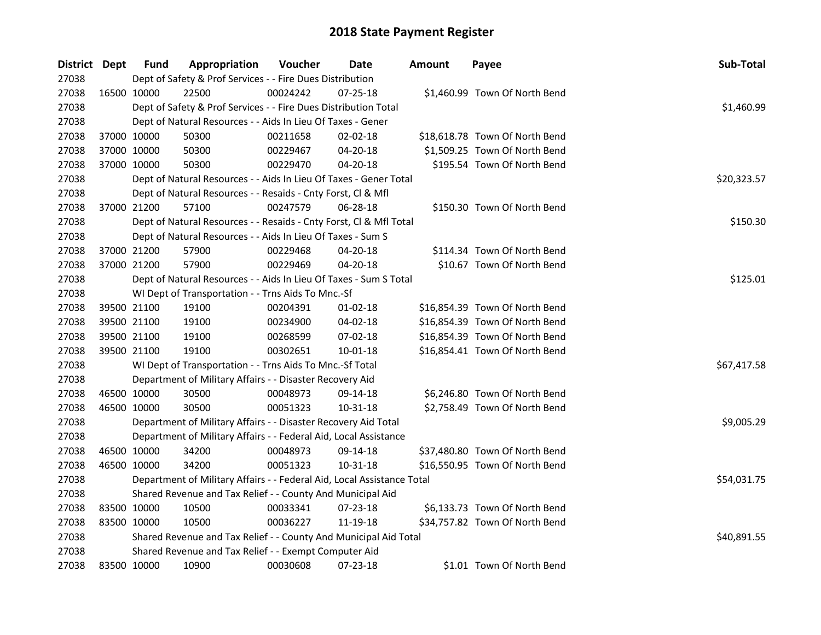| District Dept |             | <b>Fund</b>                                           | Appropriation                                                          | Voucher  | Date           | Amount | Payee                          | Sub-Total   |
|---------------|-------------|-------------------------------------------------------|------------------------------------------------------------------------|----------|----------------|--------|--------------------------------|-------------|
| 27038         |             |                                                       | Dept of Safety & Prof Services - - Fire Dues Distribution              |          |                |        |                                |             |
| 27038         |             | 16500 10000                                           | 22500                                                                  | 00024242 | 07-25-18       |        | \$1,460.99 Town Of North Bend  |             |
| 27038         |             |                                                       | Dept of Safety & Prof Services - - Fire Dues Distribution Total        |          |                |        |                                | \$1,460.99  |
| 27038         |             |                                                       | Dept of Natural Resources - - Aids In Lieu Of Taxes - Gener            |          |                |        |                                |             |
| 27038         | 37000 10000 |                                                       | 50300                                                                  | 00211658 | 02-02-18       |        | \$18,618.78 Town Of North Bend |             |
| 27038         | 37000 10000 |                                                       | 50300                                                                  | 00229467 | 04-20-18       |        | \$1,509.25 Town Of North Bend  |             |
| 27038         | 37000 10000 |                                                       | 50300                                                                  | 00229470 | 04-20-18       |        | \$195.54 Town Of North Bend    |             |
| 27038         |             |                                                       | Dept of Natural Resources - - Aids In Lieu Of Taxes - Gener Total      |          |                |        |                                | \$20,323.57 |
| 27038         |             |                                                       | Dept of Natural Resources - - Resaids - Cnty Forst, Cl & Mfl           |          |                |        |                                |             |
| 27038         | 37000 21200 |                                                       | 57100                                                                  | 00247579 | 06-28-18       |        | \$150.30 Town Of North Bend    |             |
| 27038         |             |                                                       | Dept of Natural Resources - - Resaids - Cnty Forst, Cl & Mfl Total     |          |                |        |                                | \$150.30    |
| 27038         |             |                                                       | Dept of Natural Resources - - Aids In Lieu Of Taxes - Sum S            |          |                |        |                                |             |
| 27038         |             | 37000 21200                                           | 57900                                                                  | 00229468 | 04-20-18       |        | \$114.34 Town Of North Bend    |             |
| 27038         | 37000 21200 |                                                       | 57900                                                                  | 00229469 | 04-20-18       |        | \$10.67 Town Of North Bend     |             |
| 27038         |             |                                                       | Dept of Natural Resources - - Aids In Lieu Of Taxes - Sum S Total      |          |                |        |                                | \$125.01    |
| 27038         |             |                                                       | WI Dept of Transportation - - Trns Aids To Mnc.-Sf                     |          |                |        |                                |             |
| 27038         | 39500 21100 |                                                       | 19100                                                                  | 00204391 | $01 - 02 - 18$ |        | \$16,854.39 Town Of North Bend |             |
| 27038         | 39500 21100 |                                                       | 19100                                                                  | 00234900 | 04-02-18       |        | \$16,854.39 Town Of North Bend |             |
| 27038         | 39500 21100 |                                                       | 19100                                                                  | 00268599 | $07 - 02 - 18$ |        | \$16,854.39 Town Of North Bend |             |
| 27038         | 39500 21100 |                                                       | 19100                                                                  | 00302651 | 10-01-18       |        | \$16,854.41 Town Of North Bend |             |
| 27038         |             |                                                       | WI Dept of Transportation - - Trns Aids To Mnc.-Sf Total               |          |                |        |                                | \$67,417.58 |
| 27038         |             |                                                       | Department of Military Affairs - - Disaster Recovery Aid               |          |                |        |                                |             |
| 27038         | 46500 10000 |                                                       | 30500                                                                  | 00048973 | 09-14-18       |        | \$6,246.80 Town Of North Bend  |             |
| 27038         | 46500 10000 |                                                       | 30500                                                                  | 00051323 | 10-31-18       |        | \$2,758.49 Town Of North Bend  |             |
| 27038         |             |                                                       | Department of Military Affairs - - Disaster Recovery Aid Total         |          |                |        |                                | \$9,005.29  |
| 27038         |             |                                                       | Department of Military Affairs - - Federal Aid, Local Assistance       |          |                |        |                                |             |
| 27038         |             | 46500 10000                                           | 34200                                                                  | 00048973 | 09-14-18       |        | \$37,480.80 Town Of North Bend |             |
| 27038         | 46500 10000 |                                                       | 34200                                                                  | 00051323 | 10-31-18       |        | \$16,550.95 Town Of North Bend |             |
| 27038         |             |                                                       | Department of Military Affairs - - Federal Aid, Local Assistance Total |          |                |        |                                | \$54,031.75 |
| 27038         |             |                                                       | Shared Revenue and Tax Relief - - County And Municipal Aid             |          |                |        |                                |             |
| 27038         | 83500 10000 |                                                       | 10500                                                                  | 00033341 | 07-23-18       |        | \$6,133.73 Town Of North Bend  |             |
| 27038         | 83500 10000 |                                                       | 10500                                                                  | 00036227 | 11-19-18       |        | \$34,757.82 Town Of North Bend |             |
| 27038         |             |                                                       | Shared Revenue and Tax Relief - - County And Municipal Aid Total       |          |                |        |                                | \$40,891.55 |
| 27038         |             | Shared Revenue and Tax Relief - - Exempt Computer Aid |                                                                        |          |                |        |                                |             |
| 27038         |             | 83500 10000                                           | 10900                                                                  | 00030608 | 07-23-18       |        | \$1.01 Town Of North Bend      |             |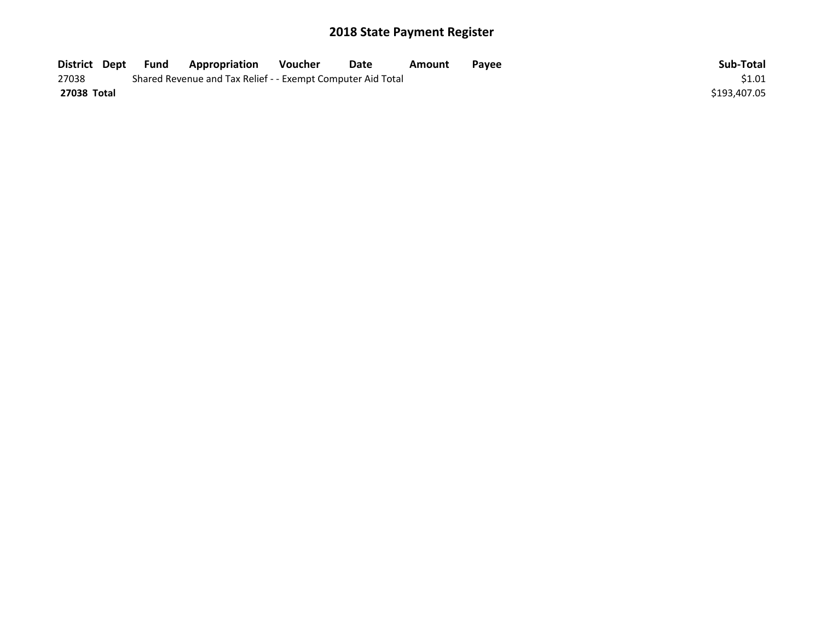| District Dept | <b>Fund</b> | Appropriation                                               | Voucher | Date | Amount | Pavee | Sub-Total    |
|---------------|-------------|-------------------------------------------------------------|---------|------|--------|-------|--------------|
| 27038         |             | Shared Revenue and Tax Relief - - Exempt Computer Aid Total |         |      |        |       | \$1.01       |
| 27038 Total   |             |                                                             |         |      |        |       | \$193,407.05 |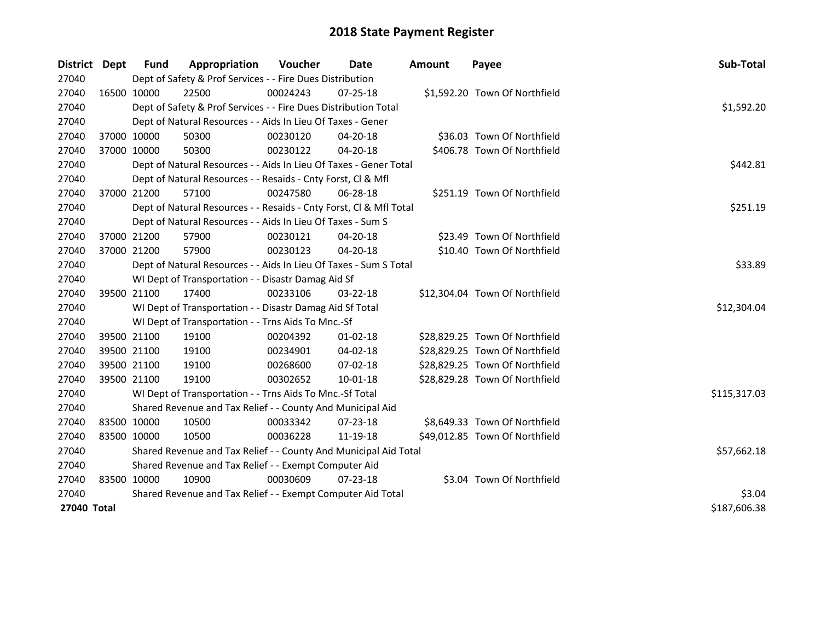| District    | Dept        | <b>Fund</b>                                           | Appropriation                                                      | Voucher     | Date           | <b>Amount</b> | Payee                          | Sub-Total    |
|-------------|-------------|-------------------------------------------------------|--------------------------------------------------------------------|-------------|----------------|---------------|--------------------------------|--------------|
| 27040       |             |                                                       | Dept of Safety & Prof Services - - Fire Dues Distribution          |             |                |               |                                |              |
| 27040       | 16500 10000 |                                                       | 22500                                                              | 00024243    | $07 - 25 - 18$ |               | \$1,592.20 Town Of Northfield  |              |
| 27040       |             |                                                       | Dept of Safety & Prof Services - - Fire Dues Distribution Total    |             |                |               |                                | \$1,592.20   |
| 27040       |             |                                                       | Dept of Natural Resources - - Aids In Lieu Of Taxes - Gener        |             |                |               |                                |              |
| 27040       | 37000 10000 |                                                       | 50300                                                              | 00230120    | 04-20-18       |               | \$36.03 Town Of Northfield     |              |
| 27040       | 37000 10000 |                                                       | 50300                                                              | 00230122    | 04-20-18       |               | \$406.78 Town Of Northfield    |              |
| 27040       |             |                                                       | Dept of Natural Resources - - Aids In Lieu Of Taxes - Gener Total  |             |                |               |                                | \$442.81     |
| 27040       |             |                                                       | Dept of Natural Resources - - Resaids - Cnty Forst, Cl & Mfl       |             |                |               |                                |              |
| 27040       |             | 37000 21200                                           | 57100                                                              | 00247580    | 06-28-18       |               | \$251.19 Town Of Northfield    |              |
| 27040       |             |                                                       | Dept of Natural Resources - - Resaids - Cnty Forst, Cl & Mfl Total | \$251.19    |                |               |                                |              |
| 27040       |             |                                                       | Dept of Natural Resources - - Aids In Lieu Of Taxes - Sum S        |             |                |               |                                |              |
| 27040       |             | 37000 21200                                           | 57900                                                              | 00230121    | 04-20-18       |               | \$23.49 Town Of Northfield     |              |
| 27040       |             | 37000 21200                                           | 57900                                                              | 00230123    | 04-20-18       |               | \$10.40 Town Of Northfield     |              |
| 27040       |             |                                                       | Dept of Natural Resources - - Aids In Lieu Of Taxes - Sum S Total  | \$33.89     |                |               |                                |              |
| 27040       |             |                                                       | WI Dept of Transportation - - Disastr Damag Aid Sf                 |             |                |               |                                |              |
| 27040       |             | 39500 21100                                           | 17400                                                              | 00233106    | 03-22-18       |               | \$12,304.04 Town Of Northfield |              |
| 27040       |             |                                                       | WI Dept of Transportation - - Disastr Damag Aid Sf Total           |             |                |               |                                | \$12,304.04  |
| 27040       |             |                                                       | WI Dept of Transportation - - Trns Aids To Mnc.-Sf                 |             |                |               |                                |              |
| 27040       |             | 39500 21100                                           | 19100                                                              | 00204392    | $01-02-18$     |               | \$28,829.25 Town Of Northfield |              |
| 27040       |             | 39500 21100                                           | 19100                                                              | 00234901    | 04-02-18       |               | \$28,829.25 Town Of Northfield |              |
| 27040       |             | 39500 21100                                           | 19100                                                              | 00268600    | $07 - 02 - 18$ |               | \$28,829.25 Town Of Northfield |              |
| 27040       |             | 39500 21100                                           | 19100                                                              | 00302652    | $10 - 01 - 18$ |               | \$28,829.28 Town Of Northfield |              |
| 27040       |             |                                                       | WI Dept of Transportation - - Trns Aids To Mnc.-Sf Total           |             |                |               |                                | \$115,317.03 |
| 27040       |             |                                                       | Shared Revenue and Tax Relief - - County And Municipal Aid         |             |                |               |                                |              |
| 27040       |             | 83500 10000                                           | 10500                                                              | 00033342    | $07 - 23 - 18$ |               | \$8,649.33 Town Of Northfield  |              |
| 27040       | 83500 10000 |                                                       | 10500                                                              | 00036228    | 11-19-18       |               | \$49,012.85 Town Of Northfield |              |
| 27040       |             |                                                       | Shared Revenue and Tax Relief - - County And Municipal Aid Total   | \$57,662.18 |                |               |                                |              |
| 27040       |             | Shared Revenue and Tax Relief - - Exempt Computer Aid |                                                                    |             |                |               |                                |              |
| 27040       |             | 83500 10000                                           | 10900                                                              | 00030609    | 07-23-18       |               | \$3.04 Town Of Northfield      |              |
| 27040       |             |                                                       | Shared Revenue and Tax Relief - - Exempt Computer Aid Total        | \$3.04      |                |               |                                |              |
| 27040 Total |             |                                                       |                                                                    |             |                |               |                                | \$187,606.38 |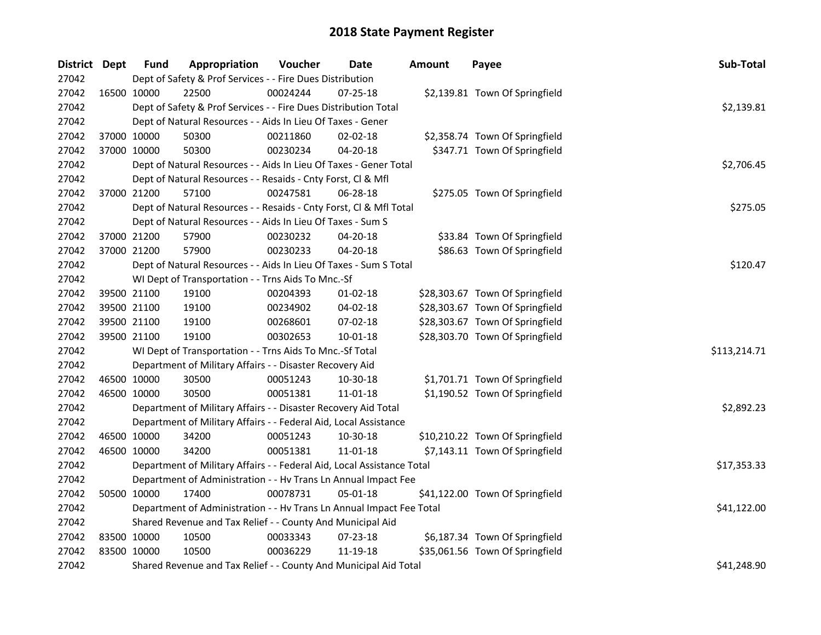| District Dept | <b>Fund</b> | Appropriation                                                          | Voucher  | <b>Date</b>    | <b>Amount</b> | Payee                           | Sub-Total    |
|---------------|-------------|------------------------------------------------------------------------|----------|----------------|---------------|---------------------------------|--------------|
| 27042         |             | Dept of Safety & Prof Services - - Fire Dues Distribution              |          |                |               |                                 |              |
| 27042         | 16500 10000 | 22500                                                                  | 00024244 | $07 - 25 - 18$ |               | \$2,139.81 Town Of Springfield  |              |
| 27042         |             | Dept of Safety & Prof Services - - Fire Dues Distribution Total        |          |                |               |                                 | \$2,139.81   |
| 27042         |             | Dept of Natural Resources - - Aids In Lieu Of Taxes - Gener            |          |                |               |                                 |              |
| 27042         | 37000 10000 | 50300                                                                  | 00211860 | $02 - 02 - 18$ |               | \$2,358.74 Town Of Springfield  |              |
| 27042         | 37000 10000 | 50300                                                                  | 00230234 | $04 - 20 - 18$ |               | \$347.71 Town Of Springfield    |              |
| 27042         |             | Dept of Natural Resources - - Aids In Lieu Of Taxes - Gener Total      |          |                |               |                                 | \$2,706.45   |
| 27042         |             | Dept of Natural Resources - - Resaids - Cnty Forst, Cl & Mfl           |          |                |               |                                 |              |
| 27042         | 37000 21200 | 57100                                                                  | 00247581 | 06-28-18       |               | \$275.05 Town Of Springfield    |              |
| 27042         |             | Dept of Natural Resources - - Resaids - Cnty Forst, Cl & Mfl Total     |          |                |               |                                 | \$275.05     |
| 27042         |             | Dept of Natural Resources - - Aids In Lieu Of Taxes - Sum S            |          |                |               |                                 |              |
| 27042         | 37000 21200 | 57900                                                                  | 00230232 | 04-20-18       |               | \$33.84 Town Of Springfield     |              |
| 27042         | 37000 21200 | 57900                                                                  | 00230233 | 04-20-18       |               | \$86.63 Town Of Springfield     |              |
| 27042         |             | Dept of Natural Resources - - Aids In Lieu Of Taxes - Sum S Total      |          |                |               |                                 | \$120.47     |
| 27042         |             | WI Dept of Transportation - - Trns Aids To Mnc.-Sf                     |          |                |               |                                 |              |
| 27042         | 39500 21100 | 19100                                                                  | 00204393 | $01 - 02 - 18$ |               | \$28,303.67 Town Of Springfield |              |
| 27042         | 39500 21100 | 19100                                                                  | 00234902 | 04-02-18       |               | \$28,303.67 Town Of Springfield |              |
| 27042         | 39500 21100 | 19100                                                                  | 00268601 | 07-02-18       |               | \$28,303.67 Town Of Springfield |              |
| 27042         | 39500 21100 | 19100                                                                  | 00302653 | 10-01-18       |               | \$28,303.70 Town Of Springfield |              |
| 27042         |             | WI Dept of Transportation - - Trns Aids To Mnc.-Sf Total               |          |                |               |                                 | \$113,214.71 |
| 27042         |             | Department of Military Affairs - - Disaster Recovery Aid               |          |                |               |                                 |              |
| 27042         | 46500 10000 | 30500                                                                  | 00051243 | 10-30-18       |               | \$1,701.71 Town Of Springfield  |              |
| 27042         | 46500 10000 | 30500                                                                  | 00051381 | 11-01-18       |               | \$1,190.52 Town Of Springfield  |              |
| 27042         |             | Department of Military Affairs - - Disaster Recovery Aid Total         |          |                |               |                                 | \$2,892.23   |
| 27042         |             | Department of Military Affairs - - Federal Aid, Local Assistance       |          |                |               |                                 |              |
| 27042         | 46500 10000 | 34200                                                                  | 00051243 | 10-30-18       |               | \$10,210.22 Town Of Springfield |              |
| 27042         | 46500 10000 | 34200                                                                  | 00051381 | 11-01-18       |               | \$7,143.11 Town Of Springfield  |              |
| 27042         |             | Department of Military Affairs - - Federal Aid, Local Assistance Total |          |                |               |                                 | \$17,353.33  |
| 27042         |             | Department of Administration - - Hv Trans Ln Annual Impact Fee         |          |                |               |                                 |              |
| 27042         | 50500 10000 | 17400                                                                  | 00078731 | 05-01-18       |               | \$41,122.00 Town Of Springfield |              |
| 27042         |             | Department of Administration - - Hv Trans Ln Annual Impact Fee Total   |          |                |               |                                 | \$41,122.00  |
| 27042         |             | Shared Revenue and Tax Relief - - County And Municipal Aid             |          |                |               |                                 |              |
| 27042         | 83500 10000 | 10500                                                                  | 00033343 | 07-23-18       |               | \$6,187.34 Town Of Springfield  |              |
| 27042         | 83500 10000 | 10500                                                                  | 00036229 | 11-19-18       |               | \$35,061.56 Town Of Springfield |              |
| 27042         |             | Shared Revenue and Tax Relief - - County And Municipal Aid Total       |          |                |               |                                 | \$41,248.90  |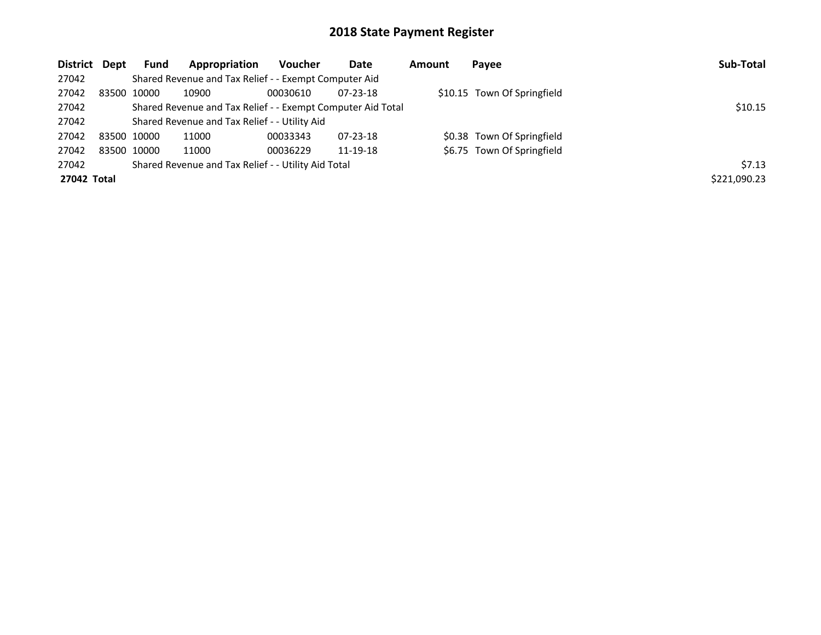| District Dept | <b>Fund</b> | Appropriation                                               | <b>Voucher</b> | Date           | <b>Amount</b> | Payee                       | Sub-Total    |
|---------------|-------------|-------------------------------------------------------------|----------------|----------------|---------------|-----------------------------|--------------|
| 27042         |             | Shared Revenue and Tax Relief - - Exempt Computer Aid       |                |                |               |                             |              |
| 27042         | 83500 10000 | 10900                                                       | 00030610       | $07 - 23 - 18$ |               | \$10.15 Town Of Springfield |              |
| 27042         |             | Shared Revenue and Tax Relief - - Exempt Computer Aid Total | \$10.15        |                |               |                             |              |
| 27042         |             | Shared Revenue and Tax Relief - - Utility Aid               |                |                |               |                             |              |
| 27042         | 83500 10000 | 11000                                                       | 00033343       | $07 - 23 - 18$ |               | \$0.38 Town Of Springfield  |              |
| 27042         | 83500 10000 | 11000                                                       | 00036229       | 11-19-18       |               | \$6.75 Town Of Springfield  |              |
| 27042         |             | Shared Revenue and Tax Relief - - Utility Aid Total         |                |                |               |                             | \$7.13       |
| 27042 Total   |             |                                                             |                |                |               |                             | \$221,090.23 |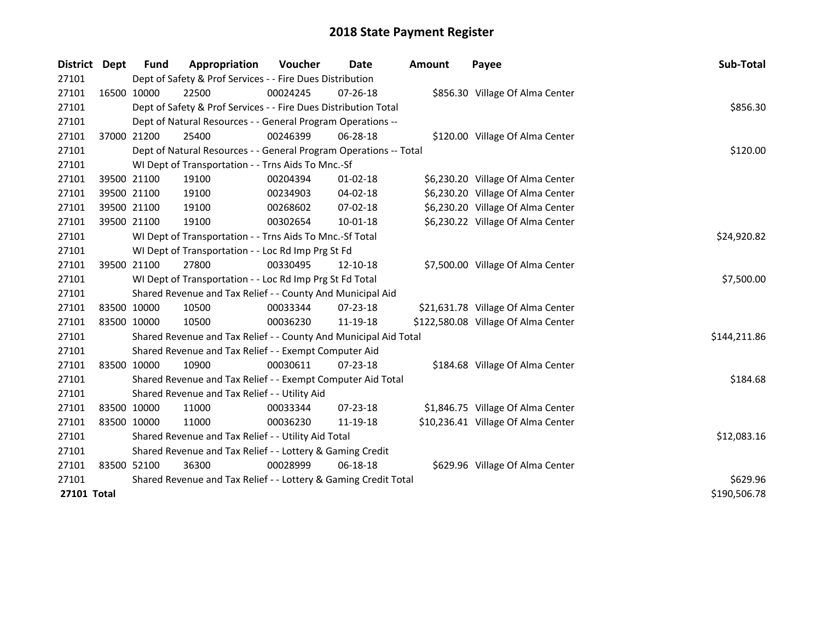| District    | <b>Dept</b> | Fund        | Appropriation                                                     | Voucher     | Date           | Amount | Payee                               | Sub-Total    |
|-------------|-------------|-------------|-------------------------------------------------------------------|-------------|----------------|--------|-------------------------------------|--------------|
| 27101       |             |             | Dept of Safety & Prof Services - - Fire Dues Distribution         |             |                |        |                                     |              |
| 27101       |             | 16500 10000 | 22500                                                             | 00024245    | $07 - 26 - 18$ |        | \$856.30 Village Of Alma Center     |              |
| 27101       |             |             | Dept of Safety & Prof Services - - Fire Dues Distribution Total   |             |                |        |                                     | \$856.30     |
| 27101       |             |             | Dept of Natural Resources - - General Program Operations --       |             |                |        |                                     |              |
| 27101       |             | 37000 21200 | 25400                                                             | 00246399    | 06-28-18       |        | \$120.00 Village Of Alma Center     |              |
| 27101       |             |             | Dept of Natural Resources - - General Program Operations -- Total |             |                |        |                                     | \$120.00     |
| 27101       |             |             | WI Dept of Transportation - - Trns Aids To Mnc.-Sf                |             |                |        |                                     |              |
| 27101       |             | 39500 21100 | 19100                                                             | 00204394    | $01 - 02 - 18$ |        | \$6,230.20 Village Of Alma Center   |              |
| 27101       |             | 39500 21100 | 19100                                                             | 00234903    | 04-02-18       |        | \$6,230.20 Village Of Alma Center   |              |
| 27101       |             | 39500 21100 | 19100                                                             | 00268602    | 07-02-18       |        | \$6,230.20 Village Of Alma Center   |              |
| 27101       |             | 39500 21100 | 19100                                                             | 00302654    | 10-01-18       |        | \$6,230.22 Village Of Alma Center   |              |
| 27101       |             |             | WI Dept of Transportation - - Trns Aids To Mnc.-Sf Total          |             |                |        |                                     | \$24,920.82  |
| 27101       |             |             | WI Dept of Transportation - - Loc Rd Imp Prg St Fd                |             |                |        |                                     |              |
| 27101       |             | 39500 21100 | 27800                                                             | 00330495    | 12-10-18       |        | \$7,500.00 Village Of Alma Center   |              |
| 27101       |             |             | WI Dept of Transportation - - Loc Rd Imp Prg St Fd Total          | \$7,500.00  |                |        |                                     |              |
| 27101       |             |             | Shared Revenue and Tax Relief - - County And Municipal Aid        |             |                |        |                                     |              |
| 27101       |             | 83500 10000 | 10500                                                             | 00033344    | 07-23-18       |        | \$21,631.78 Village Of Alma Center  |              |
| 27101       |             | 83500 10000 | 10500                                                             | 00036230    | 11-19-18       |        | \$122,580.08 Village Of Alma Center |              |
| 27101       |             |             | Shared Revenue and Tax Relief - - County And Municipal Aid Total  |             |                |        |                                     | \$144,211.86 |
| 27101       |             |             | Shared Revenue and Tax Relief - - Exempt Computer Aid             |             |                |        |                                     |              |
| 27101       |             | 83500 10000 | 10900                                                             | 00030611    | $07 - 23 - 18$ |        | \$184.68 Village Of Alma Center     |              |
| 27101       |             |             | Shared Revenue and Tax Relief - - Exempt Computer Aid Total       |             |                |        |                                     | \$184.68     |
| 27101       |             |             | Shared Revenue and Tax Relief - - Utility Aid                     |             |                |        |                                     |              |
| 27101       |             | 83500 10000 | 11000                                                             | 00033344    | 07-23-18       |        | \$1,846.75 Village Of Alma Center   |              |
| 27101       |             | 83500 10000 | 11000                                                             | 00036230    | 11-19-18       |        | \$10,236.41 Village Of Alma Center  |              |
| 27101       |             |             | Shared Revenue and Tax Relief - - Utility Aid Total               | \$12,083.16 |                |        |                                     |              |
| 27101       |             |             | Shared Revenue and Tax Relief - - Lottery & Gaming Credit         |             |                |        |                                     |              |
| 27101       |             | 83500 52100 | 36300                                                             | 00028999    | 06-18-18       |        | \$629.96 Village Of Alma Center     |              |
| 27101       |             |             | Shared Revenue and Tax Relief - - Lottery & Gaming Credit Total   | \$629.96    |                |        |                                     |              |
| 27101 Total |             |             |                                                                   |             |                |        |                                     | \$190,506.78 |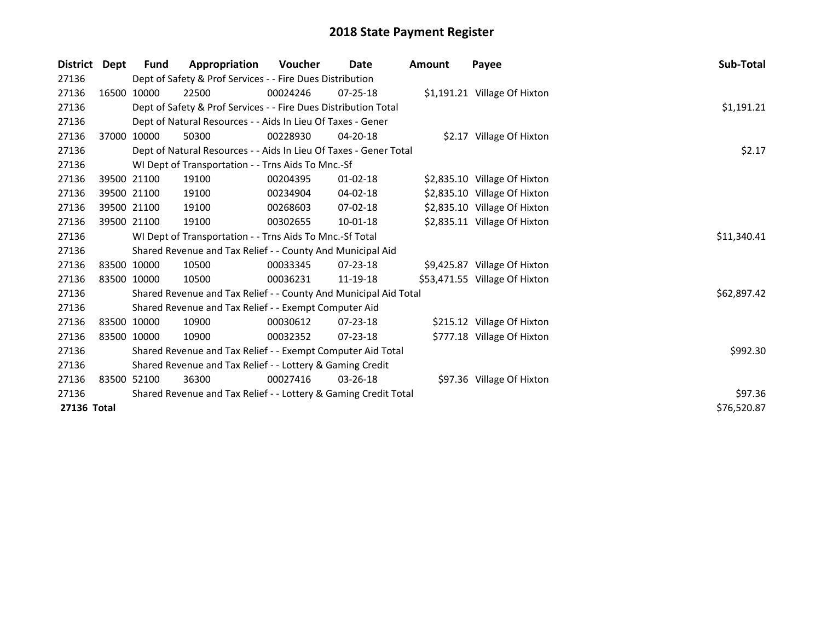| <b>District</b> | Dept        | Fund                                                            | Appropriation                                                     | <b>Voucher</b> | Date           | <b>Amount</b> | Payee                         | Sub-Total   |
|-----------------|-------------|-----------------------------------------------------------------|-------------------------------------------------------------------|----------------|----------------|---------------|-------------------------------|-------------|
| 27136           |             |                                                                 | Dept of Safety & Prof Services - - Fire Dues Distribution         |                |                |               |                               |             |
| 27136           |             | 16500 10000                                                     | 22500                                                             | 00024246       | $07 - 25 - 18$ |               | \$1,191.21 Village Of Hixton  |             |
| 27136           |             |                                                                 | Dept of Safety & Prof Services - - Fire Dues Distribution Total   |                |                |               |                               | \$1,191.21  |
| 27136           |             |                                                                 | Dept of Natural Resources - - Aids In Lieu Of Taxes - Gener       |                |                |               |                               |             |
| 27136           |             | 37000 10000                                                     | 50300                                                             | 00228930       | $04 - 20 - 18$ |               | \$2.17 Village Of Hixton      |             |
| 27136           |             |                                                                 | Dept of Natural Resources - - Aids In Lieu Of Taxes - Gener Total |                |                |               |                               | \$2.17      |
| 27136           |             |                                                                 | WI Dept of Transportation - - Trns Aids To Mnc.-Sf                |                |                |               |                               |             |
| 27136           |             | 39500 21100                                                     | 19100                                                             | 00204395       | 01-02-18       |               | \$2,835.10 Village Of Hixton  |             |
| 27136           | 39500 21100 |                                                                 | 19100                                                             | 00234904       | 04-02-18       |               | \$2,835.10 Village Of Hixton  |             |
| 27136           |             | 39500 21100                                                     | 19100                                                             | 00268603       | 07-02-18       |               | \$2,835.10 Village Of Hixton  |             |
| 27136           | 39500 21100 |                                                                 | 19100                                                             | 00302655       | 10-01-18       |               | \$2,835.11 Village Of Hixton  |             |
| 27136           |             |                                                                 | WI Dept of Transportation - - Trns Aids To Mnc.-Sf Total          |                |                |               |                               | \$11,340.41 |
| 27136           |             |                                                                 | Shared Revenue and Tax Relief - - County And Municipal Aid        |                |                |               |                               |             |
| 27136           |             | 83500 10000                                                     | 10500                                                             | 00033345       | $07 - 23 - 18$ |               | \$9,425.87 Village Of Hixton  |             |
| 27136           |             | 83500 10000                                                     | 10500                                                             | 00036231       | 11-19-18       |               | \$53,471.55 Village Of Hixton |             |
| 27136           |             |                                                                 | Shared Revenue and Tax Relief - - County And Municipal Aid Total  |                |                |               |                               | \$62,897.42 |
| 27136           |             |                                                                 | Shared Revenue and Tax Relief - - Exempt Computer Aid             |                |                |               |                               |             |
| 27136           |             | 83500 10000                                                     | 10900                                                             | 00030612       | $07 - 23 - 18$ |               | \$215.12 Village Of Hixton    |             |
| 27136           | 83500 10000 |                                                                 | 10900                                                             | 00032352       | $07 - 23 - 18$ |               | \$777.18 Village Of Hixton    |             |
| 27136           |             |                                                                 | Shared Revenue and Tax Relief - - Exempt Computer Aid Total       | \$992.30       |                |               |                               |             |
| 27136           |             |                                                                 | Shared Revenue and Tax Relief - - Lottery & Gaming Credit         |                |                |               |                               |             |
| 27136           |             | 83500 52100                                                     | 36300                                                             | 00027416       | $03 - 26 - 18$ |               | \$97.36 Village Of Hixton     |             |
| 27136           |             | Shared Revenue and Tax Relief - - Lottery & Gaming Credit Total | \$97.36                                                           |                |                |               |                               |             |
| 27136 Total     |             |                                                                 |                                                                   |                |                |               |                               | \$76,520.87 |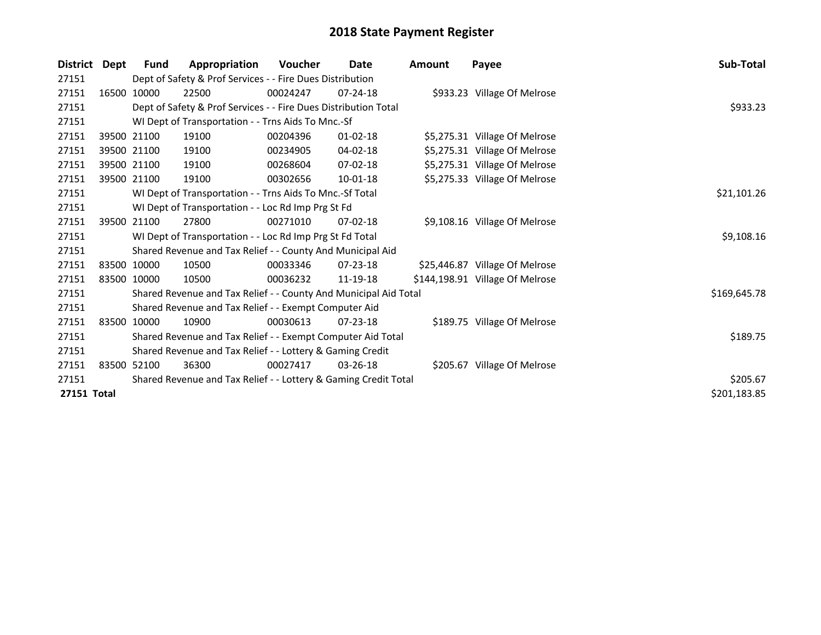| <b>District</b> | Dept | <b>Fund</b>                                                     | Appropriation                                                    | <b>Voucher</b> | Date           | <b>Amount</b> | Payee                           | Sub-Total    |
|-----------------|------|-----------------------------------------------------------------|------------------------------------------------------------------|----------------|----------------|---------------|---------------------------------|--------------|
| 27151           |      |                                                                 | Dept of Safety & Prof Services - - Fire Dues Distribution        |                |                |               |                                 |              |
| 27151           |      | 16500 10000                                                     | 22500                                                            | 00024247       | $07 - 24 - 18$ |               | \$933.23 Village Of Melrose     |              |
| 27151           |      |                                                                 | Dept of Safety & Prof Services - - Fire Dues Distribution Total  |                |                |               |                                 | \$933.23     |
| 27151           |      |                                                                 | WI Dept of Transportation - - Trns Aids To Mnc.-Sf               |                |                |               |                                 |              |
| 27151           |      | 39500 21100                                                     | 19100                                                            | 00204396       | 01-02-18       |               | \$5,275.31 Village Of Melrose   |              |
| 27151           |      | 39500 21100                                                     | 19100                                                            | 00234905       | 04-02-18       |               | \$5,275.31 Village Of Melrose   |              |
| 27151           |      | 39500 21100                                                     | 19100                                                            | 00268604       | $07 - 02 - 18$ |               | \$5,275.31 Village Of Melrose   |              |
| 27151           |      | 39500 21100                                                     | 19100                                                            | 00302656       | $10-01-18$     |               | \$5,275.33 Village Of Melrose   |              |
| 27151           |      |                                                                 | WI Dept of Transportation - - Trns Aids To Mnc.-Sf Total         |                |                |               |                                 | \$21,101.26  |
| 27151           |      |                                                                 | WI Dept of Transportation - - Loc Rd Imp Prg St Fd               |                |                |               |                                 |              |
| 27151           |      | 39500 21100                                                     | 27800                                                            | 00271010       | $07 - 02 - 18$ |               | \$9,108.16 Village Of Melrose   |              |
| 27151           |      |                                                                 | WI Dept of Transportation - - Loc Rd Imp Prg St Fd Total         |                |                |               |                                 | \$9,108.16   |
| 27151           |      |                                                                 | Shared Revenue and Tax Relief - - County And Municipal Aid       |                |                |               |                                 |              |
| 27151           |      | 83500 10000                                                     | 10500                                                            | 00033346       | 07-23-18       |               | \$25,446.87 Village Of Melrose  |              |
| 27151           |      | 83500 10000                                                     | 10500                                                            | 00036232       | 11-19-18       |               | \$144,198.91 Village Of Melrose |              |
| 27151           |      |                                                                 | Shared Revenue and Tax Relief - - County And Municipal Aid Total |                |                |               |                                 | \$169,645.78 |
| 27151           |      |                                                                 | Shared Revenue and Tax Relief - - Exempt Computer Aid            |                |                |               |                                 |              |
| 27151           |      | 83500 10000                                                     | 10900                                                            | 00030613       | $07 - 23 - 18$ |               | \$189.75 Village Of Melrose     |              |
| 27151           |      | Shared Revenue and Tax Relief - - Exempt Computer Aid Total     | \$189.75                                                         |                |                |               |                                 |              |
| 27151           |      | Shared Revenue and Tax Relief - - Lottery & Gaming Credit       |                                                                  |                |                |               |                                 |              |
| 27151           |      | 83500 52100                                                     | 36300                                                            | 00027417       | $03 - 26 - 18$ |               | \$205.67 Village Of Melrose     |              |
| 27151           |      | Shared Revenue and Tax Relief - - Lottery & Gaming Credit Total |                                                                  |                |                |               |                                 |              |
| 27151 Total     |      |                                                                 |                                                                  |                |                |               |                                 |              |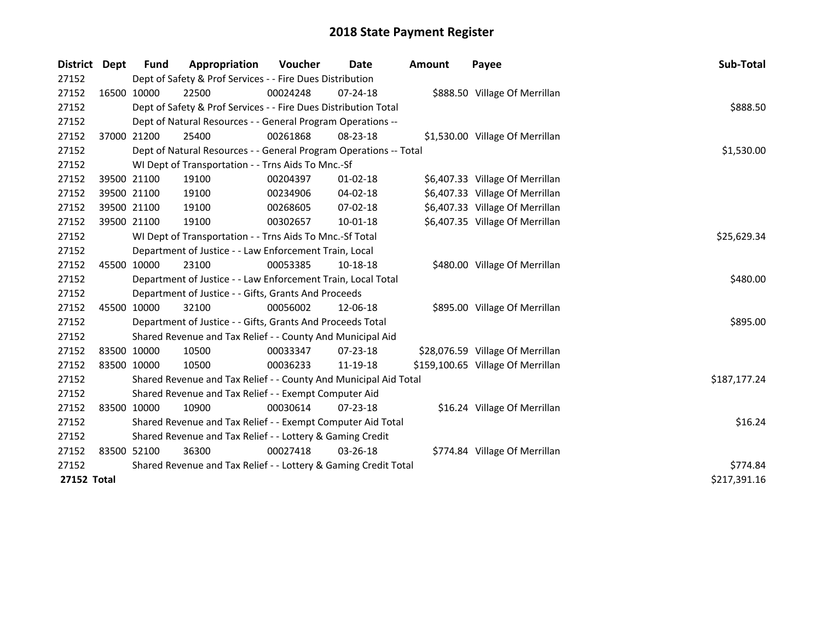| <b>District</b> | <b>Dept</b> | <b>Fund</b>                                                     | Appropriation                                                     | Voucher  | Date           | <b>Amount</b> | Payee                             | Sub-Total    |
|-----------------|-------------|-----------------------------------------------------------------|-------------------------------------------------------------------|----------|----------------|---------------|-----------------------------------|--------------|
| 27152           |             |                                                                 | Dept of Safety & Prof Services - - Fire Dues Distribution         |          |                |               |                                   |              |
| 27152           |             | 16500 10000                                                     | 22500                                                             | 00024248 | 07-24-18       |               | \$888.50 Village Of Merrillan     |              |
| 27152           |             |                                                                 | Dept of Safety & Prof Services - - Fire Dues Distribution Total   |          |                |               |                                   | \$888.50     |
| 27152           |             |                                                                 | Dept of Natural Resources - - General Program Operations --       |          |                |               |                                   |              |
| 27152           |             | 37000 21200                                                     | 25400                                                             | 00261868 | 08-23-18       |               | \$1,530.00 Village Of Merrillan   |              |
| 27152           |             |                                                                 | Dept of Natural Resources - - General Program Operations -- Total |          |                |               |                                   | \$1,530.00   |
| 27152           |             |                                                                 | WI Dept of Transportation - - Trns Aids To Mnc.-Sf                |          |                |               |                                   |              |
| 27152           |             | 39500 21100                                                     | 19100                                                             | 00204397 | $01-02-18$     |               | \$6,407.33 Village Of Merrillan   |              |
| 27152           |             | 39500 21100                                                     | 19100                                                             | 00234906 | 04-02-18       |               | \$6,407.33 Village Of Merrillan   |              |
| 27152           |             | 39500 21100                                                     | 19100                                                             | 00268605 | 07-02-18       |               | \$6,407.33 Village Of Merrillan   |              |
| 27152           |             | 39500 21100                                                     | 19100                                                             | 00302657 | $10 - 01 - 18$ |               | \$6,407.35 Village Of Merrillan   |              |
| 27152           |             |                                                                 | WI Dept of Transportation - - Trns Aids To Mnc.-Sf Total          |          |                |               |                                   | \$25,629.34  |
| 27152           |             |                                                                 | Department of Justice - - Law Enforcement Train, Local            |          |                |               |                                   |              |
| 27152           |             | 45500 10000                                                     | 23100                                                             | 00053385 | 10-18-18       |               | \$480.00 Village Of Merrillan     |              |
| 27152           |             |                                                                 | Department of Justice - - Law Enforcement Train, Local Total      |          |                |               |                                   | \$480.00     |
| 27152           |             |                                                                 | Department of Justice - - Gifts, Grants And Proceeds              |          |                |               |                                   |              |
| 27152           |             | 45500 10000                                                     | 32100                                                             | 00056002 | 12-06-18       |               | \$895.00 Village Of Merrillan     |              |
| 27152           |             |                                                                 | Department of Justice - - Gifts, Grants And Proceeds Total        |          |                |               |                                   | \$895.00     |
| 27152           |             |                                                                 | Shared Revenue and Tax Relief - - County And Municipal Aid        |          |                |               |                                   |              |
| 27152           |             | 83500 10000                                                     | 10500                                                             | 00033347 | $07 - 23 - 18$ |               | \$28,076.59 Village Of Merrillan  |              |
| 27152           |             | 83500 10000                                                     | 10500                                                             | 00036233 | 11-19-18       |               | \$159,100.65 Village Of Merrillan |              |
| 27152           |             |                                                                 | Shared Revenue and Tax Relief - - County And Municipal Aid Total  |          |                |               |                                   | \$187,177.24 |
| 27152           |             |                                                                 | Shared Revenue and Tax Relief - - Exempt Computer Aid             |          |                |               |                                   |              |
| 27152           |             | 83500 10000                                                     | 10900                                                             | 00030614 | 07-23-18       |               | \$16.24 Village Of Merrillan      |              |
| 27152           |             |                                                                 | Shared Revenue and Tax Relief - - Exempt Computer Aid Total       |          |                |               |                                   | \$16.24      |
| 27152           |             | Shared Revenue and Tax Relief - - Lottery & Gaming Credit       |                                                                   |          |                |               |                                   |              |
| 27152           |             | 83500 52100                                                     | 36300                                                             | 00027418 | 03-26-18       |               | \$774.84 Village Of Merrillan     |              |
| 27152           |             | Shared Revenue and Tax Relief - - Lottery & Gaming Credit Total | \$774.84                                                          |          |                |               |                                   |              |
| 27152 Total     |             |                                                                 |                                                                   |          |                |               |                                   | \$217,391.16 |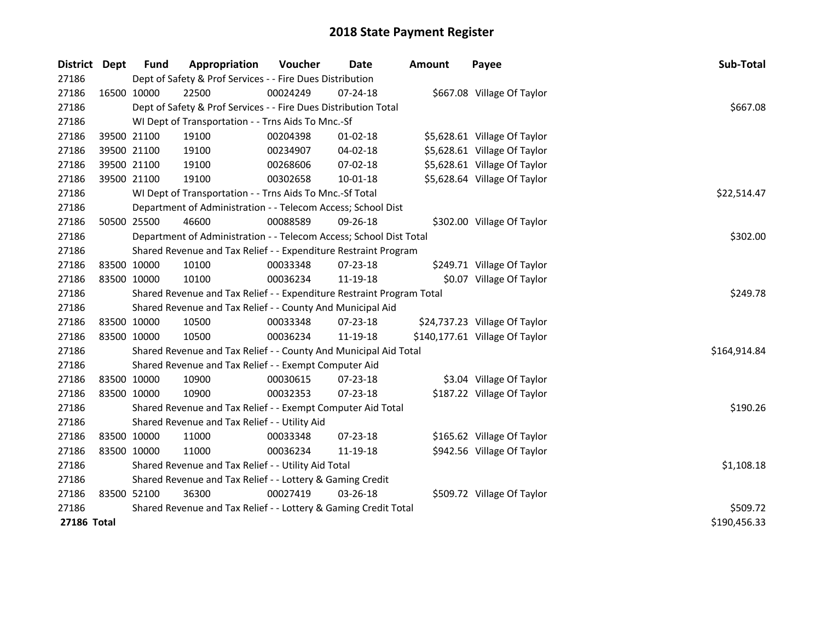| District    | Dept | <b>Fund</b> | Appropriation                                                         | Voucher    | Date           | <b>Amount</b> | Payee                          | Sub-Total    |
|-------------|------|-------------|-----------------------------------------------------------------------|------------|----------------|---------------|--------------------------------|--------------|
| 27186       |      |             | Dept of Safety & Prof Services - - Fire Dues Distribution             |            |                |               |                                |              |
| 27186       |      | 16500 10000 | 22500                                                                 | 00024249   | 07-24-18       |               | \$667.08 Village Of Taylor     |              |
| 27186       |      |             | Dept of Safety & Prof Services - - Fire Dues Distribution Total       |            |                |               |                                | \$667.08     |
| 27186       |      |             | WI Dept of Transportation - - Trns Aids To Mnc.-Sf                    |            |                |               |                                |              |
| 27186       |      | 39500 21100 | 19100                                                                 | 00204398   | $01 - 02 - 18$ |               | \$5,628.61 Village Of Taylor   |              |
| 27186       |      | 39500 21100 | 19100                                                                 | 00234907   | 04-02-18       |               | \$5,628.61 Village Of Taylor   |              |
| 27186       |      | 39500 21100 | 19100                                                                 | 00268606   | 07-02-18       |               | \$5,628.61 Village Of Taylor   |              |
| 27186       |      | 39500 21100 | 19100                                                                 | 00302658   | 10-01-18       |               | \$5,628.64 Village Of Taylor   |              |
| 27186       |      |             | WI Dept of Transportation - - Trns Aids To Mnc.-Sf Total              |            |                |               |                                | \$22,514.47  |
| 27186       |      |             | Department of Administration - - Telecom Access; School Dist          |            |                |               |                                |              |
| 27186       |      | 50500 25500 | 46600                                                                 | 00088589   | 09-26-18       |               | \$302.00 Village Of Taylor     |              |
| 27186       |      |             | Department of Administration - - Telecom Access; School Dist Total    |            |                |               |                                | \$302.00     |
| 27186       |      |             | Shared Revenue and Tax Relief - - Expenditure Restraint Program       |            |                |               |                                |              |
| 27186       |      | 83500 10000 | 10100                                                                 | 00033348   | 07-23-18       |               | \$249.71 Village Of Taylor     |              |
| 27186       |      | 83500 10000 | 10100                                                                 | 00036234   | 11-19-18       |               | \$0.07 Village Of Taylor       |              |
| 27186       |      |             | Shared Revenue and Tax Relief - - Expenditure Restraint Program Total | \$249.78   |                |               |                                |              |
| 27186       |      |             | Shared Revenue and Tax Relief - - County And Municipal Aid            |            |                |               |                                |              |
| 27186       |      | 83500 10000 | 10500                                                                 | 00033348   | 07-23-18       |               | \$24,737.23 Village Of Taylor  |              |
| 27186       |      | 83500 10000 | 10500                                                                 | 00036234   | 11-19-18       |               | \$140,177.61 Village Of Taylor |              |
| 27186       |      |             | Shared Revenue and Tax Relief - - County And Municipal Aid Total      |            |                |               |                                | \$164,914.84 |
| 27186       |      |             | Shared Revenue and Tax Relief - - Exempt Computer Aid                 |            |                |               |                                |              |
| 27186       |      | 83500 10000 | 10900                                                                 | 00030615   | 07-23-18       |               | \$3.04 Village Of Taylor       |              |
| 27186       |      | 83500 10000 | 10900                                                                 | 00032353   | 07-23-18       |               | \$187.22 Village Of Taylor     |              |
| 27186       |      |             | Shared Revenue and Tax Relief - - Exempt Computer Aid Total           |            |                |               |                                | \$190.26     |
| 27186       |      |             | Shared Revenue and Tax Relief - - Utility Aid                         |            |                |               |                                |              |
| 27186       |      | 83500 10000 | 11000                                                                 | 00033348   | 07-23-18       |               | \$165.62 Village Of Taylor     |              |
| 27186       |      | 83500 10000 | 11000                                                                 | 00036234   | 11-19-18       |               | \$942.56 Village Of Taylor     |              |
| 27186       |      |             | Shared Revenue and Tax Relief - - Utility Aid Total                   | \$1,108.18 |                |               |                                |              |
| 27186       |      |             | Shared Revenue and Tax Relief - - Lottery & Gaming Credit             |            |                |               |                                |              |
| 27186       |      | 83500 52100 | 36300                                                                 | 00027419   | 03-26-18       |               | \$509.72 Village Of Taylor     |              |
| 27186       |      |             | Shared Revenue and Tax Relief - - Lottery & Gaming Credit Total       | \$509.72   |                |               |                                |              |
| 27186 Total |      |             |                                                                       |            |                |               |                                | \$190,456.33 |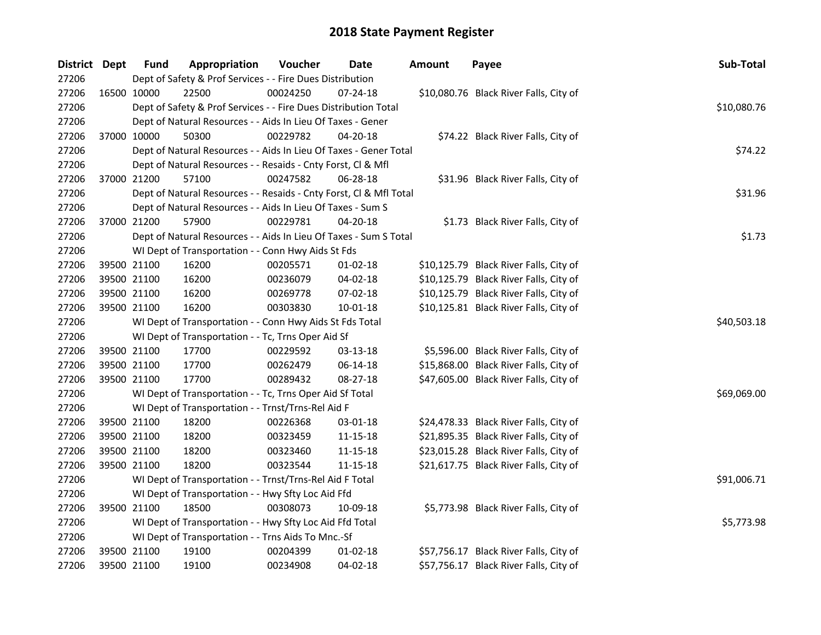| District Dept | <b>Fund</b>                                                  | Appropriation                                                      | Voucher  | Date           | <b>Amount</b> | Payee                                  | Sub-Total   |  |  |
|---------------|--------------------------------------------------------------|--------------------------------------------------------------------|----------|----------------|---------------|----------------------------------------|-------------|--|--|
| 27206         | Dept of Safety & Prof Services - - Fire Dues Distribution    |                                                                    |          |                |               |                                        |             |  |  |
| 27206         | 16500 10000                                                  | 22500                                                              | 00024250 | $07 - 24 - 18$ |               | \$10,080.76 Black River Falls, City of |             |  |  |
| 27206         |                                                              | Dept of Safety & Prof Services - - Fire Dues Distribution Total    |          |                |               |                                        | \$10,080.76 |  |  |
| 27206         |                                                              | Dept of Natural Resources - - Aids In Lieu Of Taxes - Gener        |          |                |               |                                        |             |  |  |
| 27206         | 37000 10000                                                  | 50300                                                              | 00229782 | $04 - 20 - 18$ |               | \$74.22 Black River Falls, City of     |             |  |  |
| 27206         |                                                              | Dept of Natural Resources - - Aids In Lieu Of Taxes - Gener Total  |          |                |               |                                        | \$74.22     |  |  |
| 27206         | Dept of Natural Resources - - Resaids - Cnty Forst, Cl & Mfl |                                                                    |          |                |               |                                        |             |  |  |
| 27206         | 37000 21200                                                  | 57100                                                              | 00247582 | $06 - 28 - 18$ |               | \$31.96 Black River Falls, City of     |             |  |  |
| 27206         |                                                              | Dept of Natural Resources - - Resaids - Cnty Forst, Cl & Mfl Total |          |                |               |                                        | \$31.96     |  |  |
| 27206         |                                                              | Dept of Natural Resources - - Aids In Lieu Of Taxes - Sum S        |          |                |               |                                        |             |  |  |
| 27206         | 37000 21200                                                  | 57900                                                              | 00229781 | 04-20-18       |               | \$1.73 Black River Falls, City of      |             |  |  |
| 27206         |                                                              | Dept of Natural Resources - - Aids In Lieu Of Taxes - Sum S Total  |          |                |               |                                        | \$1.73      |  |  |
| 27206         |                                                              | WI Dept of Transportation - - Conn Hwy Aids St Fds                 |          |                |               |                                        |             |  |  |
| 27206         | 39500 21100                                                  | 16200                                                              | 00205571 | 01-02-18       |               | \$10,125.79 Black River Falls, City of |             |  |  |
| 27206         | 39500 21100                                                  | 16200                                                              | 00236079 | 04-02-18       |               | \$10,125.79 Black River Falls, City of |             |  |  |
| 27206         | 39500 21100                                                  | 16200                                                              | 00269778 | 07-02-18       |               | \$10,125.79 Black River Falls, City of |             |  |  |
| 27206         | 39500 21100                                                  | 16200                                                              | 00303830 | 10-01-18       |               | \$10,125.81 Black River Falls, City of |             |  |  |
| 27206         |                                                              | WI Dept of Transportation - - Conn Hwy Aids St Fds Total           |          |                |               |                                        | \$40,503.18 |  |  |
| 27206         |                                                              | WI Dept of Transportation - - Tc, Trns Oper Aid Sf                 |          |                |               |                                        |             |  |  |
| 27206         | 39500 21100                                                  | 17700                                                              | 00229592 | 03-13-18       |               | \$5,596.00 Black River Falls, City of  |             |  |  |
| 27206         | 39500 21100                                                  | 17700                                                              | 00262479 | 06-14-18       |               | \$15,868.00 Black River Falls, City of |             |  |  |
| 27206         | 39500 21100                                                  | 17700                                                              | 00289432 | 08-27-18       |               | \$47,605.00 Black River Falls, City of |             |  |  |
| 27206         | WI Dept of Transportation - - Tc, Trns Oper Aid Sf Total     | \$69,069.00                                                        |          |                |               |                                        |             |  |  |
| 27206         | WI Dept of Transportation - - Trnst/Trns-Rel Aid F           |                                                                    |          |                |               |                                        |             |  |  |
| 27206         | 39500 21100                                                  | 18200                                                              | 00226368 | 03-01-18       |               | \$24,478.33 Black River Falls, City of |             |  |  |
| 27206         | 39500 21100                                                  | 18200                                                              | 00323459 | 11-15-18       |               | \$21,895.35 Black River Falls, City of |             |  |  |
| 27206         | 39500 21100                                                  | 18200                                                              | 00323460 | 11-15-18       |               | \$23,015.28 Black River Falls, City of |             |  |  |
| 27206         | 39500 21100                                                  | 18200                                                              | 00323544 | 11-15-18       |               | \$21,617.75 Black River Falls, City of |             |  |  |
| 27206         | WI Dept of Transportation - - Trnst/Trns-Rel Aid F Total     | \$91,006.71                                                        |          |                |               |                                        |             |  |  |
| 27206         | WI Dept of Transportation - - Hwy Sfty Loc Aid Ffd           |                                                                    |          |                |               |                                        |             |  |  |
| 27206         | 39500 21100                                                  | 18500                                                              | 00308073 | 10-09-18       |               | \$5,773.98 Black River Falls, City of  |             |  |  |
| 27206         | WI Dept of Transportation - - Hwy Sfty Loc Aid Ffd Total     | \$5,773.98                                                         |          |                |               |                                        |             |  |  |
| 27206         | WI Dept of Transportation - - Trns Aids To Mnc.-Sf           |                                                                    |          |                |               |                                        |             |  |  |
| 27206         | 39500 21100                                                  | 19100                                                              | 00204399 | 01-02-18       |               | \$57,756.17 Black River Falls, City of |             |  |  |
| 27206         | 39500 21100                                                  | 19100                                                              | 00234908 | 04-02-18       |               | \$57,756.17 Black River Falls, City of |             |  |  |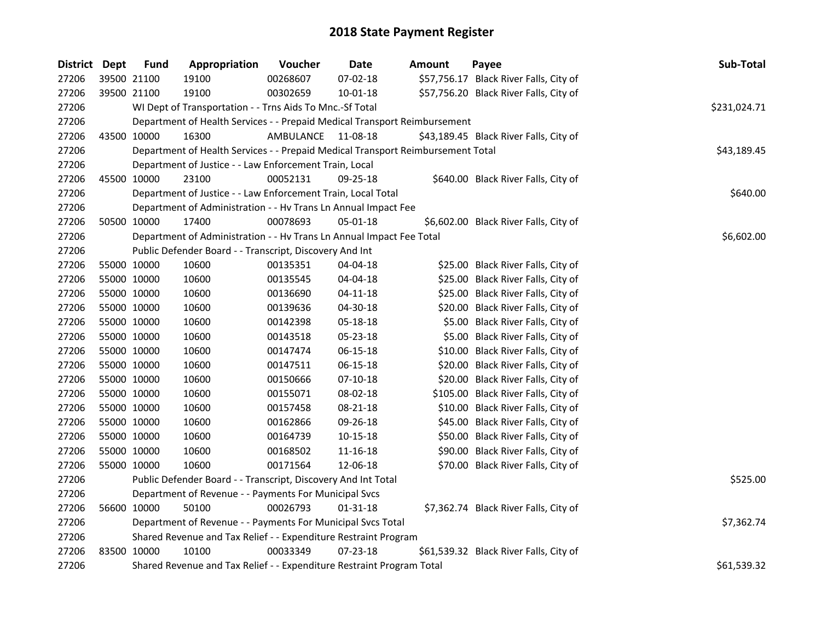| District Dept | <b>Fund</b>                                                               | Appropriation                                                                   | Voucher            | <b>Date</b>    | <b>Amount</b> | Payee                                  | Sub-Total   |  |  |
|---------------|---------------------------------------------------------------------------|---------------------------------------------------------------------------------|--------------------|----------------|---------------|----------------------------------------|-------------|--|--|
| 27206         | 39500 21100                                                               | 19100                                                                           | 00268607           | 07-02-18       |               | \$57,756.17 Black River Falls, City of |             |  |  |
| 27206         | 39500 21100                                                               | 19100                                                                           | 00302659           | 10-01-18       |               | \$57,756.20 Black River Falls, City of |             |  |  |
| 27206         |                                                                           | WI Dept of Transportation - - Trns Aids To Mnc.-Sf Total                        |                    |                |               |                                        |             |  |  |
| 27206         | Department of Health Services - - Prepaid Medical Transport Reimbursement |                                                                                 |                    |                |               |                                        |             |  |  |
| 27206         | 43500 10000                                                               | 16300                                                                           | AMBULANCE 11-08-18 |                |               | \$43,189.45 Black River Falls, City of |             |  |  |
| 27206         |                                                                           | Department of Health Services - - Prepaid Medical Transport Reimbursement Total |                    |                |               |                                        | \$43,189.45 |  |  |
| 27206         |                                                                           | Department of Justice - - Law Enforcement Train, Local                          |                    |                |               |                                        |             |  |  |
| 27206         | 45500 10000                                                               | 23100                                                                           | 00052131           | $09 - 25 - 18$ |               | \$640.00 Black River Falls, City of    |             |  |  |
| 27206         |                                                                           | Department of Justice - - Law Enforcement Train, Local Total                    |                    |                |               |                                        | \$640.00    |  |  |
| 27206         |                                                                           | Department of Administration - - Hv Trans Ln Annual Impact Fee                  |                    |                |               |                                        |             |  |  |
| 27206         | 50500 10000                                                               | 17400                                                                           | 00078693           | 05-01-18       |               | \$6,602.00 Black River Falls, City of  |             |  |  |
| 27206         |                                                                           | Department of Administration - - Hv Trans Ln Annual Impact Fee Total            |                    |                |               |                                        | \$6,602.00  |  |  |
| 27206         |                                                                           | Public Defender Board - - Transcript, Discovery And Int                         |                    |                |               |                                        |             |  |  |
| 27206         | 55000 10000                                                               | 10600                                                                           | 00135351           | 04-04-18       |               | \$25.00 Black River Falls, City of     |             |  |  |
| 27206         | 55000 10000                                                               | 10600                                                                           | 00135545           | 04-04-18       |               | \$25.00 Black River Falls, City of     |             |  |  |
| 27206         | 55000 10000                                                               | 10600                                                                           | 00136690           | 04-11-18       |               | \$25.00 Black River Falls, City of     |             |  |  |
| 27206         | 55000 10000                                                               | 10600                                                                           | 00139636           | 04-30-18       |               | \$20.00 Black River Falls, City of     |             |  |  |
| 27206         | 55000 10000                                                               | 10600                                                                           | 00142398           | 05-18-18       |               | \$5.00 Black River Falls, City of      |             |  |  |
| 27206         | 55000 10000                                                               | 10600                                                                           | 00143518           | 05-23-18       |               | \$5.00 Black River Falls, City of      |             |  |  |
| 27206         | 55000 10000                                                               | 10600                                                                           | 00147474           | 06-15-18       |               | \$10.00 Black River Falls, City of     |             |  |  |
| 27206         | 55000 10000                                                               | 10600                                                                           | 00147511           | 06-15-18       |               | \$20.00 Black River Falls, City of     |             |  |  |
| 27206         | 55000 10000                                                               | 10600                                                                           | 00150666           | $07-10-18$     |               | \$20.00 Black River Falls, City of     |             |  |  |
| 27206         | 55000 10000                                                               | 10600                                                                           | 00155071           | 08-02-18       |               | \$105.00 Black River Falls, City of    |             |  |  |
| 27206         | 55000 10000                                                               | 10600                                                                           | 00157458           | 08-21-18       |               | \$10.00 Black River Falls, City of     |             |  |  |
| 27206         | 55000 10000                                                               | 10600                                                                           | 00162866           | 09-26-18       |               | \$45.00 Black River Falls, City of     |             |  |  |
| 27206         | 55000 10000                                                               | 10600                                                                           | 00164739           | 10-15-18       |               | \$50.00 Black River Falls, City of     |             |  |  |
| 27206         | 55000 10000                                                               | 10600                                                                           | 00168502           | 11-16-18       |               | \$90.00 Black River Falls, City of     |             |  |  |
| 27206         | 55000 10000                                                               | 10600                                                                           | 00171564           | 12-06-18       |               | \$70.00 Black River Falls, City of     |             |  |  |
| 27206         | Public Defender Board - - Transcript, Discovery And Int Total             | \$525.00                                                                        |                    |                |               |                                        |             |  |  |
| 27206         | Department of Revenue - - Payments For Municipal Svcs                     |                                                                                 |                    |                |               |                                        |             |  |  |
| 27206         | 56600 10000                                                               | 50100                                                                           | 00026793           | $01 - 31 - 18$ |               | \$7,362.74 Black River Falls, City of  |             |  |  |
| 27206         | Department of Revenue - - Payments For Municipal Svcs Total               | \$7,362.74                                                                      |                    |                |               |                                        |             |  |  |
| 27206         | Shared Revenue and Tax Relief - - Expenditure Restraint Program           |                                                                                 |                    |                |               |                                        |             |  |  |
| 27206         | 83500 10000                                                               | 10100                                                                           | 00033349           | 07-23-18       |               | \$61,539.32 Black River Falls, City of |             |  |  |
| 27206         | Shared Revenue and Tax Relief - - Expenditure Restraint Program Total     |                                                                                 |                    |                |               |                                        | \$61,539.32 |  |  |